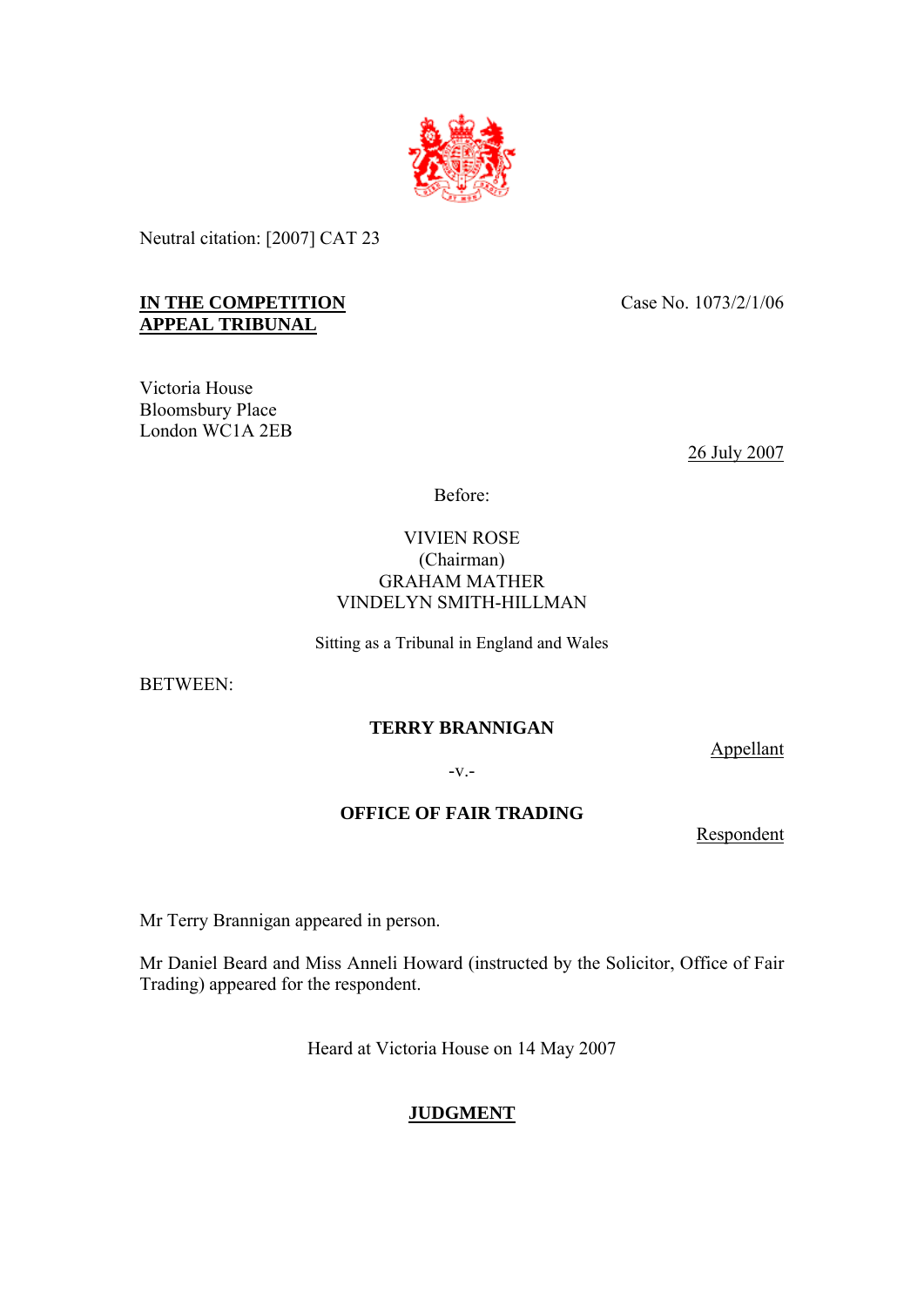

Neutral citation: [2007] CAT 23

## **IN THE COMPETITION APPEAL TRIBUNAL**

Victoria House Bloomsbury Place London WC1A 2EB Case No. 1073/2/1/06

26 July 2007

Before:

## VIVIEN ROSE (Chairman) GRAHAM MATHER VINDELYN SMITH-HILLMAN

Sitting as a Tribunal in England and Wales

BETWEEN:

## **TERRY BRANNIGAN**

Appellant

-v.-

## **OFFICE OF FAIR TRADING**

Respondent

Mr Terry Brannigan appeared in person.

Mr Daniel Beard and Miss Anneli Howard (instructed by the Solicitor, Office of Fair Trading) appeared for the respondent.

Heard at Victoria House on 14 May 2007

# **JUDGMENT**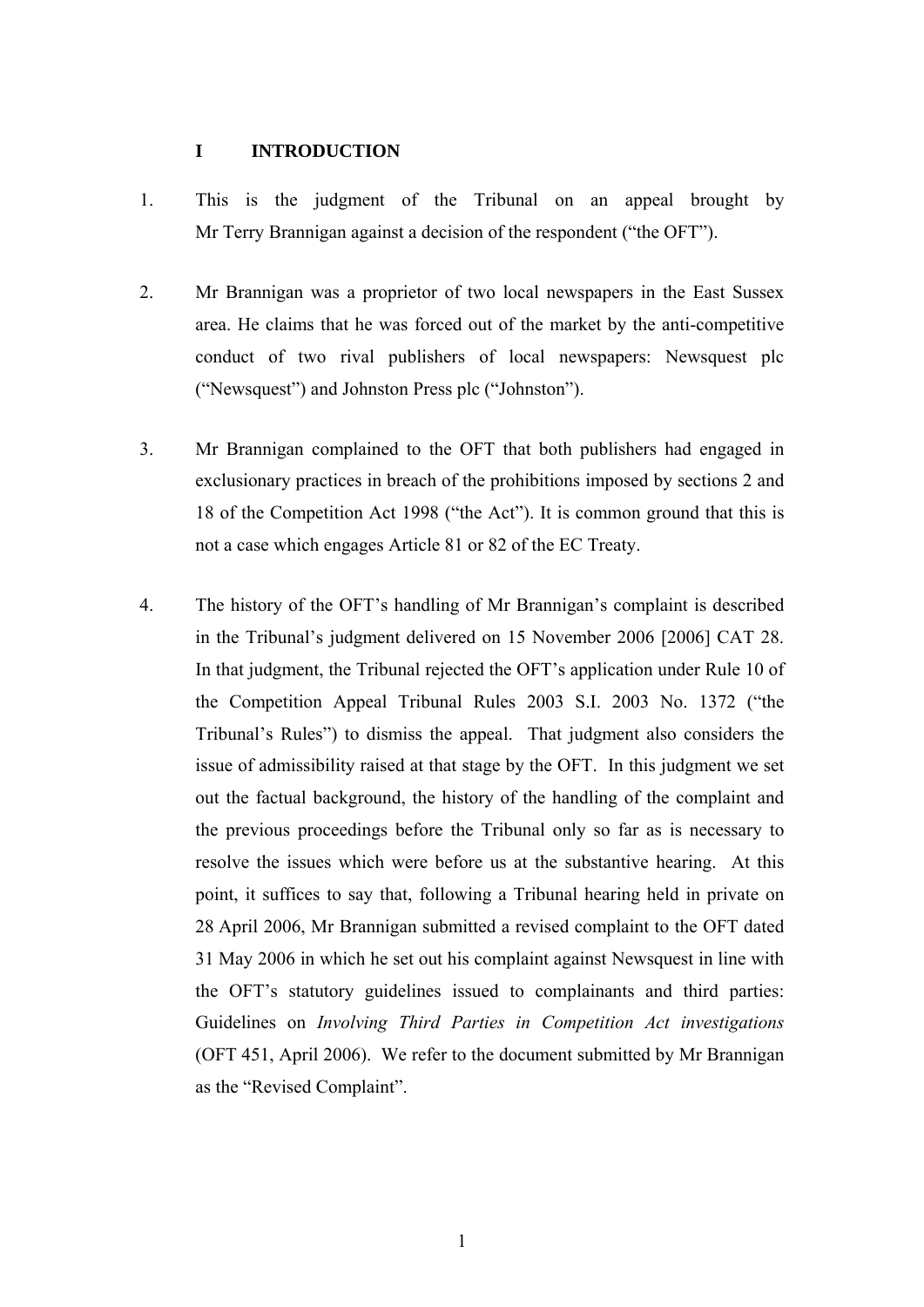### **I INTRODUCTION**

- 1. This is the judgment of the Tribunal on an appeal brought by Mr Terry Brannigan against a decision of the respondent ("the OFT").
- 2. Mr Brannigan was a proprietor of two local newspapers in the East Sussex area. He claims that he was forced out of the market by the anti-competitive conduct of two rival publishers of local newspapers: Newsquest plc ("Newsquest") and Johnston Press plc ("Johnston").
- 3. Mr Brannigan complained to the OFT that both publishers had engaged in exclusionary practices in breach of the prohibitions imposed by sections 2 and 18 of the Competition Act 1998 ("the Act"). It is common ground that this is not a case which engages Article 81 or 82 of the EC Treaty.
- 4. The history of the OFT's handling of Mr Brannigan's complaint is described in the Tribunal's judgment delivered on 15 November 2006 [2006] CAT 28. In that judgment, the Tribunal rejected the OFT's application under Rule 10 of the Competition Appeal Tribunal Rules 2003 S.I. 2003 No. 1372 ("the Tribunal's Rules") to dismiss the appeal. That judgment also considers the issue of admissibility raised at that stage by the OFT. In this judgment we set out the factual background, the history of the handling of the complaint and the previous proceedings before the Tribunal only so far as is necessary to resolve the issues which were before us at the substantive hearing. At this point, it suffices to say that, following a Tribunal hearing held in private on 28 April 2006, Mr Brannigan submitted a revised complaint to the OFT dated 31 May 2006 in which he set out his complaint against Newsquest in line with the OFT's statutory guidelines issued to complainants and third parties: Guidelines on *Involving Third Parties in Competition Act investigations* (OFT 451, April 2006). We refer to the document submitted by Mr Brannigan as the "Revised Complaint".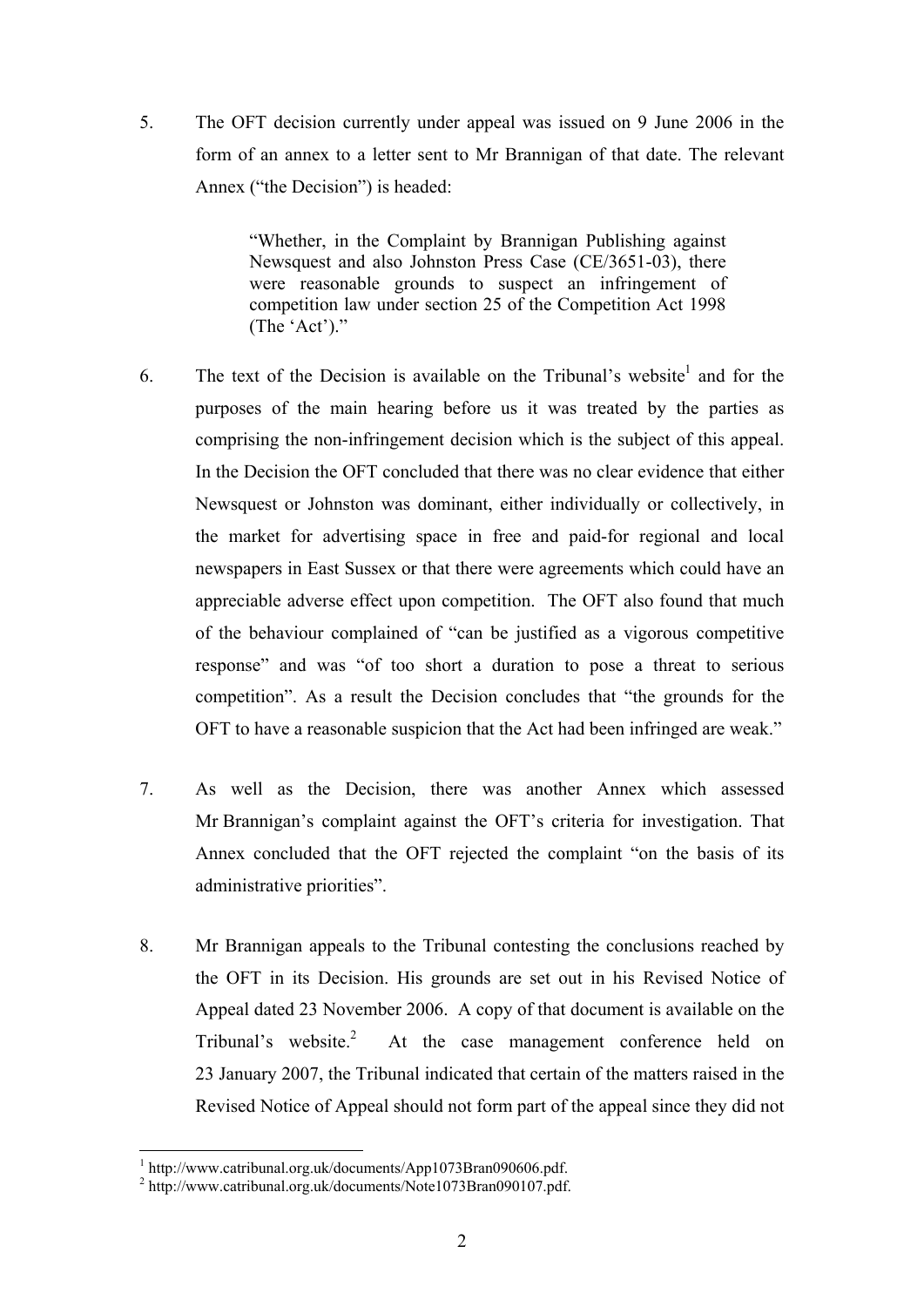5. The OFT decision currently under appeal was issued on 9 June 2006 in the form of an annex to a letter sent to Mr Brannigan of that date. The relevant Annex ("the Decision") is headed:

> "Whether, in the Complaint by Brannigan Publishing against Newsquest and also Johnston Press Case (CE/3651-03), there were reasonable grounds to suspect an infringement of competition law under section 25 of the Competition Act 1998 (The 'Act')."

- 6. The text of the Decision is available on the Tribunal's website<sup>1</sup> and for the purposes of the main hearing before us it was treated by the parties as comprising the non-infringement decision which is the subject of this appeal. In the Decision the OFT concluded that there was no clear evidence that either Newsquest or Johnston was dominant, either individually or collectively, in the market for advertising space in free and paid-for regional and local newspapers in East Sussex or that there were agreements which could have an appreciable adverse effect upon competition. The OFT also found that much of the behaviour complained of "can be justified as a vigorous competitive response" and was "of too short a duration to pose a threat to serious competition". As a result the Decision concludes that "the grounds for the OFT to have a reasonable suspicion that the Act had been infringed are weak."
- 7. As well as the Decision, there was another Annex which assessed Mr Brannigan's complaint against the OFT's criteria for investigation. That Annex concluded that the OFT rejected the complaint "on the basis of its administrative priorities".
- 8. Mr Brannigan appeals to the Tribunal contesting the conclusions reached by the OFT in its Decision. His grounds are set out in his Revised Notice of Appeal dated 23 November 2006. A copy of that document is available on the Tribunal's website.<sup>2</sup> At the case management conference held on 23 January 2007, the Tribunal indicated that certain of the matters raised in the Revised Notice of Appeal should not form part of the appeal since they did not

<sup>&</sup>lt;u>.</u> <sup>1</sup> http://www.catribunal.org.uk/documents/App1073Bran090606.pdf.

<sup>2</sup> http://www.catribunal.org.uk/documents/Note1073Bran090107.pdf.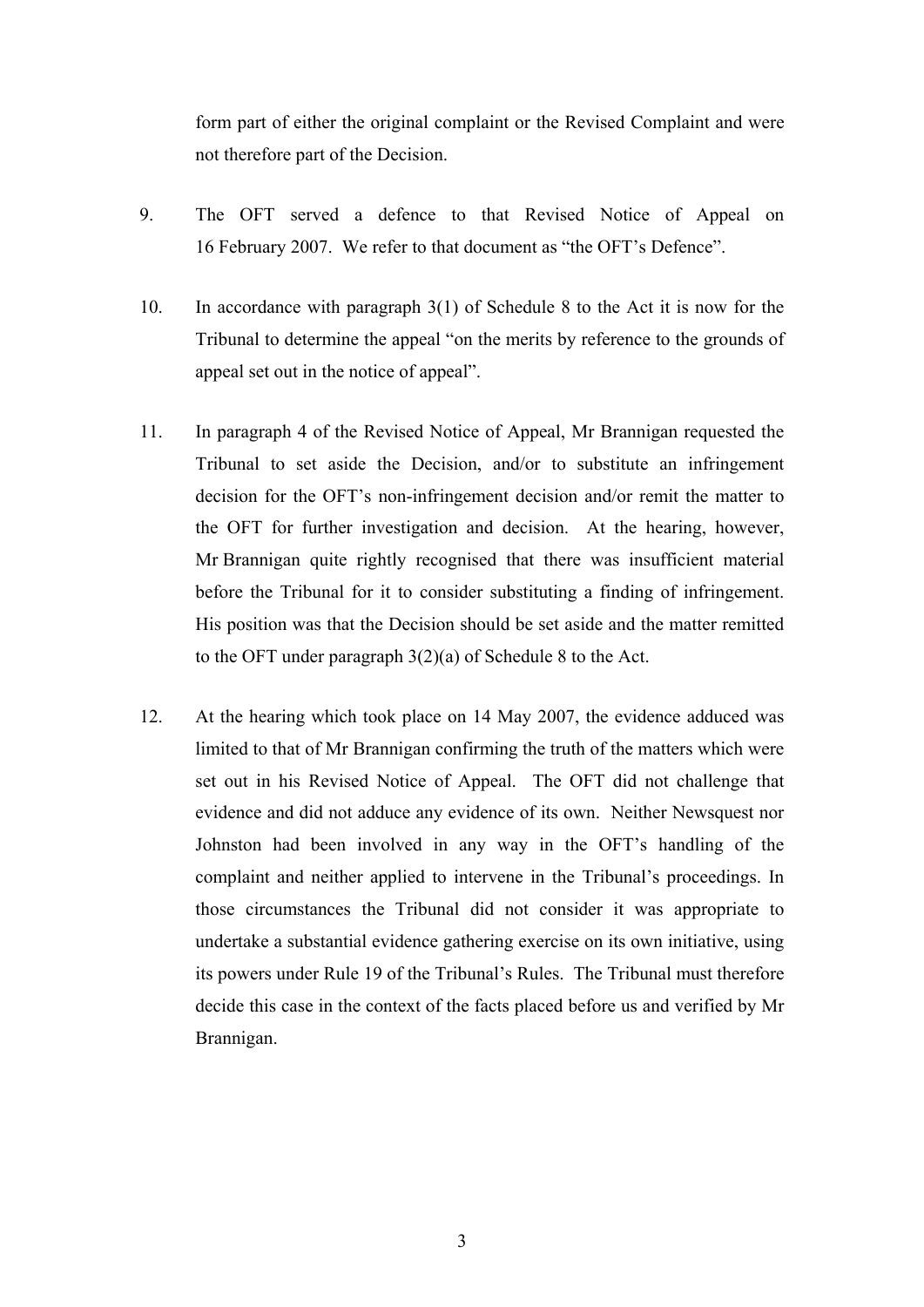form part of either the original complaint or the Revised Complaint and were not therefore part of the Decision.

- 9. The OFT served a defence to that Revised Notice of Appeal on 16 February 2007. We refer to that document as "the OFT's Defence".
- 10. In accordance with paragraph 3(1) of Schedule 8 to the Act it is now for the Tribunal to determine the appeal "on the merits by reference to the grounds of appeal set out in the notice of appeal".
- 11. In paragraph 4 of the Revised Notice of Appeal, Mr Brannigan requested the Tribunal to set aside the Decision, and/or to substitute an infringement decision for the OFT's non-infringement decision and/or remit the matter to the OFT for further investigation and decision. At the hearing, however, Mr Brannigan quite rightly recognised that there was insufficient material before the Tribunal for it to consider substituting a finding of infringement. His position was that the Decision should be set aside and the matter remitted to the OFT under paragraph 3(2)(a) of Schedule 8 to the Act.
- 12. At the hearing which took place on 14 May 2007, the evidence adduced was limited to that of Mr Brannigan confirming the truth of the matters which were set out in his Revised Notice of Appeal. The OFT did not challenge that evidence and did not adduce any evidence of its own. Neither Newsquest nor Johnston had been involved in any way in the OFT's handling of the complaint and neither applied to intervene in the Tribunal's proceedings. In those circumstances the Tribunal did not consider it was appropriate to undertake a substantial evidence gathering exercise on its own initiative, using its powers under Rule 19 of the Tribunal's Rules. The Tribunal must therefore decide this case in the context of the facts placed before us and verified by Mr Brannigan.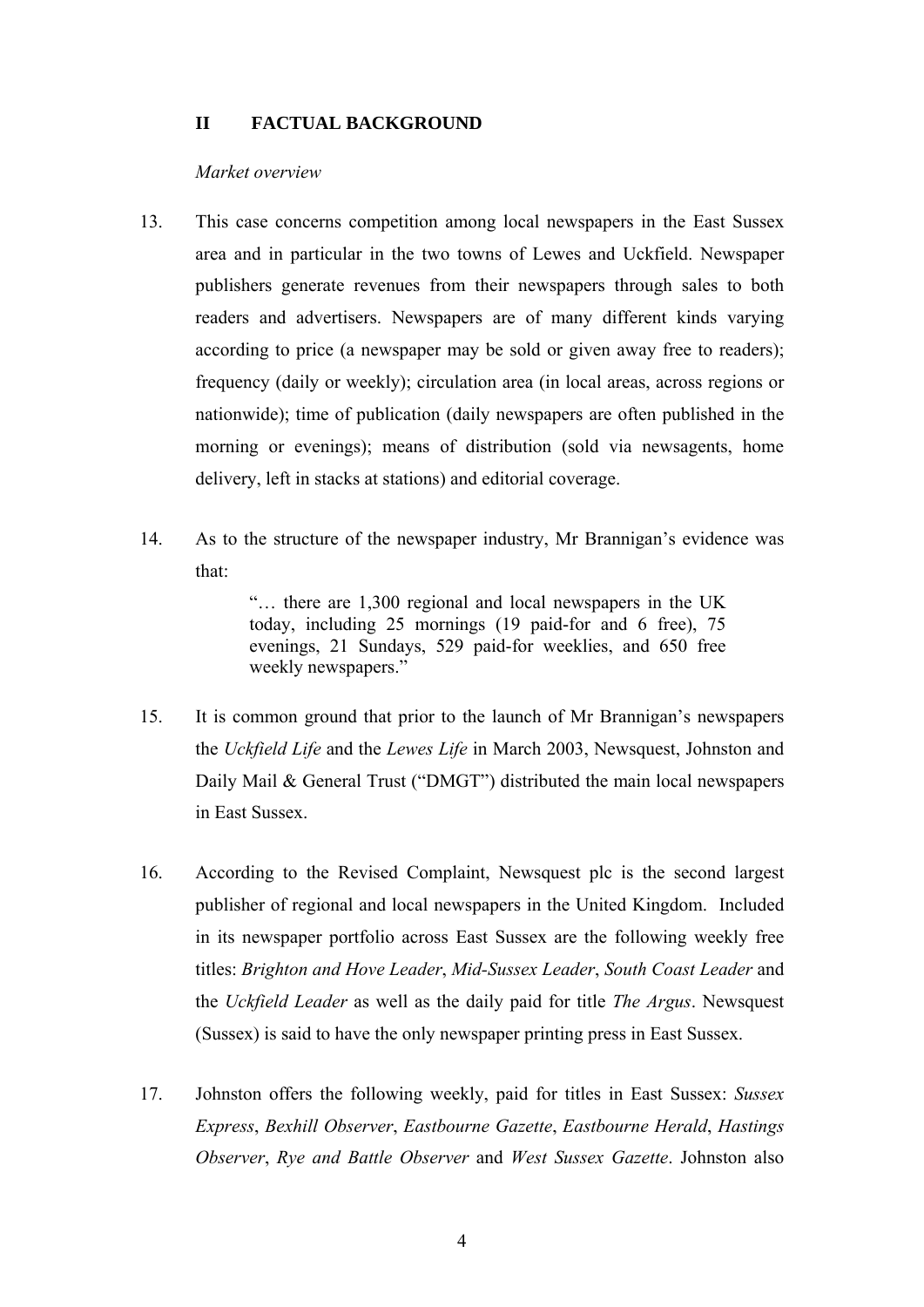### **II FACTUAL BACKGROUND**

#### *Market overview*

- 13. This case concerns competition among local newspapers in the East Sussex area and in particular in the two towns of Lewes and Uckfield. Newspaper publishers generate revenues from their newspapers through sales to both readers and advertisers. Newspapers are of many different kinds varying according to price (a newspaper may be sold or given away free to readers); frequency (daily or weekly); circulation area (in local areas, across regions or nationwide); time of publication (daily newspapers are often published in the morning or evenings); means of distribution (sold via newsagents, home delivery, left in stacks at stations) and editorial coverage.
- 14. As to the structure of the newspaper industry, Mr Brannigan's evidence was that:

"… there are 1,300 regional and local newspapers in the UK today, including 25 mornings (19 paid-for and 6 free), 75 evenings, 21 Sundays, 529 paid-for weeklies, and 650 free weekly newspapers."

- 15. It is common ground that prior to the launch of Mr Brannigan's newspapers the *Uckfield Life* and the *Lewes Life* in March 2003, Newsquest, Johnston and Daily Mail & General Trust ("DMGT") distributed the main local newspapers in East Sussex.
- 16. According to the Revised Complaint, Newsquest plc is the second largest publisher of regional and local newspapers in the United Kingdom. Included in its newspaper portfolio across East Sussex are the following weekly free titles: *Brighton and Hove Leader*, *Mid-Sussex Leader*, *South Coast Leader* and the *Uckfield Leader* as well as the daily paid for title *The Argus*. Newsquest (Sussex) is said to have the only newspaper printing press in East Sussex.
- 17. Johnston offers the following weekly, paid for titles in East Sussex: *Sussex Express*, *Bexhill Observer*, *Eastbourne Gazette*, *Eastbourne Herald*, *Hastings Observer*, *Rye and Battle Observer* and *West Sussex Gazette*. Johnston also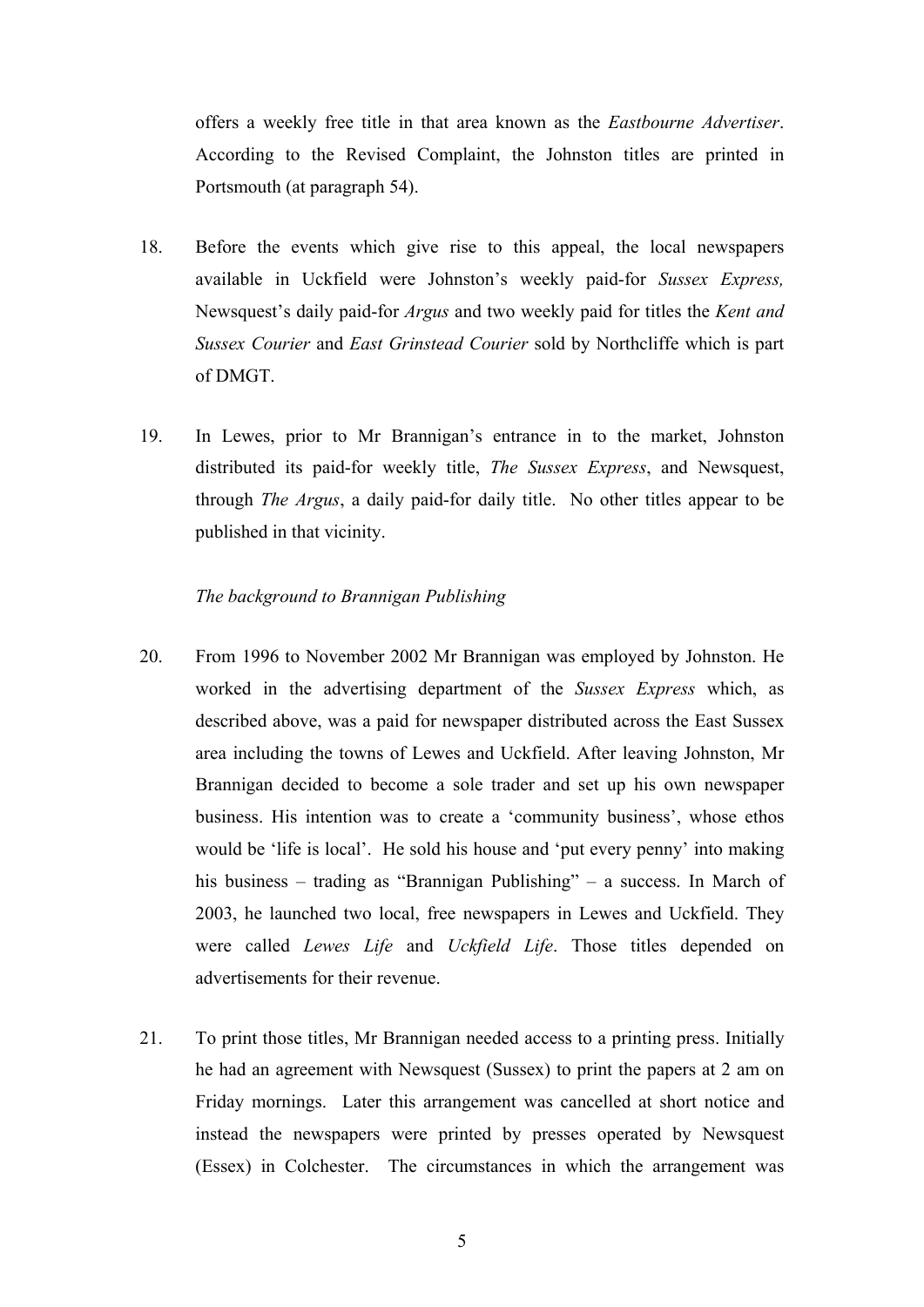offers a weekly free title in that area known as the *Eastbourne Advertiser*. According to the Revised Complaint, the Johnston titles are printed in Portsmouth (at paragraph 54).

- 18. Before the events which give rise to this appeal, the local newspapers available in Uckfield were Johnston's weekly paid-for *Sussex Express,* Newsquest's daily paid-for *Argus* and two weekly paid for titles the *Kent and Sussex Courier* and *East Grinstead Courier* sold by Northcliffe which is part of DMGT.
- 19. In Lewes, prior to Mr Brannigan's entrance in to the market, Johnston distributed its paid-for weekly title, *The Sussex Express*, and Newsquest, through *The Argus*, a daily paid-for daily title. No other titles appear to be published in that vicinity.

#### *The background to Brannigan Publishing*

- 20. From 1996 to November 2002 Mr Brannigan was employed by Johnston. He worked in the advertising department of the *Sussex Express* which, as described above, was a paid for newspaper distributed across the East Sussex area including the towns of Lewes and Uckfield. After leaving Johnston, Mr Brannigan decided to become a sole trader and set up his own newspaper business. His intention was to create a 'community business', whose ethos would be 'life is local'. He sold his house and 'put every penny' into making his business – trading as "Brannigan Publishing" – a success. In March of 2003, he launched two local, free newspapers in Lewes and Uckfield. They were called *Lewes Life* and *Uckfield Life*. Those titles depended on advertisements for their revenue.
- 21. To print those titles, Mr Brannigan needed access to a printing press. Initially he had an agreement with Newsquest (Sussex) to print the papers at 2 am on Friday mornings. Later this arrangement was cancelled at short notice and instead the newspapers were printed by presses operated by Newsquest (Essex) in Colchester. The circumstances in which the arrangement was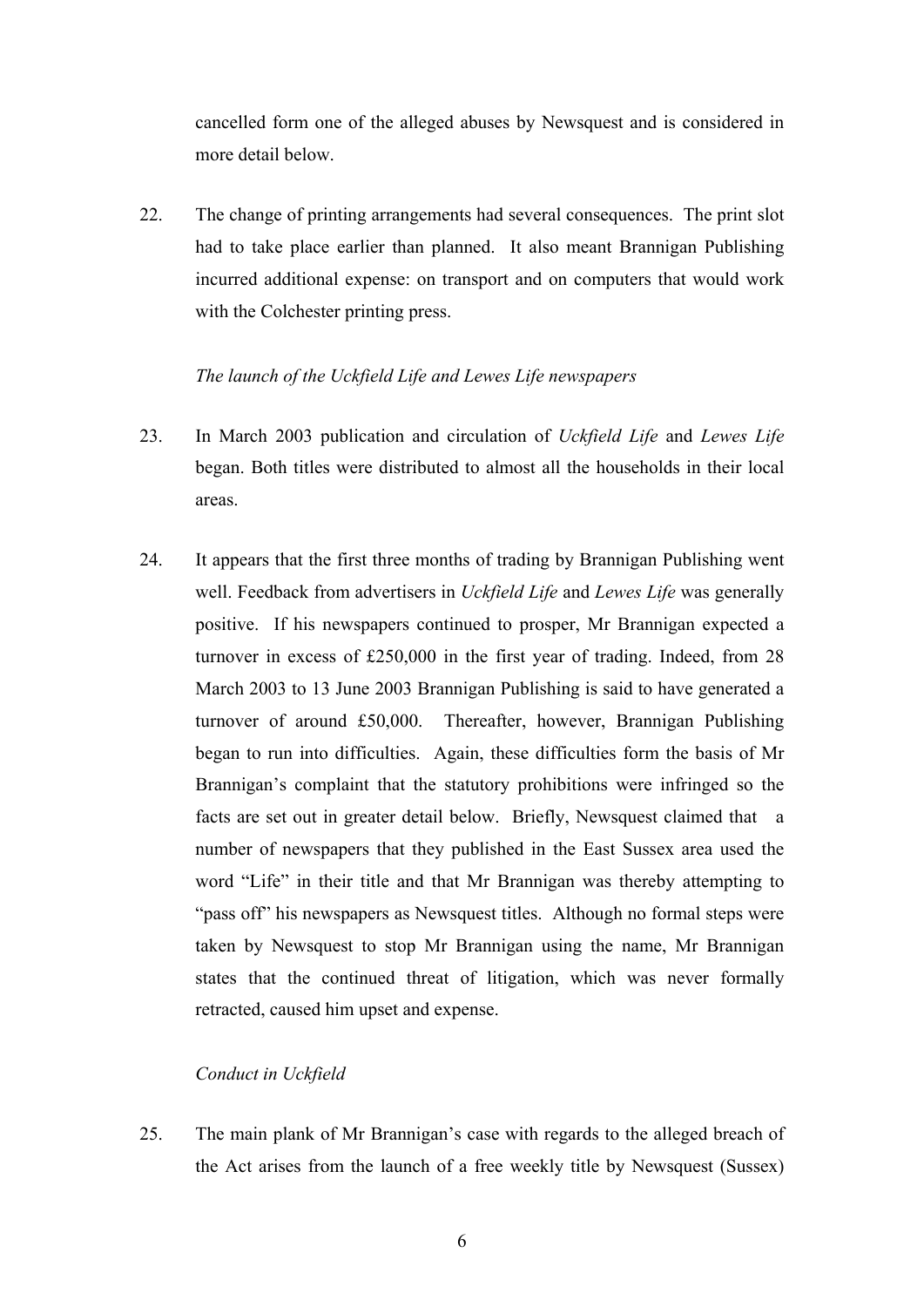cancelled form one of the alleged abuses by Newsquest and is considered in more detail below.

22. The change of printing arrangements had several consequences. The print slot had to take place earlier than planned. It also meant Brannigan Publishing incurred additional expense: on transport and on computers that would work with the Colchester printing press.

## *The launch of the Uckfield Life and Lewes Life newspapers*

- 23. In March 2003 publication and circulation of *Uckfield Life* and *Lewes Life* began. Both titles were distributed to almost all the households in their local areas.
- 24. It appears that the first three months of trading by Brannigan Publishing went well. Feedback from advertisers in *Uckfield Life* and *Lewes Life* was generally positive. If his newspapers continued to prosper, Mr Brannigan expected a turnover in excess of £250,000 in the first year of trading. Indeed, from 28 March 2003 to 13 June 2003 Brannigan Publishing is said to have generated a turnover of around £50,000. Thereafter, however, Brannigan Publishing began to run into difficulties. Again, these difficulties form the basis of Mr Brannigan's complaint that the statutory prohibitions were infringed so the facts are set out in greater detail below. Briefly, Newsquest claimed that a number of newspapers that they published in the East Sussex area used the word "Life" in their title and that Mr Brannigan was thereby attempting to "pass off" his newspapers as Newsquest titles. Although no formal steps were taken by Newsquest to stop Mr Brannigan using the name, Mr Brannigan states that the continued threat of litigation, which was never formally retracted, caused him upset and expense.

# *Conduct in Uckfield*

25. The main plank of Mr Brannigan's case with regards to the alleged breach of the Act arises from the launch of a free weekly title by Newsquest (Sussex)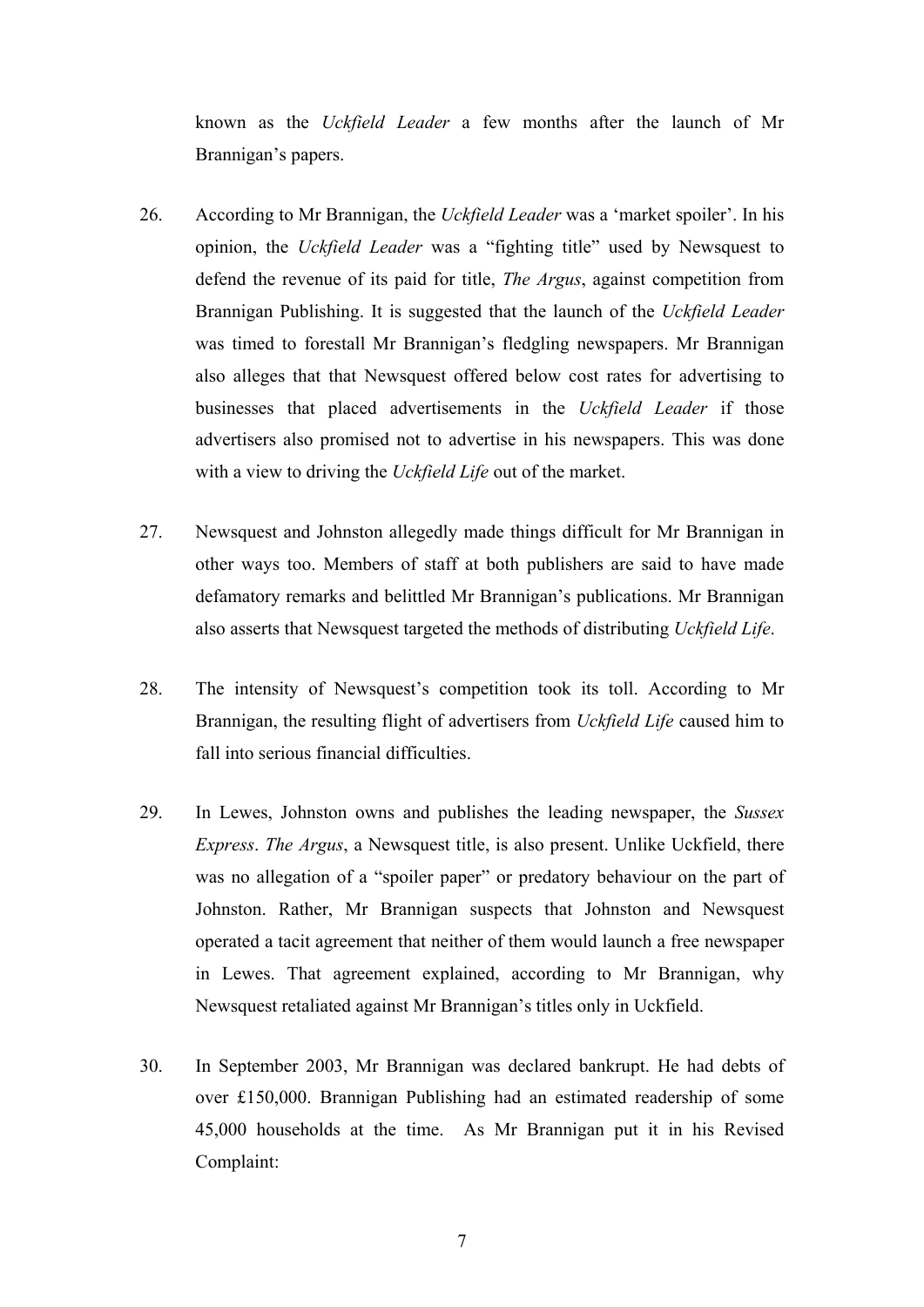known as the *Uckfield Leader* a few months after the launch of Mr Brannigan's papers.

- 26. According to Mr Brannigan, the *Uckfield Leader* was a 'market spoiler'. In his opinion, the *Uckfield Leader* was a "fighting title" used by Newsquest to defend the revenue of its paid for title, *The Argus*, against competition from Brannigan Publishing. It is suggested that the launch of the *Uckfield Leader*  was timed to forestall Mr Brannigan's fledgling newspapers. Mr Brannigan also alleges that that Newsquest offered below cost rates for advertising to businesses that placed advertisements in the *Uckfield Leader* if those advertisers also promised not to advertise in his newspapers. This was done with a view to driving the *Uckfield Life* out of the market.
- 27. Newsquest and Johnston allegedly made things difficult for Mr Brannigan in other ways too. Members of staff at both publishers are said to have made defamatory remarks and belittled Mr Brannigan's publications. Mr Brannigan also asserts that Newsquest targeted the methods of distributing *Uckfield Life*.
- 28. The intensity of Newsquest's competition took its toll. According to Mr Brannigan, the resulting flight of advertisers from *Uckfield Life* caused him to fall into serious financial difficulties.
- 29. In Lewes, Johnston owns and publishes the leading newspaper, the *Sussex Express*. *The Argus*, a Newsquest title, is also present. Unlike Uckfield, there was no allegation of a "spoiler paper" or predatory behaviour on the part of Johnston. Rather, Mr Brannigan suspects that Johnston and Newsquest operated a tacit agreement that neither of them would launch a free newspaper in Lewes. That agreement explained, according to Mr Brannigan, why Newsquest retaliated against Mr Brannigan's titles only in Uckfield.
- 30. In September 2003, Mr Brannigan was declared bankrupt. He had debts of over £150,000. Brannigan Publishing had an estimated readership of some 45,000 households at the time. As Mr Brannigan put it in his Revised Complaint: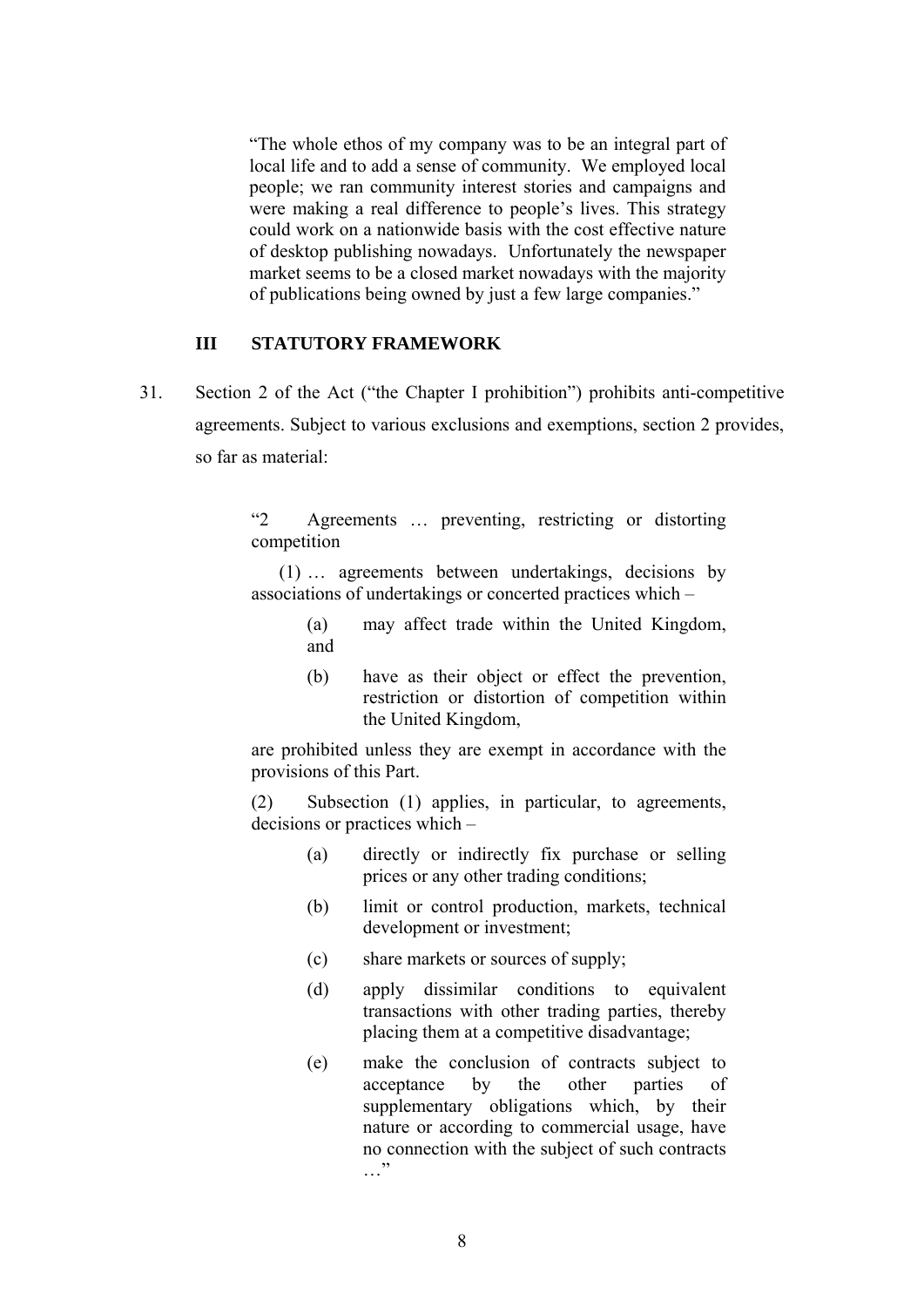"The whole ethos of my company was to be an integral part of local life and to add a sense of community. We employed local people; we ran community interest stories and campaigns and were making a real difference to people's lives. This strategy could work on a nationwide basis with the cost effective nature of desktop publishing nowadays. Unfortunately the newspaper market seems to be a closed market nowadays with the majority of publications being owned by just a few large companies."

### **III STATUTORY FRAMEWORK**

31. Section 2 of the Act ("the Chapter I prohibition") prohibits anti-competitive agreements. Subject to various exclusions and exemptions, section 2 provides, so far as material:

> "2 Agreements … preventing, restricting or distorting competition

> (1) … agreements between undertakings, decisions by associations of undertakings or concerted practices which –

> > (a) may affect trade within the United Kingdom, and

> > (b) have as their object or effect the prevention, restriction or distortion of competition within the United Kingdom,

are prohibited unless they are exempt in accordance with the provisions of this Part.

(2) Subsection (1) applies, in particular, to agreements, decisions or practices which –

- (a) directly or indirectly fix purchase or selling prices or any other trading conditions;
- (b) limit or control production, markets, technical development or investment;
- (c) share markets or sources of supply;
- (d) apply dissimilar conditions to equivalent transactions with other trading parties, thereby placing them at a competitive disadvantage;
- (e) make the conclusion of contracts subject to acceptance by the other parties of supplementary obligations which, by their nature or according to commercial usage, have no connection with the subject of such contracts  $\cdots$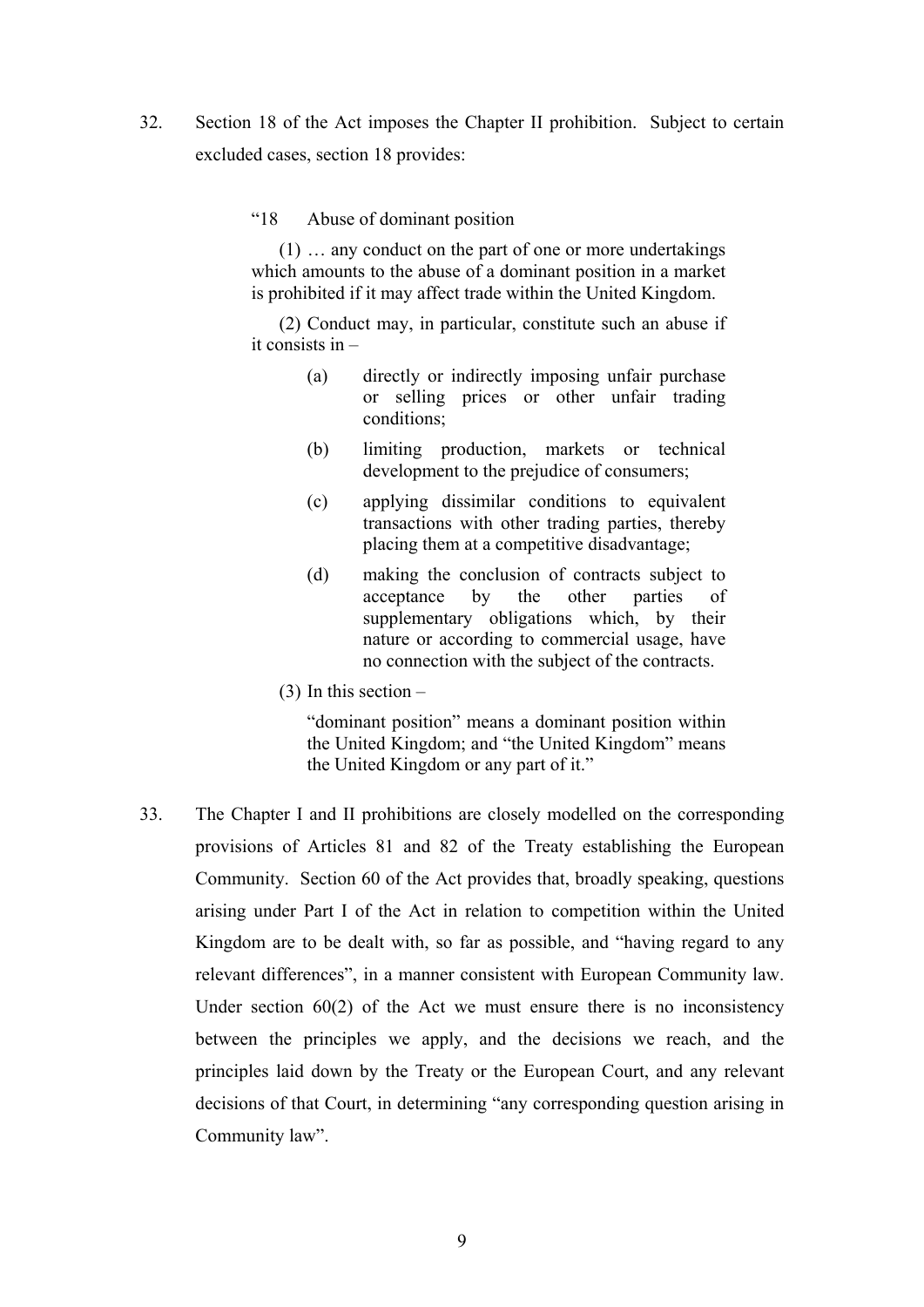- 32. Section 18 of the Act imposes the Chapter II prohibition. Subject to certain excluded cases, section 18 provides:
	- "18 Abuse of dominant position

(1) … any conduct on the part of one or more undertakings which amounts to the abuse of a dominant position in a market is prohibited if it may affect trade within the United Kingdom.

(2) Conduct may, in particular, constitute such an abuse if it consists in –

- (a) directly or indirectly imposing unfair purchase or selling prices or other unfair trading conditions;
- (b) limiting production, markets or technical development to the prejudice of consumers;
- (c) applying dissimilar conditions to equivalent transactions with other trading parties, thereby placing them at a competitive disadvantage;
- (d) making the conclusion of contracts subject to acceptance by the other parties of supplementary obligations which, by their nature or according to commercial usage, have no connection with the subject of the contracts.
- (3) In this section –

"dominant position" means a dominant position within the United Kingdom; and "the United Kingdom" means the United Kingdom or any part of it."

33. The Chapter I and II prohibitions are closely modelled on the corresponding provisions of Articles 81 and 82 of the Treaty establishing the European Community. Section 60 of the Act provides that, broadly speaking, questions arising under Part I of the Act in relation to competition within the United Kingdom are to be dealt with, so far as possible, and "having regard to any relevant differences", in a manner consistent with European Community law. Under section 60(2) of the Act we must ensure there is no inconsistency between the principles we apply, and the decisions we reach, and the principles laid down by the Treaty or the European Court, and any relevant decisions of that Court, in determining "any corresponding question arising in Community law".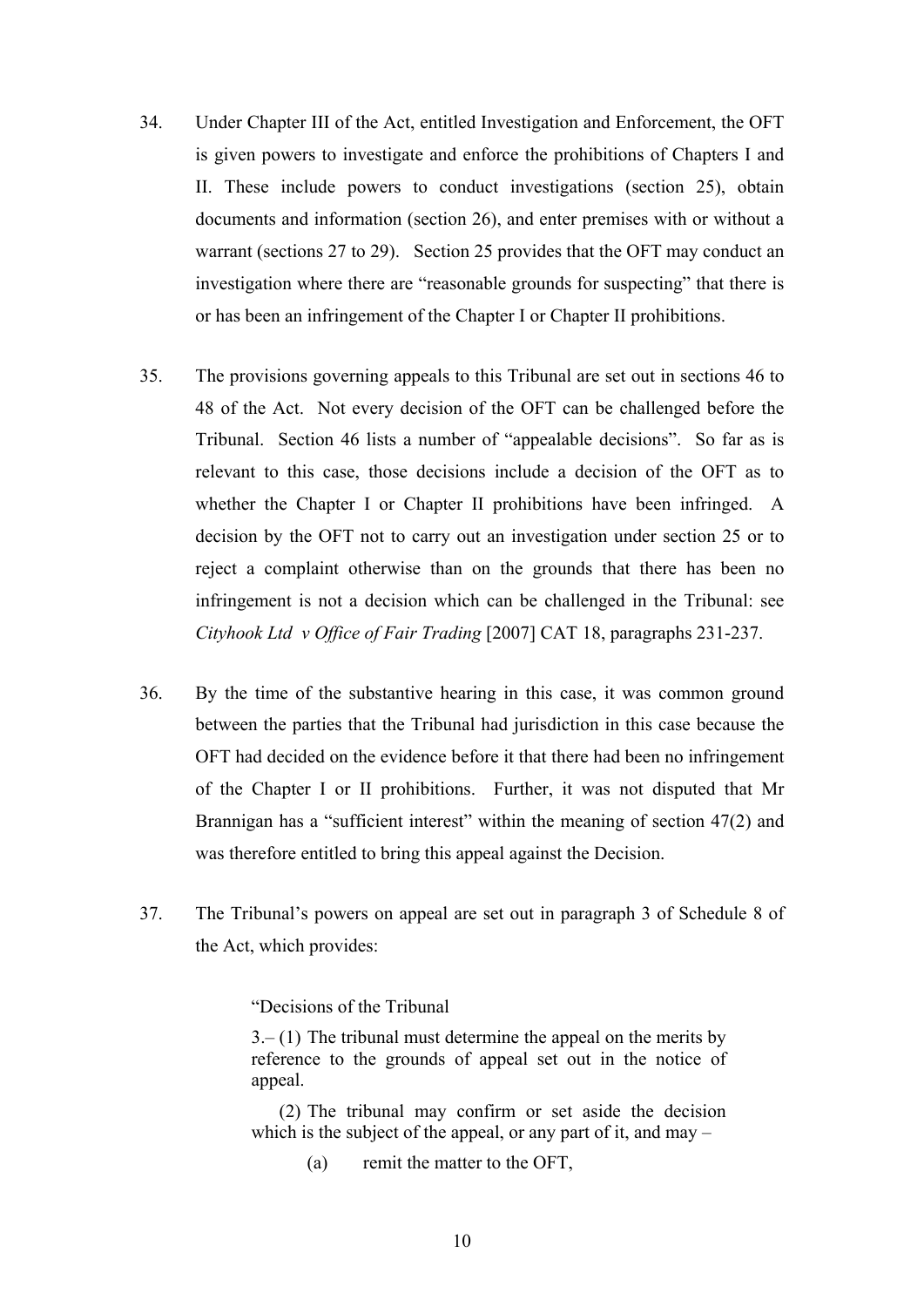- 34. Under Chapter III of the Act, entitled Investigation and Enforcement, the OFT is given powers to investigate and enforce the prohibitions of Chapters I and II. These include powers to conduct investigations (section 25), obtain documents and information (section 26), and enter premises with or without a warrant (sections 27 to 29). Section 25 provides that the OFT may conduct an investigation where there are "reasonable grounds for suspecting" that there is or has been an infringement of the Chapter I or Chapter II prohibitions.
- 35. The provisions governing appeals to this Tribunal are set out in sections 46 to 48 of the Act. Not every decision of the OFT can be challenged before the Tribunal. Section 46 lists a number of "appealable decisions". So far as is relevant to this case, those decisions include a decision of the OFT as to whether the Chapter I or Chapter II prohibitions have been infringed. A decision by the OFT not to carry out an investigation under section 25 or to reject a complaint otherwise than on the grounds that there has been no infringement is not a decision which can be challenged in the Tribunal: see *Cityhook Ltd v Office of Fair Trading* [2007] CAT 18, paragraphs 231-237.
- 36. By the time of the substantive hearing in this case, it was common ground between the parties that the Tribunal had jurisdiction in this case because the OFT had decided on the evidence before it that there had been no infringement of the Chapter I or II prohibitions. Further, it was not disputed that Mr Brannigan has a "sufficient interest" within the meaning of section 47(2) and was therefore entitled to bring this appeal against the Decision.
- 37. The Tribunal's powers on appeal are set out in paragraph 3 of Schedule 8 of the Act, which provides:

"Decisions of the Tribunal

 $3-(1)$  The tribunal must determine the appeal on the merits by reference to the grounds of appeal set out in the notice of appeal.

(2) The tribunal may confirm or set aside the decision which is the subject of the appeal, or any part of it, and may  $-$ 

(a) remit the matter to the OFT,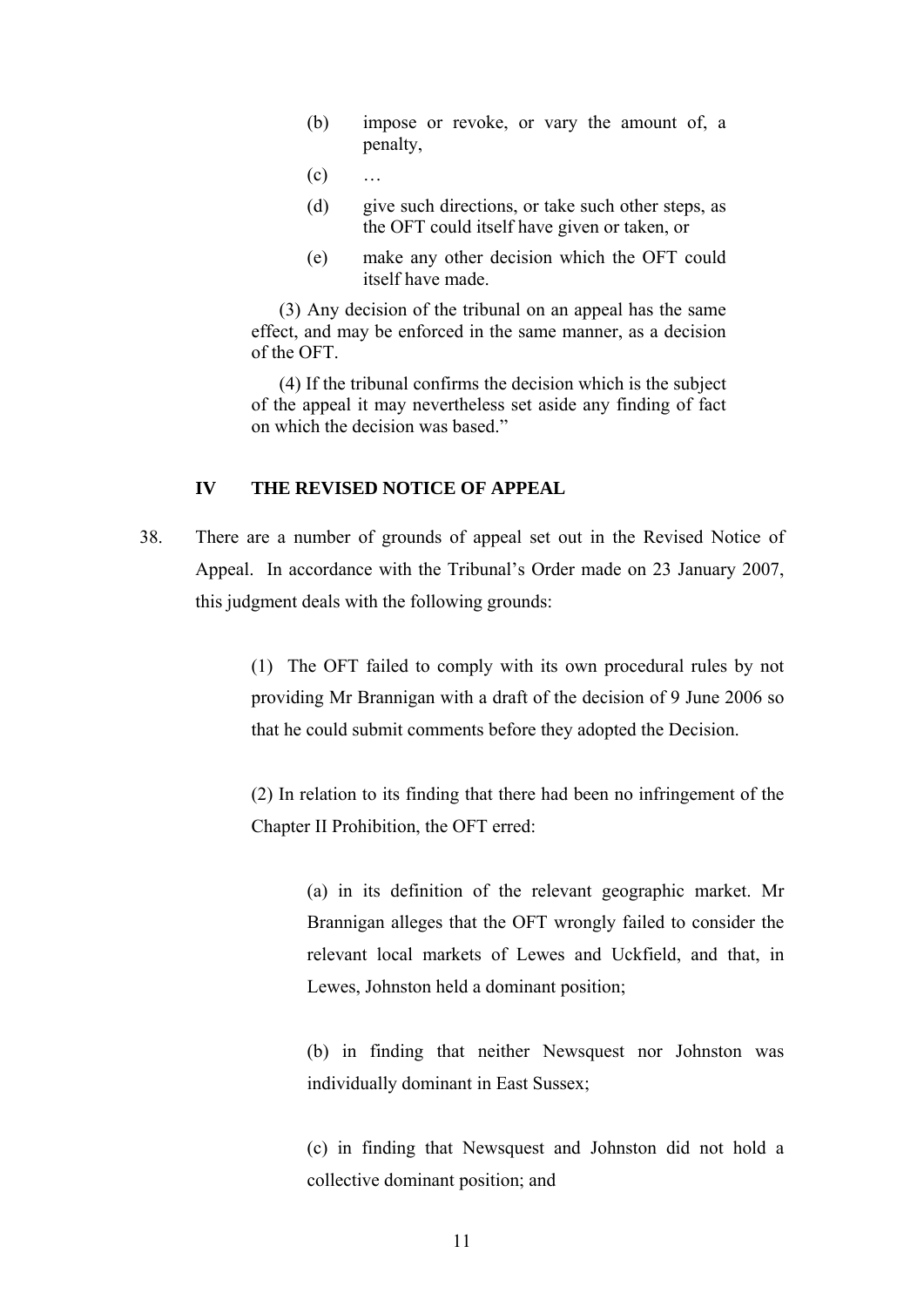- (b) impose or revoke, or vary the amount of, a penalty,
- $(c)$  …
- (d) give such directions, or take such other steps, as the OFT could itself have given or taken, or
- (e) make any other decision which the OFT could itself have made.

(3) Any decision of the tribunal on an appeal has the same effect, and may be enforced in the same manner, as a decision of the OFT.

(4) If the tribunal confirms the decision which is the subject of the appeal it may nevertheless set aside any finding of fact on which the decision was based."

### **IV THE REVISED NOTICE OF APPEAL**

38. There are a number of grounds of appeal set out in the Revised Notice of Appeal. In accordance with the Tribunal's Order made on 23 January 2007, this judgment deals with the following grounds:

> (1) The OFT failed to comply with its own procedural rules by not providing Mr Brannigan with a draft of the decision of 9 June 2006 so that he could submit comments before they adopted the Decision.

> (2) In relation to its finding that there had been no infringement of the Chapter II Prohibition, the OFT erred:

> > (a) in its definition of the relevant geographic market. Mr Brannigan alleges that the OFT wrongly failed to consider the relevant local markets of Lewes and Uckfield, and that, in Lewes, Johnston held a dominant position;

> > (b) in finding that neither Newsquest nor Johnston was individually dominant in East Sussex;

> > (c) in finding that Newsquest and Johnston did not hold a collective dominant position; and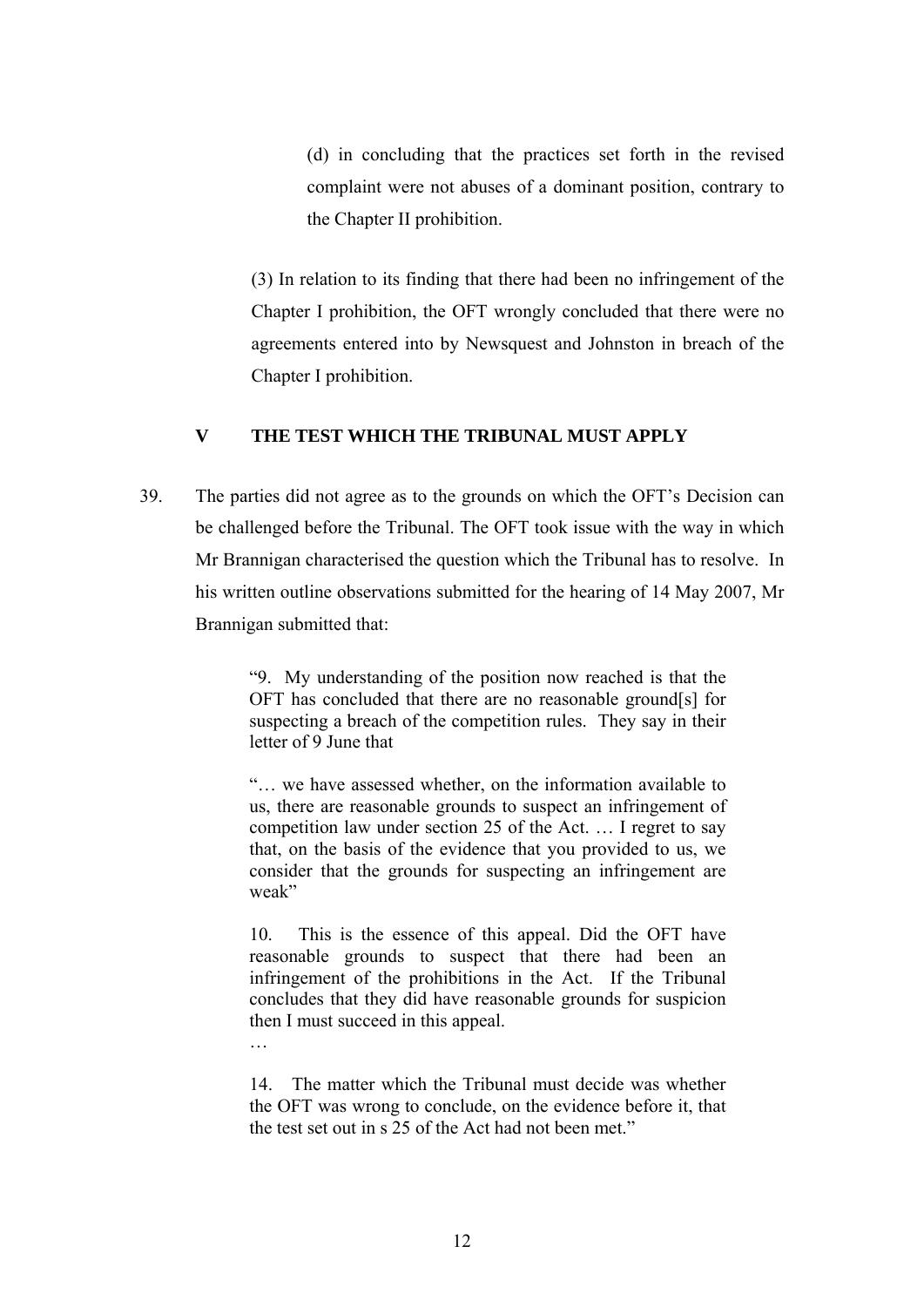(d) in concluding that the practices set forth in the revised complaint were not abuses of a dominant position, contrary to the Chapter II prohibition.

(3) In relation to its finding that there had been no infringement of the Chapter I prohibition, the OFT wrongly concluded that there were no agreements entered into by Newsquest and Johnston in breach of the Chapter I prohibition.

## **V THE TEST WHICH THE TRIBUNAL MUST APPLY**

39. The parties did not agree as to the grounds on which the OFT's Decision can be challenged before the Tribunal. The OFT took issue with the way in which Mr Brannigan characterised the question which the Tribunal has to resolve. In his written outline observations submitted for the hearing of 14 May 2007, Mr Brannigan submitted that:

> "9. My understanding of the position now reached is that the OFT has concluded that there are no reasonable ground[s] for suspecting a breach of the competition rules. They say in their letter of 9 June that

> "… we have assessed whether, on the information available to us, there are reasonable grounds to suspect an infringement of competition law under section 25 of the Act. … I regret to say that, on the basis of the evidence that you provided to us, we consider that the grounds for suspecting an infringement are weak"

> 10. This is the essence of this appeal. Did the OFT have reasonable grounds to suspect that there had been an infringement of the prohibitions in the Act. If the Tribunal concludes that they did have reasonable grounds for suspicion then I must succeed in this appeal.

> 14. The matter which the Tribunal must decide was whether the OFT was wrong to conclude, on the evidence before it, that the test set out in s 25 of the Act had not been met."

…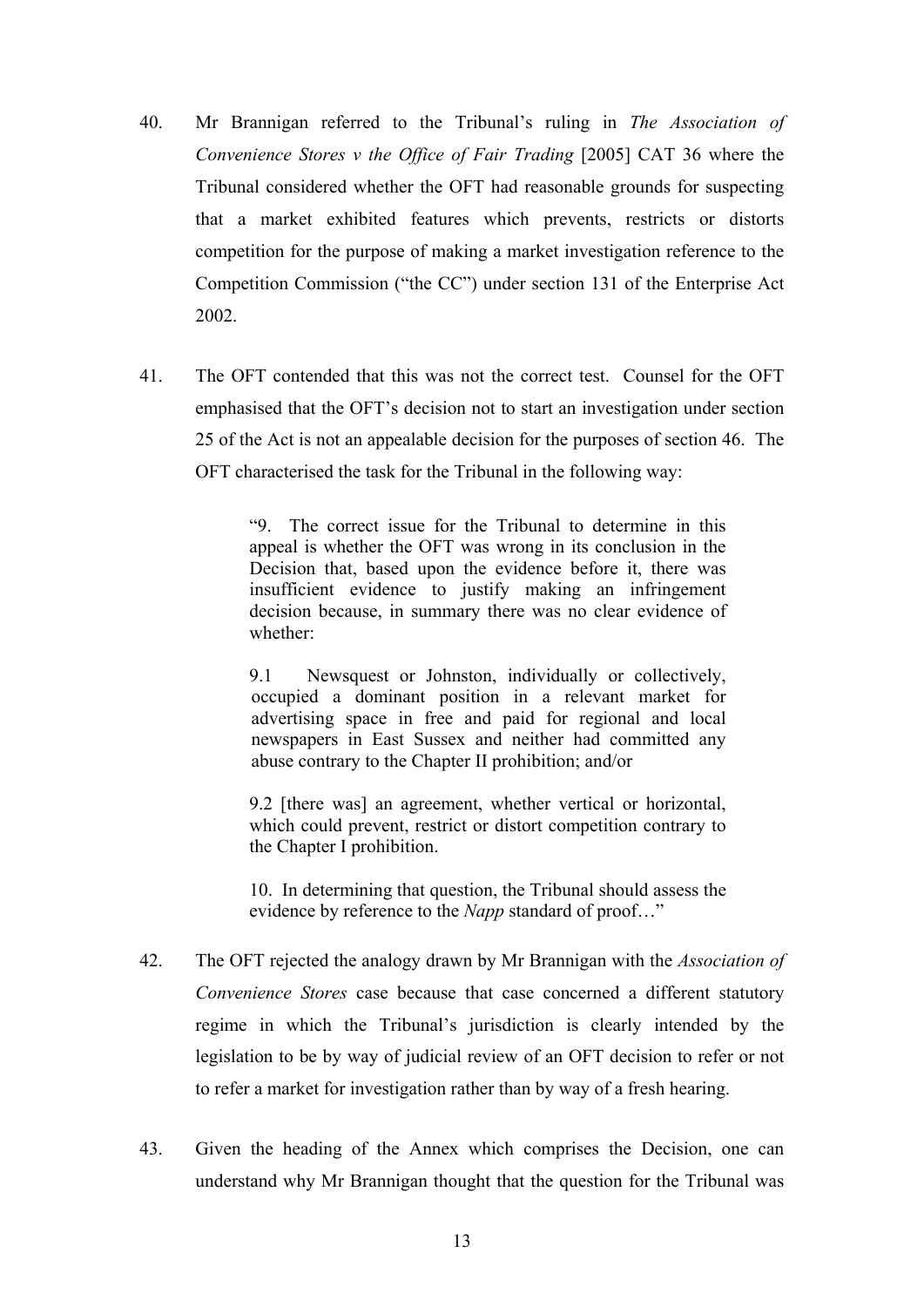- 40. Mr Brannigan referred to the Tribunal's ruling in *The Association of Convenience Stores v the Office of Fair Trading* [2005] CAT 36 where the Tribunal considered whether the OFT had reasonable grounds for suspecting that a market exhibited features which prevents, restricts or distorts competition for the purpose of making a market investigation reference to the Competition Commission ("the CC") under section 131 of the Enterprise Act 2002.
- 41. The OFT contended that this was not the correct test. Counsel for the OFT emphasised that the OFT's decision not to start an investigation under section 25 of the Act is not an appealable decision for the purposes of section 46. The OFT characterised the task for the Tribunal in the following way:

"9. The correct issue for the Tribunal to determine in this appeal is whether the OFT was wrong in its conclusion in the Decision that, based upon the evidence before it, there was insufficient evidence to justify making an infringement decision because, in summary there was no clear evidence of whether:

9.1 Newsquest or Johnston, individually or collectively, occupied a dominant position in a relevant market for advertising space in free and paid for regional and local newspapers in East Sussex and neither had committed any abuse contrary to the Chapter II prohibition; and/or

9.2 [there was] an agreement, whether vertical or horizontal, which could prevent, restrict or distort competition contrary to the Chapter I prohibition.

10. In determining that question, the Tribunal should assess the evidence by reference to the *Napp* standard of proof…"

- 42. The OFT rejected the analogy drawn by Mr Brannigan with the *Association of Convenience Stores* case because that case concerned a different statutory regime in which the Tribunal's jurisdiction is clearly intended by the legislation to be by way of judicial review of an OFT decision to refer or not to refer a market for investigation rather than by way of a fresh hearing.
- 43. Given the heading of the Annex which comprises the Decision, one can understand why Mr Brannigan thought that the question for the Tribunal was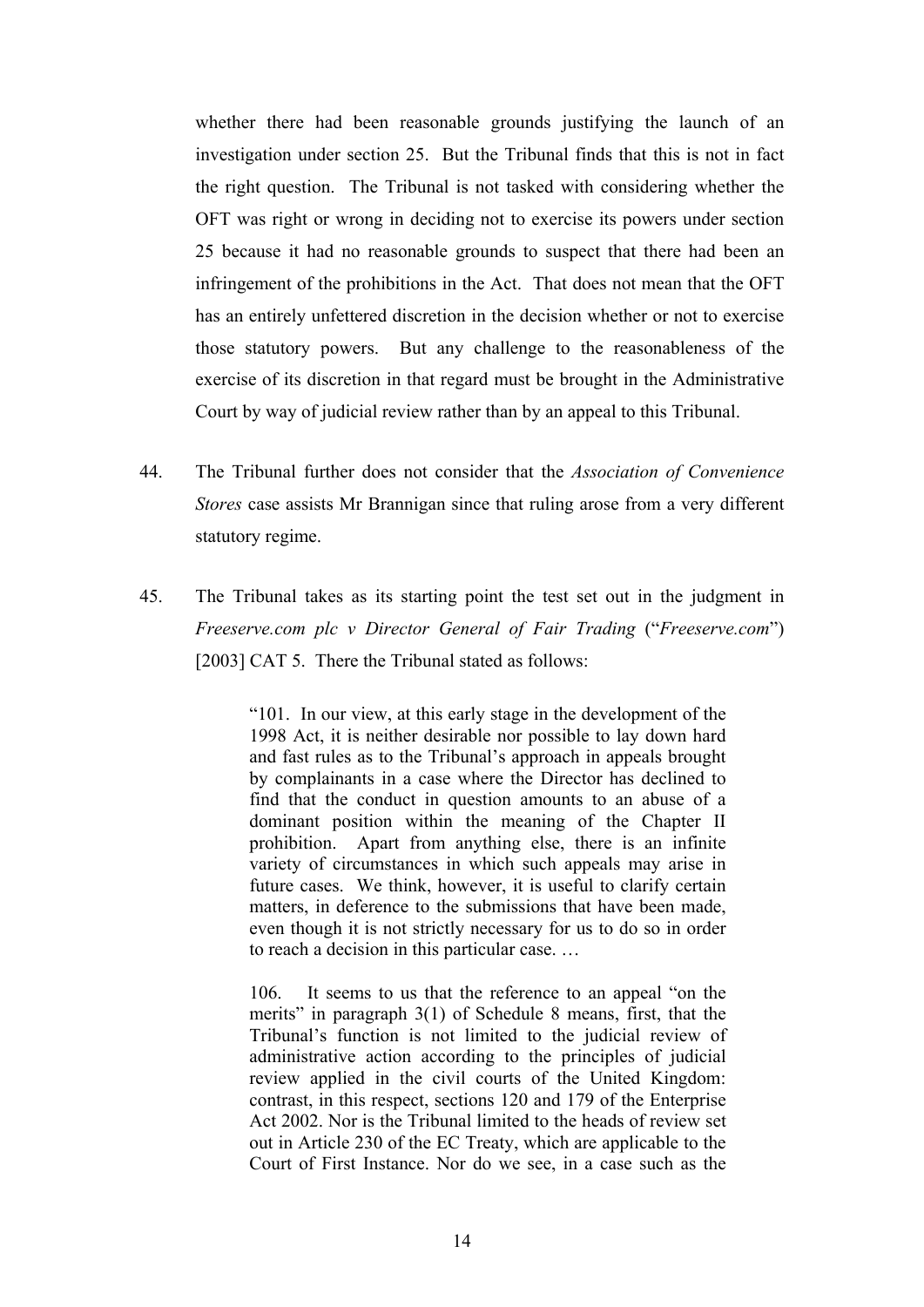whether there had been reasonable grounds justifying the launch of an investigation under section 25. But the Tribunal finds that this is not in fact the right question. The Tribunal is not tasked with considering whether the OFT was right or wrong in deciding not to exercise its powers under section 25 because it had no reasonable grounds to suspect that there had been an infringement of the prohibitions in the Act. That does not mean that the OFT has an entirely unfettered discretion in the decision whether or not to exercise those statutory powers. But any challenge to the reasonableness of the exercise of its discretion in that regard must be brought in the Administrative Court by way of judicial review rather than by an appeal to this Tribunal.

- 44. The Tribunal further does not consider that the *Association of Convenience Stores* case assists Mr Brannigan since that ruling arose from a very different statutory regime.
- 45. The Tribunal takes as its starting point the test set out in the judgment in *Freeserve.com plc v Director General of Fair Trading* ("*Freeserve.com*") [2003] CAT 5. There the Tribunal stated as follows:

"101. In our view, at this early stage in the development of the 1998 Act, it is neither desirable nor possible to lay down hard and fast rules as to the Tribunal's approach in appeals brought by complainants in a case where the Director has declined to find that the conduct in question amounts to an abuse of a dominant position within the meaning of the Chapter II prohibition. Apart from anything else, there is an infinite variety of circumstances in which such appeals may arise in future cases. We think, however, it is useful to clarify certain matters, in deference to the submissions that have been made, even though it is not strictly necessary for us to do so in order to reach a decision in this particular case. …

106. It seems to us that the reference to an appeal "on the merits" in paragraph 3(1) of Schedule 8 means, first, that the Tribunal's function is not limited to the judicial review of administrative action according to the principles of judicial review applied in the civil courts of the United Kingdom: contrast, in this respect, sections 120 and 179 of the Enterprise Act 2002. Nor is the Tribunal limited to the heads of review set out in Article 230 of the EC Treaty, which are applicable to the Court of First Instance. Nor do we see, in a case such as the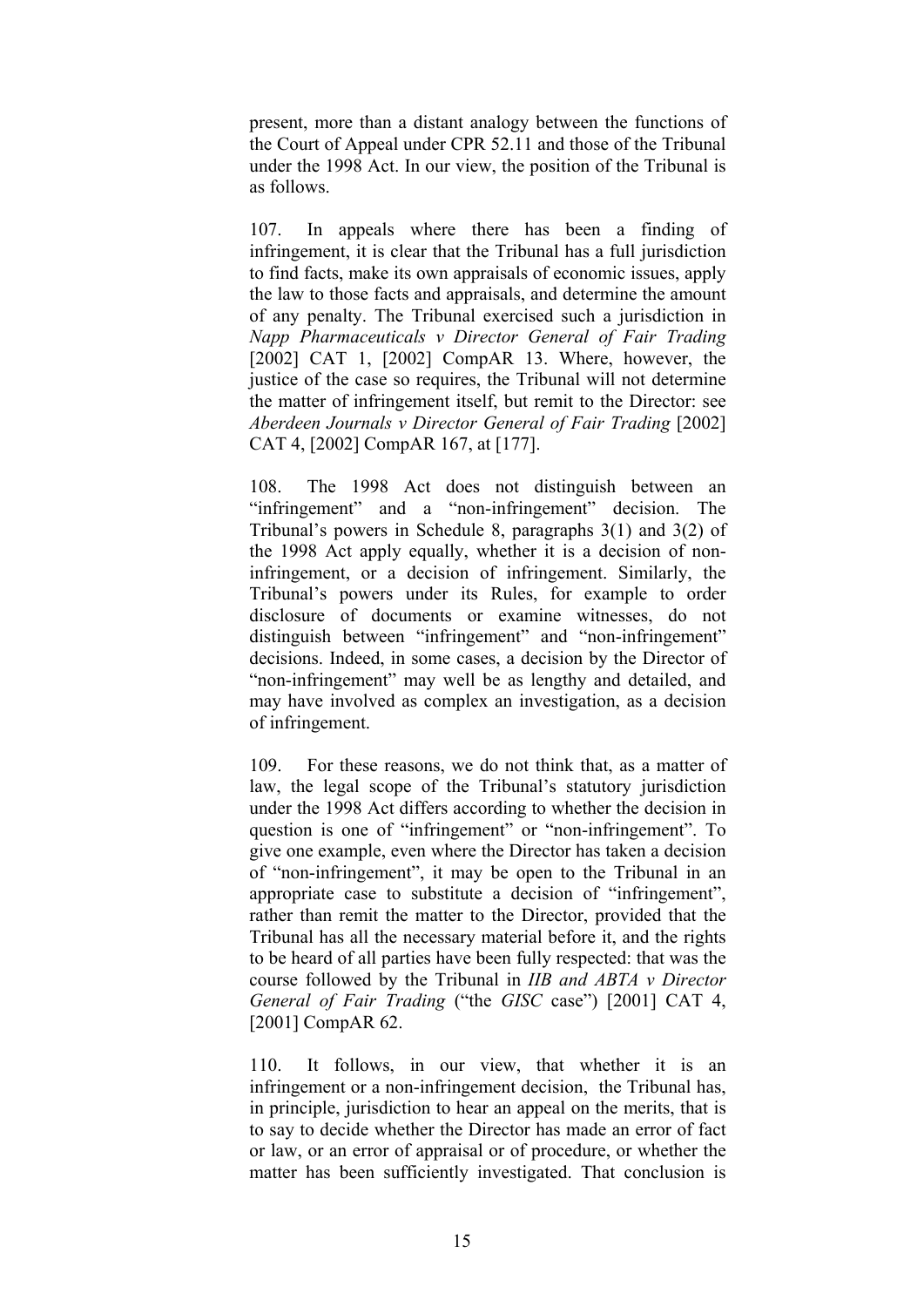present, more than a distant analogy between the functions of the Court of Appeal under CPR 52.11 and those of the Tribunal under the 1998 Act. In our view, the position of the Tribunal is as follows.

107. In appeals where there has been a finding of infringement, it is clear that the Tribunal has a full jurisdiction to find facts, make its own appraisals of economic issues, apply the law to those facts and appraisals, and determine the amount of any penalty. The Tribunal exercised such a jurisdiction in *Napp Pharmaceuticals v Director General of Fair Trading*  [2002] CAT 1, [2002] CompAR 13. Where, however, the justice of the case so requires, the Tribunal will not determine the matter of infringement itself, but remit to the Director: see *Aberdeen Journals v Director General of Fair Trading* [2002] CAT 4, [2002] CompAR 167, at [177].

108. The 1998 Act does not distinguish between an "infringement" and a "non-infringement" decision. The Tribunal's powers in Schedule 8, paragraphs 3(1) and 3(2) of the 1998 Act apply equally, whether it is a decision of noninfringement, or a decision of infringement. Similarly, the Tribunal's powers under its Rules, for example to order disclosure of documents or examine witnesses, do not distinguish between "infringement" and "non-infringement" decisions. Indeed, in some cases, a decision by the Director of "non-infringement" may well be as lengthy and detailed, and may have involved as complex an investigation, as a decision of infringement.

109. For these reasons, we do not think that, as a matter of law, the legal scope of the Tribunal's statutory jurisdiction under the 1998 Act differs according to whether the decision in question is one of "infringement" or "non-infringement". To give one example, even where the Director has taken a decision of "non-infringement", it may be open to the Tribunal in an appropriate case to substitute a decision of "infringement", rather than remit the matter to the Director, provided that the Tribunal has all the necessary material before it, and the rights to be heard of all parties have been fully respected: that was the course followed by the Tribunal in *IIB and ABTA v Director General of Fair Trading* ("the *GISC* case") [2001] CAT 4, [2001] CompAR 62.

110. It follows, in our view, that whether it is an infringement or a non-infringement decision, the Tribunal has, in principle, jurisdiction to hear an appeal on the merits, that is to say to decide whether the Director has made an error of fact or law, or an error of appraisal or of procedure, or whether the matter has been sufficiently investigated. That conclusion is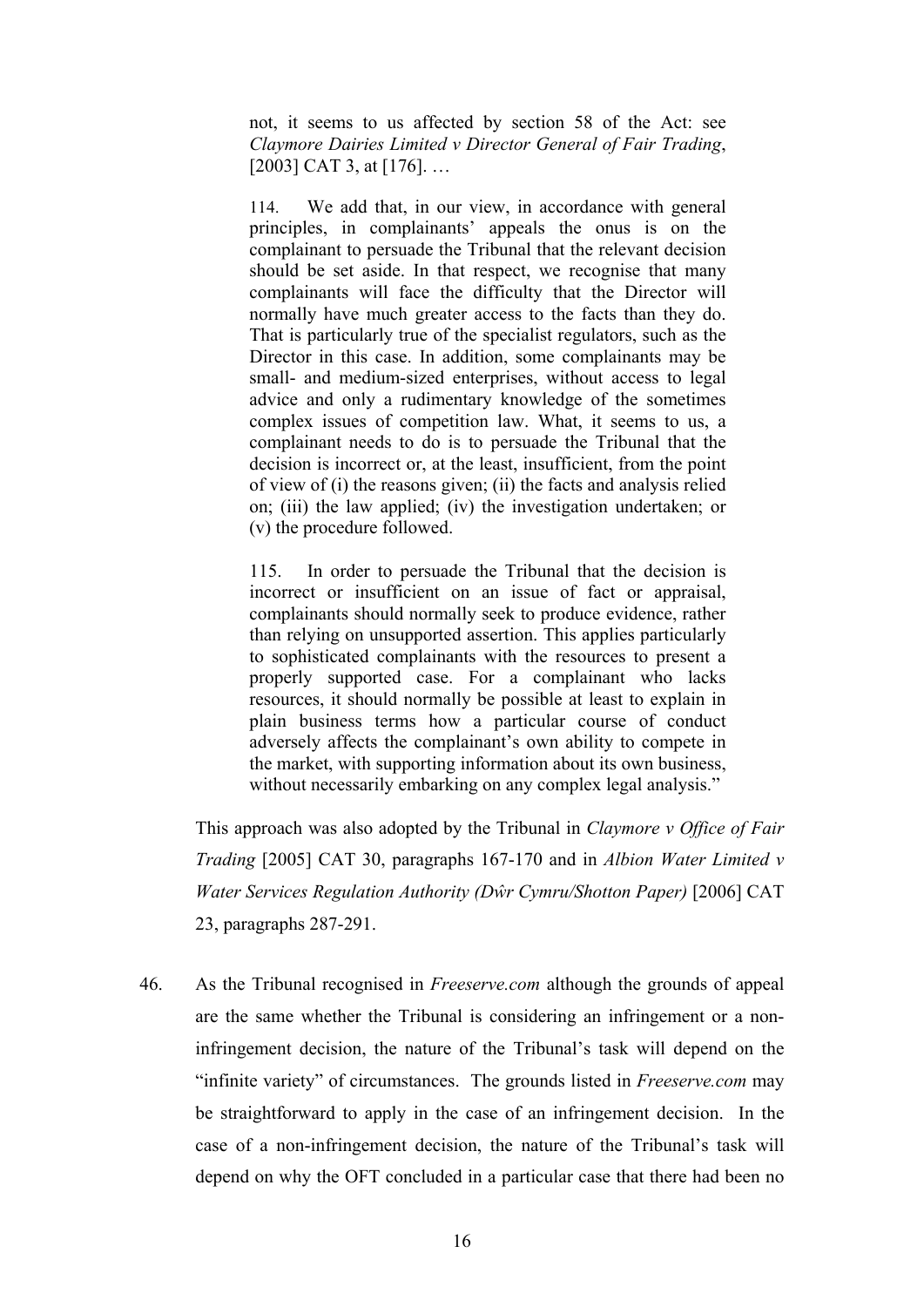not, it seems to us affected by section 58 of the Act: see *Claymore Dairies Limited v Director General of Fair Trading*, [2003] CAT 3, at [176]. ...

114. We add that, in our view, in accordance with general principles, in complainants' appeals the onus is on the complainant to persuade the Tribunal that the relevant decision should be set aside. In that respect, we recognise that many complainants will face the difficulty that the Director will normally have much greater access to the facts than they do. That is particularly true of the specialist regulators, such as the Director in this case. In addition, some complainants may be small- and medium-sized enterprises, without access to legal advice and only a rudimentary knowledge of the sometimes complex issues of competition law. What, it seems to us, a complainant needs to do is to persuade the Tribunal that the decision is incorrect or, at the least, insufficient, from the point of view of (i) the reasons given; (ii) the facts and analysis relied on; (iii) the law applied; (iv) the investigation undertaken; or (v) the procedure followed.

115. In order to persuade the Tribunal that the decision is incorrect or insufficient on an issue of fact or appraisal, complainants should normally seek to produce evidence, rather than relying on unsupported assertion. This applies particularly to sophisticated complainants with the resources to present a properly supported case. For a complainant who lacks resources, it should normally be possible at least to explain in plain business terms how a particular course of conduct adversely affects the complainant's own ability to compete in the market, with supporting information about its own business, without necessarily embarking on any complex legal analysis."

This approach was also adopted by the Tribunal in *Claymore v Office of Fair Trading* [2005] CAT 30, paragraphs 167-170 and in *Albion Water Limited v Water Services Regulation Authority (Dŵr Cymru/Shotton Paper)* [2006] CAT 23, paragraphs 287-291.

46. As the Tribunal recognised in *Freeserve.com* although the grounds of appeal are the same whether the Tribunal is considering an infringement or a noninfringement decision, the nature of the Tribunal's task will depend on the "infinite variety" of circumstances. The grounds listed in *Freeserve.com* may be straightforward to apply in the case of an infringement decision. In the case of a non-infringement decision, the nature of the Tribunal's task will depend on why the OFT concluded in a particular case that there had been no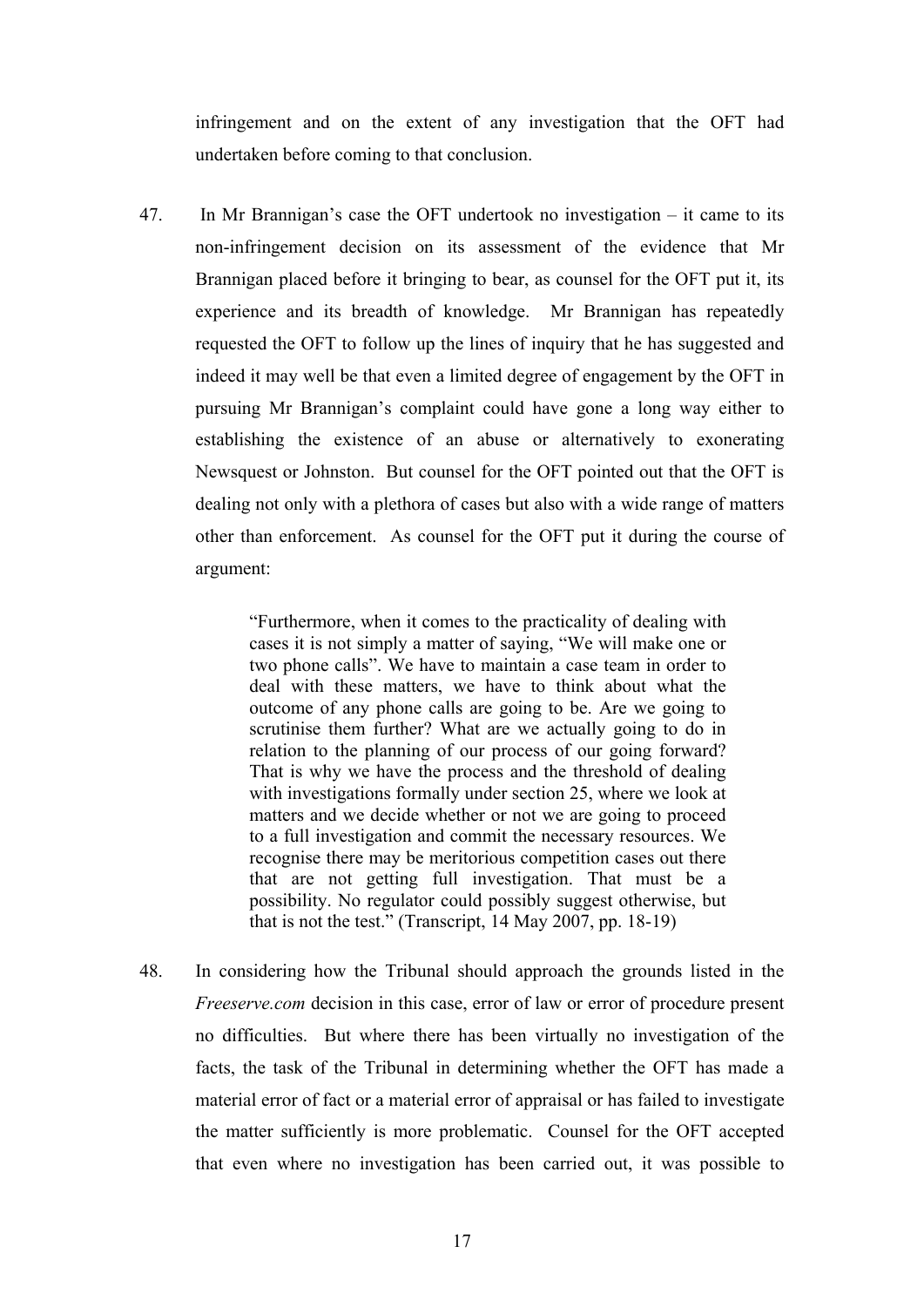infringement and on the extent of any investigation that the OFT had undertaken before coming to that conclusion.

47. In Mr Brannigan's case the OFT undertook no investigation – it came to its non-infringement decision on its assessment of the evidence that Mr Brannigan placed before it bringing to bear, as counsel for the OFT put it, its experience and its breadth of knowledge. Mr Brannigan has repeatedly requested the OFT to follow up the lines of inquiry that he has suggested and indeed it may well be that even a limited degree of engagement by the OFT in pursuing Mr Brannigan's complaint could have gone a long way either to establishing the existence of an abuse or alternatively to exonerating Newsquest or Johnston. But counsel for the OFT pointed out that the OFT is dealing not only with a plethora of cases but also with a wide range of matters other than enforcement. As counsel for the OFT put it during the course of argument:

> "Furthermore, when it comes to the practicality of dealing with cases it is not simply a matter of saying, "We will make one or two phone calls". We have to maintain a case team in order to deal with these matters, we have to think about what the outcome of any phone calls are going to be. Are we going to scrutinise them further? What are we actually going to do in relation to the planning of our process of our going forward? That is why we have the process and the threshold of dealing with investigations formally under section 25, where we look at matters and we decide whether or not we are going to proceed to a full investigation and commit the necessary resources. We recognise there may be meritorious competition cases out there that are not getting full investigation. That must be a possibility. No regulator could possibly suggest otherwise, but that is not the test." (Transcript, 14 May 2007, pp. 18-19)

48. In considering how the Tribunal should approach the grounds listed in the *Freeserve.com* decision in this case, error of law or error of procedure present no difficulties. But where there has been virtually no investigation of the facts, the task of the Tribunal in determining whether the OFT has made a material error of fact or a material error of appraisal or has failed to investigate the matter sufficiently is more problematic. Counsel for the OFT accepted that even where no investigation has been carried out, it was possible to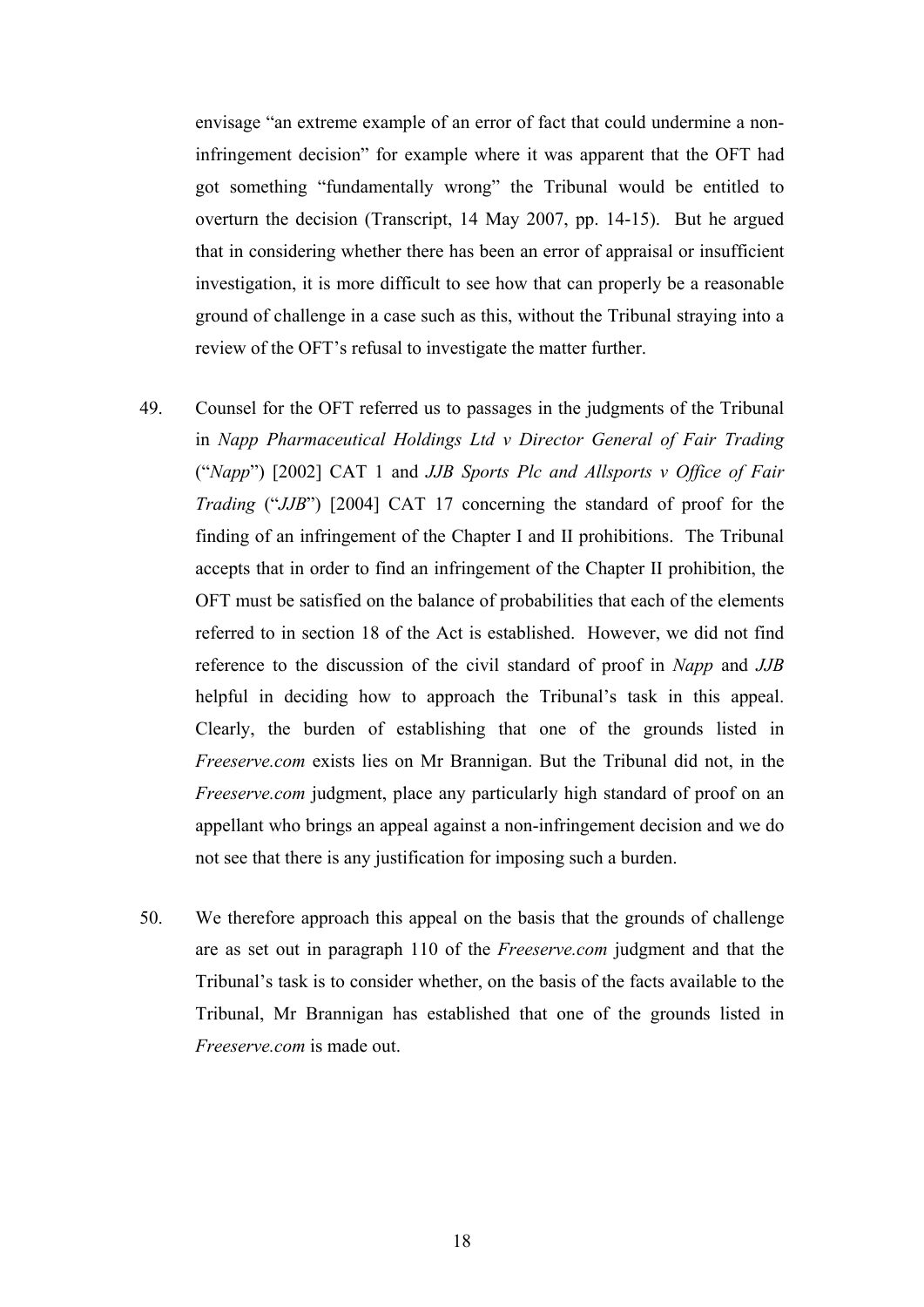envisage "an extreme example of an error of fact that could undermine a noninfringement decision" for example where it was apparent that the OFT had got something "fundamentally wrong" the Tribunal would be entitled to overturn the decision (Transcript, 14 May 2007, pp. 14-15). But he argued that in considering whether there has been an error of appraisal or insufficient investigation, it is more difficult to see how that can properly be a reasonable ground of challenge in a case such as this, without the Tribunal straying into a review of the OFT's refusal to investigate the matter further.

- 49. Counsel for the OFT referred us to passages in the judgments of the Tribunal in *Napp Pharmaceutical Holdings Ltd v Director General of Fair Trading*  ("*Napp*") [2002] CAT 1 and *JJB Sports Plc and Allsports v Office of Fair Trading* ("*JJB*") [2004] CAT 17 concerning the standard of proof for the finding of an infringement of the Chapter I and II prohibitions. The Tribunal accepts that in order to find an infringement of the Chapter II prohibition, the OFT must be satisfied on the balance of probabilities that each of the elements referred to in section 18 of the Act is established. However, we did not find reference to the discussion of the civil standard of proof in *Napp* and *JJB*  helpful in deciding how to approach the Tribunal's task in this appeal. Clearly, the burden of establishing that one of the grounds listed in *Freeserve.com* exists lies on Mr Brannigan. But the Tribunal did not, in the *Freeserve.com judgment*, place any particularly high standard of proof on an appellant who brings an appeal against a non-infringement decision and we do not see that there is any justification for imposing such a burden.
- 50. We therefore approach this appeal on the basis that the grounds of challenge are as set out in paragraph 110 of the *Freeserve.com* judgment and that the Tribunal's task is to consider whether, on the basis of the facts available to the Tribunal, Mr Brannigan has established that one of the grounds listed in *Freeserve.com* is made out.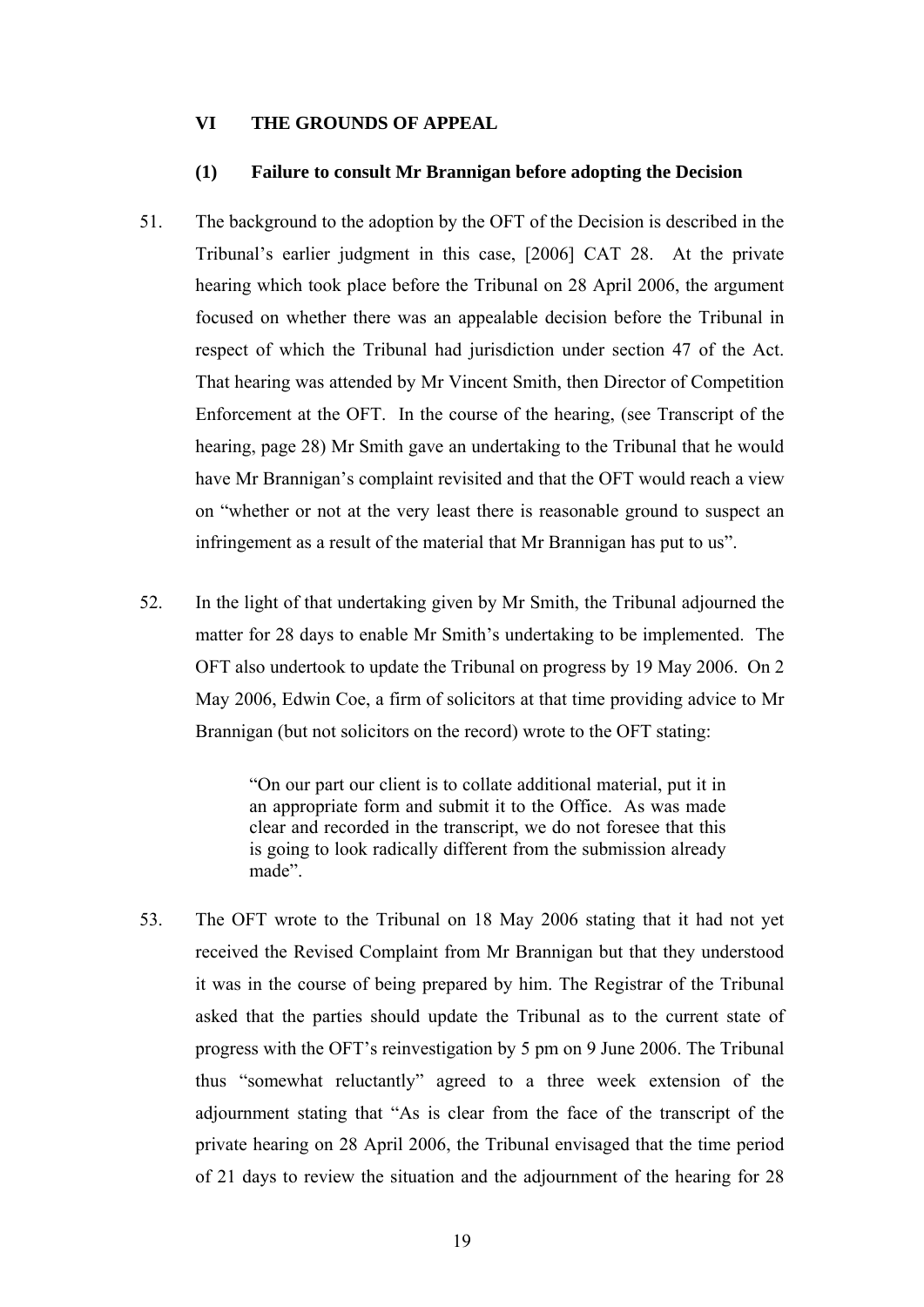### **VI THE GROUNDS OF APPEAL**

#### **(1) Failure to consult Mr Brannigan before adopting the Decision**

- 51. The background to the adoption by the OFT of the Decision is described in the Tribunal's earlier judgment in this case, [2006] CAT 28. At the private hearing which took place before the Tribunal on 28 April 2006, the argument focused on whether there was an appealable decision before the Tribunal in respect of which the Tribunal had jurisdiction under section 47 of the Act. That hearing was attended by Mr Vincent Smith, then Director of Competition Enforcement at the OFT. In the course of the hearing, (see Transcript of the hearing, page 28) Mr Smith gave an undertaking to the Tribunal that he would have Mr Brannigan's complaint revisited and that the OFT would reach a view on "whether or not at the very least there is reasonable ground to suspect an infringement as a result of the material that Mr Brannigan has put to us".
- 52. In the light of that undertaking given by Mr Smith, the Tribunal adjourned the matter for 28 days to enable Mr Smith's undertaking to be implemented. The OFT also undertook to update the Tribunal on progress by 19 May 2006. On 2 May 2006, Edwin Coe, a firm of solicitors at that time providing advice to Mr Brannigan (but not solicitors on the record) wrote to the OFT stating:

"On our part our client is to collate additional material, put it in an appropriate form and submit it to the Office. As was made clear and recorded in the transcript, we do not foresee that this is going to look radically different from the submission already made".

53. The OFT wrote to the Tribunal on 18 May 2006 stating that it had not yet received the Revised Complaint from Mr Brannigan but that they understood it was in the course of being prepared by him. The Registrar of the Tribunal asked that the parties should update the Tribunal as to the current state of progress with the OFT's reinvestigation by 5 pm on 9 June 2006. The Tribunal thus "somewhat reluctantly" agreed to a three week extension of the adjournment stating that "As is clear from the face of the transcript of the private hearing on 28 April 2006, the Tribunal envisaged that the time period of 21 days to review the situation and the adjournment of the hearing for 28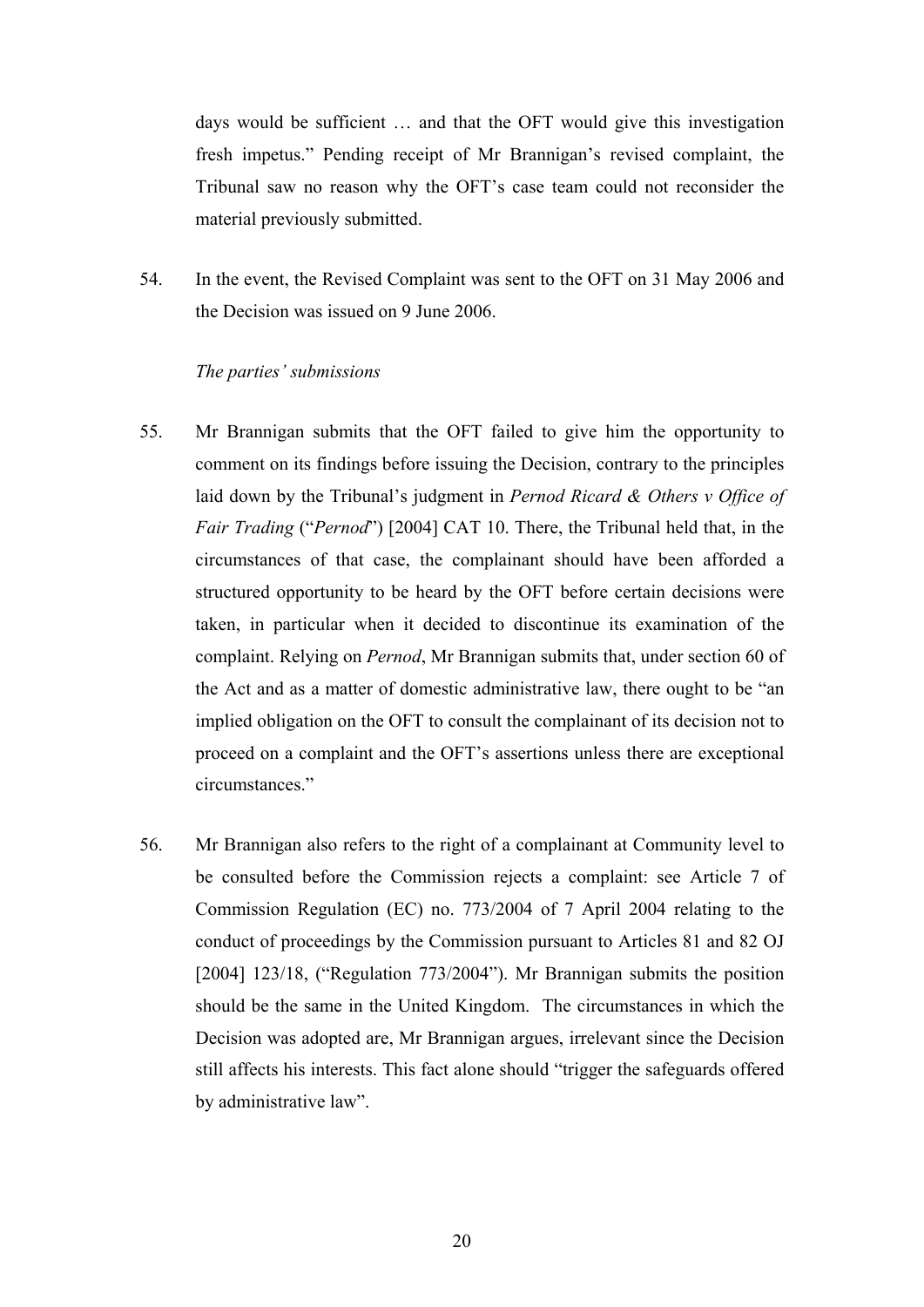days would be sufficient … and that the OFT would give this investigation fresh impetus." Pending receipt of Mr Brannigan's revised complaint, the Tribunal saw no reason why the OFT's case team could not reconsider the material previously submitted.

54. In the event, the Revised Complaint was sent to the OFT on 31 May 2006 and the Decision was issued on 9 June 2006.

### *The parties' submissions*

- 55. Mr Brannigan submits that the OFT failed to give him the opportunity to comment on its findings before issuing the Decision, contrary to the principles laid down by the Tribunal's judgment in *Pernod Ricard & Others v Office of Fair Trading* ("*Pernod*") [2004] CAT 10. There, the Tribunal held that, in the circumstances of that case, the complainant should have been afforded a structured opportunity to be heard by the OFT before certain decisions were taken, in particular when it decided to discontinue its examination of the complaint. Relying on *Pernod*, Mr Brannigan submits that, under section 60 of the Act and as a matter of domestic administrative law, there ought to be "an implied obligation on the OFT to consult the complainant of its decision not to proceed on a complaint and the OFT's assertions unless there are exceptional circumstances."
- 56. Mr Brannigan also refers to the right of a complainant at Community level to be consulted before the Commission rejects a complaint: see Article 7 of Commission Regulation (EC) no. 773/2004 of 7 April 2004 relating to the conduct of proceedings by the Commission pursuant to Articles 81 and 82 OJ [2004] 123/18, ("Regulation 773/2004"). Mr Brannigan submits the position should be the same in the United Kingdom. The circumstances in which the Decision was adopted are, Mr Brannigan argues, irrelevant since the Decision still affects his interests. This fact alone should "trigger the safeguards offered by administrative law".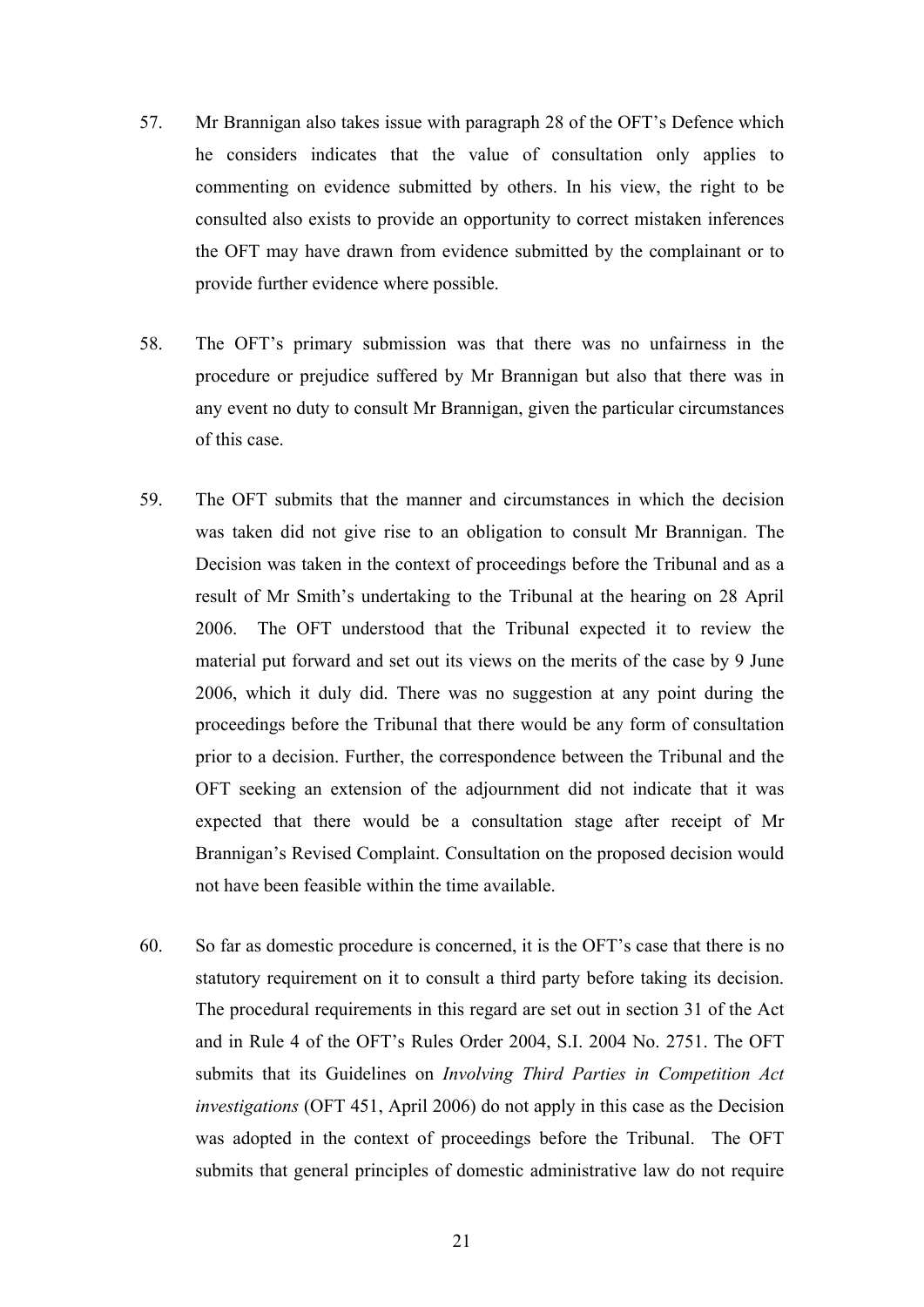- 57. Mr Brannigan also takes issue with paragraph 28 of the OFT's Defence which he considers indicates that the value of consultation only applies to commenting on evidence submitted by others. In his view, the right to be consulted also exists to provide an opportunity to correct mistaken inferences the OFT may have drawn from evidence submitted by the complainant or to provide further evidence where possible.
- 58. The OFT's primary submission was that there was no unfairness in the procedure or prejudice suffered by Mr Brannigan but also that there was in any event no duty to consult Mr Brannigan, given the particular circumstances of this case.
- 59. The OFT submits that the manner and circumstances in which the decision was taken did not give rise to an obligation to consult Mr Brannigan. The Decision was taken in the context of proceedings before the Tribunal and as a result of Mr Smith's undertaking to the Tribunal at the hearing on 28 April 2006. The OFT understood that the Tribunal expected it to review the material put forward and set out its views on the merits of the case by 9 June 2006, which it duly did. There was no suggestion at any point during the proceedings before the Tribunal that there would be any form of consultation prior to a decision. Further, the correspondence between the Tribunal and the OFT seeking an extension of the adjournment did not indicate that it was expected that there would be a consultation stage after receipt of Mr Brannigan's Revised Complaint. Consultation on the proposed decision would not have been feasible within the time available.
- 60. So far as domestic procedure is concerned, it is the OFT's case that there is no statutory requirement on it to consult a third party before taking its decision. The procedural requirements in this regard are set out in section 31 of the Act and in Rule 4 of the OFT's Rules Order 2004, S.I. 2004 No. 2751. The OFT submits that its Guidelines on *Involving Third Parties in Competition Act investigations* (OFT 451, April 2006) do not apply in this case as the Decision was adopted in the context of proceedings before the Tribunal. The OFT submits that general principles of domestic administrative law do not require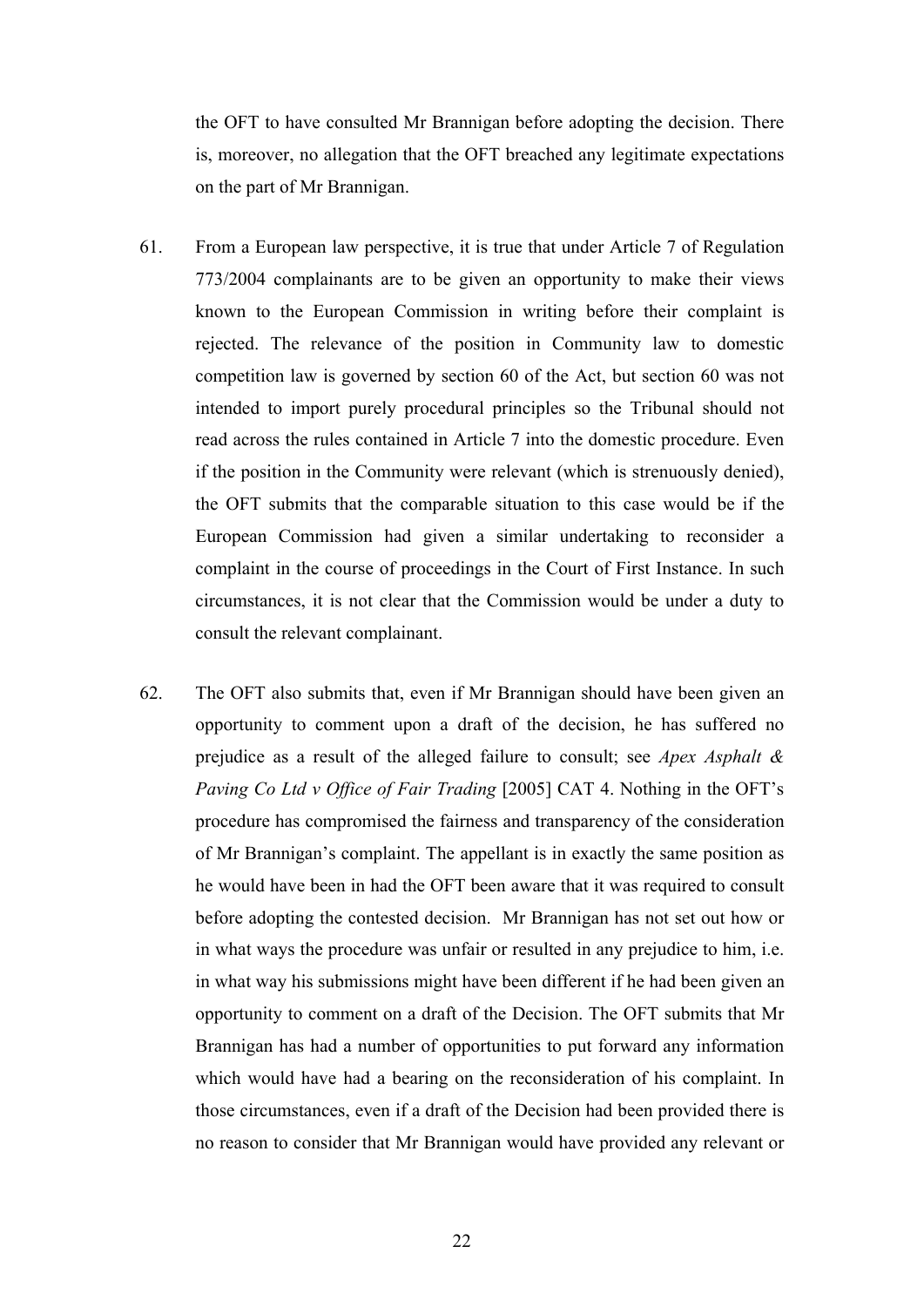the OFT to have consulted Mr Brannigan before adopting the decision. There is, moreover, no allegation that the OFT breached any legitimate expectations on the part of Mr Brannigan.

- 61. From a European law perspective, it is true that under Article 7 of Regulation 773/2004 complainants are to be given an opportunity to make their views known to the European Commission in writing before their complaint is rejected. The relevance of the position in Community law to domestic competition law is governed by section 60 of the Act, but section 60 was not intended to import purely procedural principles so the Tribunal should not read across the rules contained in Article 7 into the domestic procedure. Even if the position in the Community were relevant (which is strenuously denied), the OFT submits that the comparable situation to this case would be if the European Commission had given a similar undertaking to reconsider a complaint in the course of proceedings in the Court of First Instance. In such circumstances, it is not clear that the Commission would be under a duty to consult the relevant complainant.
- 62. The OFT also submits that, even if Mr Brannigan should have been given an opportunity to comment upon a draft of the decision, he has suffered no prejudice as a result of the alleged failure to consult; see *Apex Asphalt & Paving Co Ltd v Office of Fair Trading* [2005] CAT 4. Nothing in the OFT's procedure has compromised the fairness and transparency of the consideration of Mr Brannigan's complaint. The appellant is in exactly the same position as he would have been in had the OFT been aware that it was required to consult before adopting the contested decision. Mr Brannigan has not set out how or in what ways the procedure was unfair or resulted in any prejudice to him, i.e. in what way his submissions might have been different if he had been given an opportunity to comment on a draft of the Decision. The OFT submits that Mr Brannigan has had a number of opportunities to put forward any information which would have had a bearing on the reconsideration of his complaint. In those circumstances, even if a draft of the Decision had been provided there is no reason to consider that Mr Brannigan would have provided any relevant or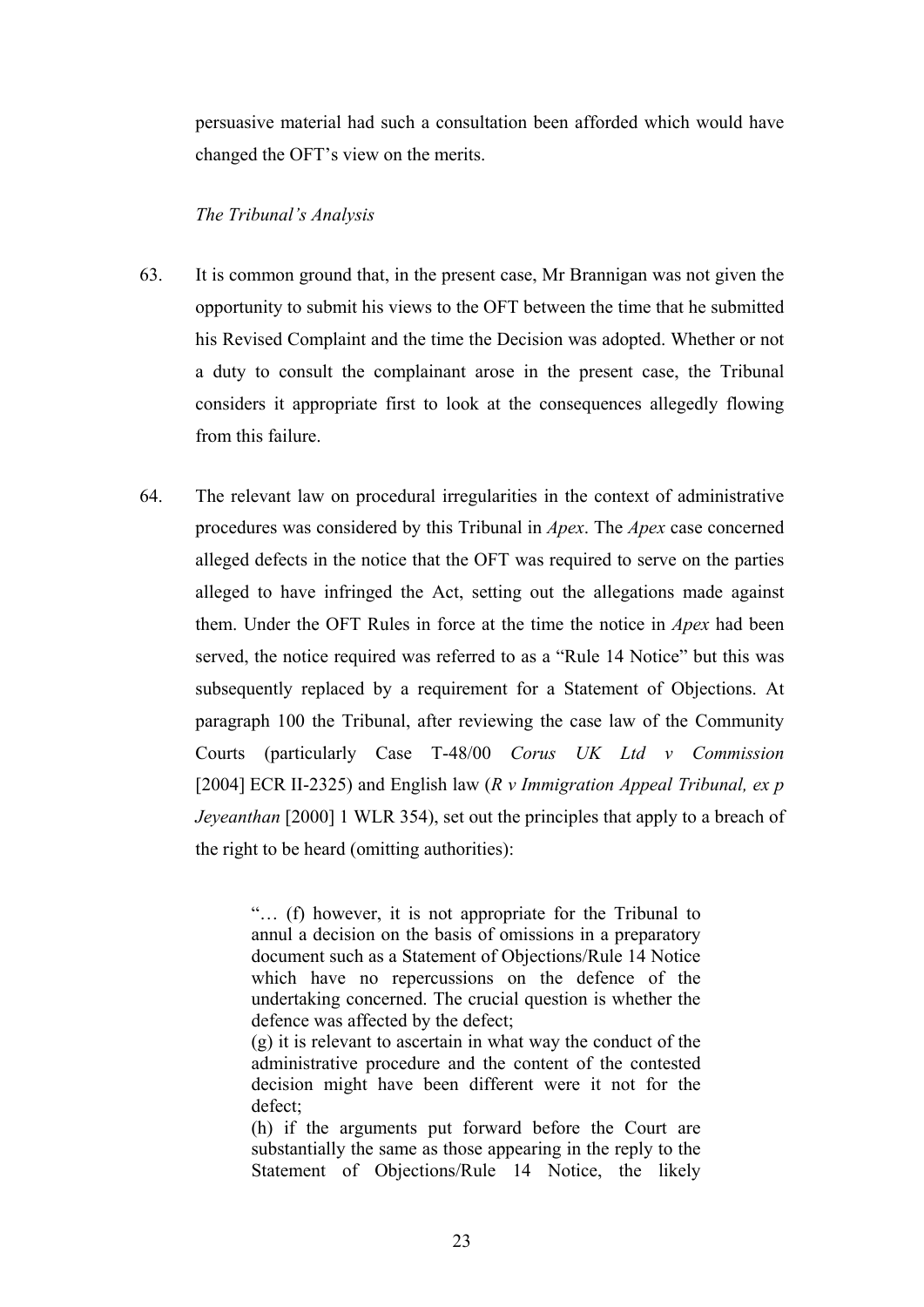persuasive material had such a consultation been afforded which would have changed the OFT's view on the merits.

## *The Tribunal's Analysis*

- 63. It is common ground that, in the present case, Mr Brannigan was not given the opportunity to submit his views to the OFT between the time that he submitted his Revised Complaint and the time the Decision was adopted. Whether or not a duty to consult the complainant arose in the present case, the Tribunal considers it appropriate first to look at the consequences allegedly flowing from this failure.
- 64. The relevant law on procedural irregularities in the context of administrative procedures was considered by this Tribunal in *Apex*. The *Apex* case concerned alleged defects in the notice that the OFT was required to serve on the parties alleged to have infringed the Act, setting out the allegations made against them. Under the OFT Rules in force at the time the notice in *Apex* had been served, the notice required was referred to as a "Rule 14 Notice" but this was subsequently replaced by a requirement for a Statement of Objections. At paragraph 100 the Tribunal, after reviewing the case law of the Community Courts (particularly Case T-48/00 *Corus UK Ltd v Commission* [2004] ECR II-2325) and English law (*R v Immigration Appeal Tribunal, ex p Jeyeanthan* [2000] 1 WLR 354), set out the principles that apply to a breach of the right to be heard (omitting authorities):

"… (f) however, it is not appropriate for the Tribunal to annul a decision on the basis of omissions in a preparatory document such as a Statement of Objections/Rule 14 Notice which have no repercussions on the defence of the undertaking concerned. The crucial question is whether the defence was affected by the defect;

(g) it is relevant to ascertain in what way the conduct of the administrative procedure and the content of the contested decision might have been different were it not for the defect;

(h) if the arguments put forward before the Court are substantially the same as those appearing in the reply to the Statement of Objections/Rule 14 Notice, the likely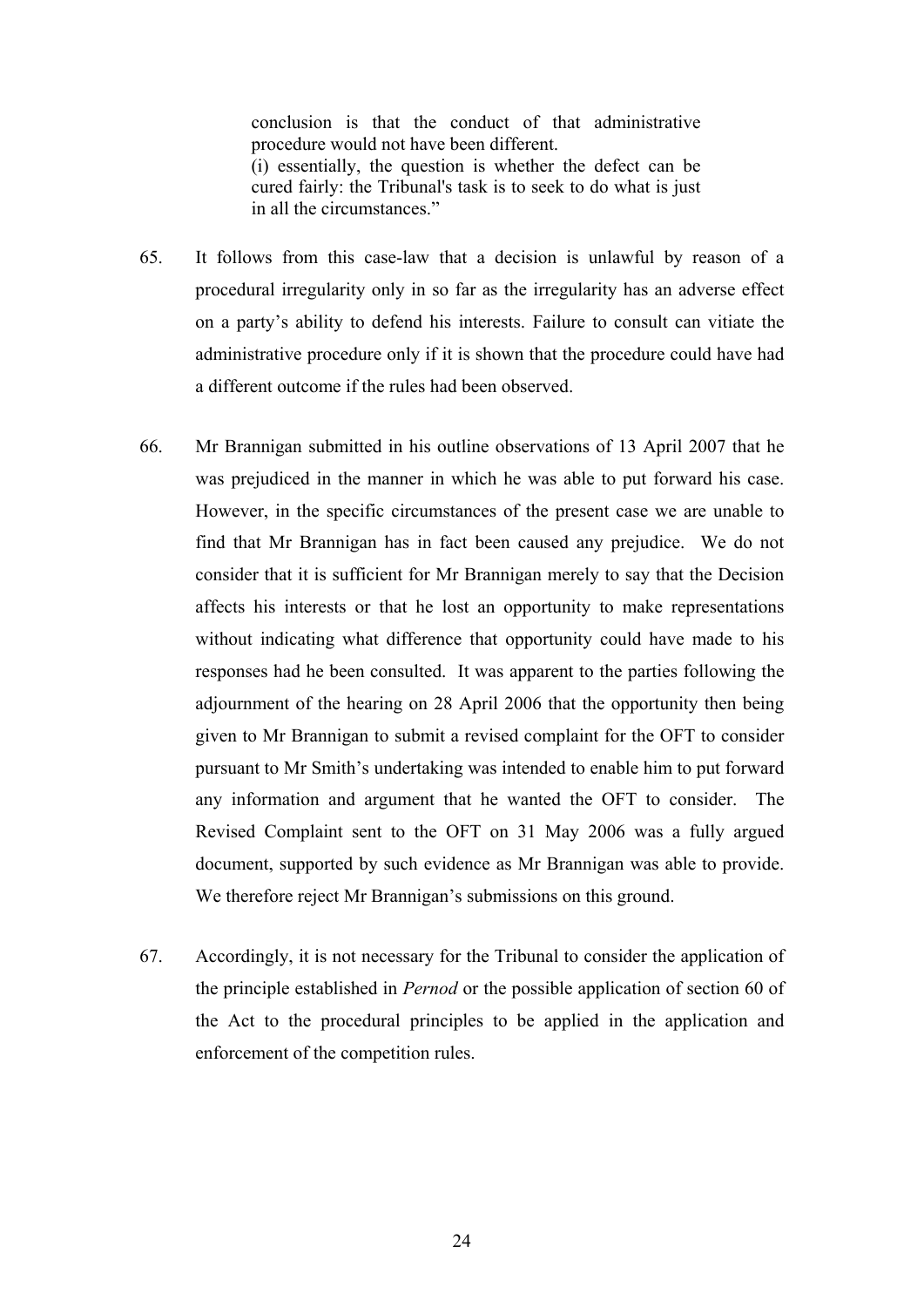conclusion is that the conduct of that administrative procedure would not have been different. (i) essentially, the question is whether the defect can be cured fairly: the Tribunal's task is to seek to do what is just in all the circumstances."

- 65. It follows from this case-law that a decision is unlawful by reason of a procedural irregularity only in so far as the irregularity has an adverse effect on a party's ability to defend his interests. Failure to consult can vitiate the administrative procedure only if it is shown that the procedure could have had a different outcome if the rules had been observed.
- 66. Mr Brannigan submitted in his outline observations of 13 April 2007 that he was prejudiced in the manner in which he was able to put forward his case. However, in the specific circumstances of the present case we are unable to find that Mr Brannigan has in fact been caused any prejudice. We do not consider that it is sufficient for Mr Brannigan merely to say that the Decision affects his interests or that he lost an opportunity to make representations without indicating what difference that opportunity could have made to his responses had he been consulted. It was apparent to the parties following the adjournment of the hearing on 28 April 2006 that the opportunity then being given to Mr Brannigan to submit a revised complaint for the OFT to consider pursuant to Mr Smith's undertaking was intended to enable him to put forward any information and argument that he wanted the OFT to consider. The Revised Complaint sent to the OFT on 31 May 2006 was a fully argued document, supported by such evidence as Mr Brannigan was able to provide. We therefore reject Mr Brannigan's submissions on this ground.
- 67. Accordingly, it is not necessary for the Tribunal to consider the application of the principle established in *Pernod* or the possible application of section 60 of the Act to the procedural principles to be applied in the application and enforcement of the competition rules.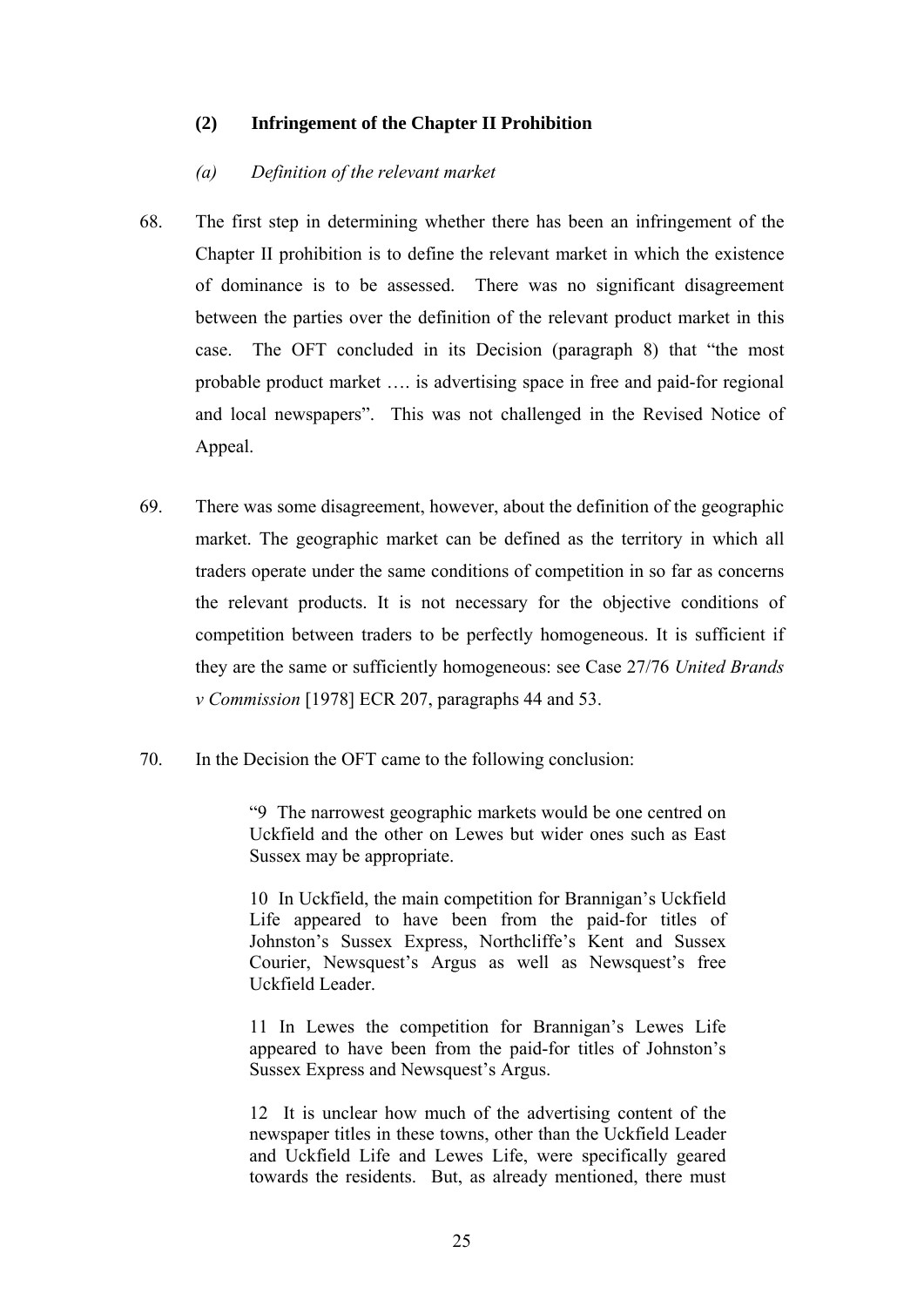### **(2) Infringement of the Chapter II Prohibition**

### *(a) Definition of the relevant market*

- 68. The first step in determining whether there has been an infringement of the Chapter II prohibition is to define the relevant market in which the existence of dominance is to be assessed. There was no significant disagreement between the parties over the definition of the relevant product market in this case. The OFT concluded in its Decision (paragraph 8) that "the most probable product market …. is advertising space in free and paid-for regional and local newspapers". This was not challenged in the Revised Notice of Appeal.
- 69. There was some disagreement, however, about the definition of the geographic market. The geographic market can be defined as the territory in which all traders operate under the same conditions of competition in so far as concerns the relevant products. It is not necessary for the objective conditions of competition between traders to be perfectly homogeneous. It is sufficient if they are the same or sufficiently homogeneous: see Case 27/76 *United Brands v Commission* [1978] ECR 207, paragraphs 44 and 53.
- 70. In the Decision the OFT came to the following conclusion:

"9 The narrowest geographic markets would be one centred on Uckfield and the other on Lewes but wider ones such as East Sussex may be appropriate.

10 In Uckfield, the main competition for Brannigan's Uckfield Life appeared to have been from the paid-for titles of Johnston's Sussex Express, Northcliffe's Kent and Sussex Courier, Newsquest's Argus as well as Newsquest's free Uckfield Leader.

11 In Lewes the competition for Brannigan's Lewes Life appeared to have been from the paid-for titles of Johnston's Sussex Express and Newsquest's Argus.

12 It is unclear how much of the advertising content of the newspaper titles in these towns, other than the Uckfield Leader and Uckfield Life and Lewes Life, were specifically geared towards the residents. But, as already mentioned, there must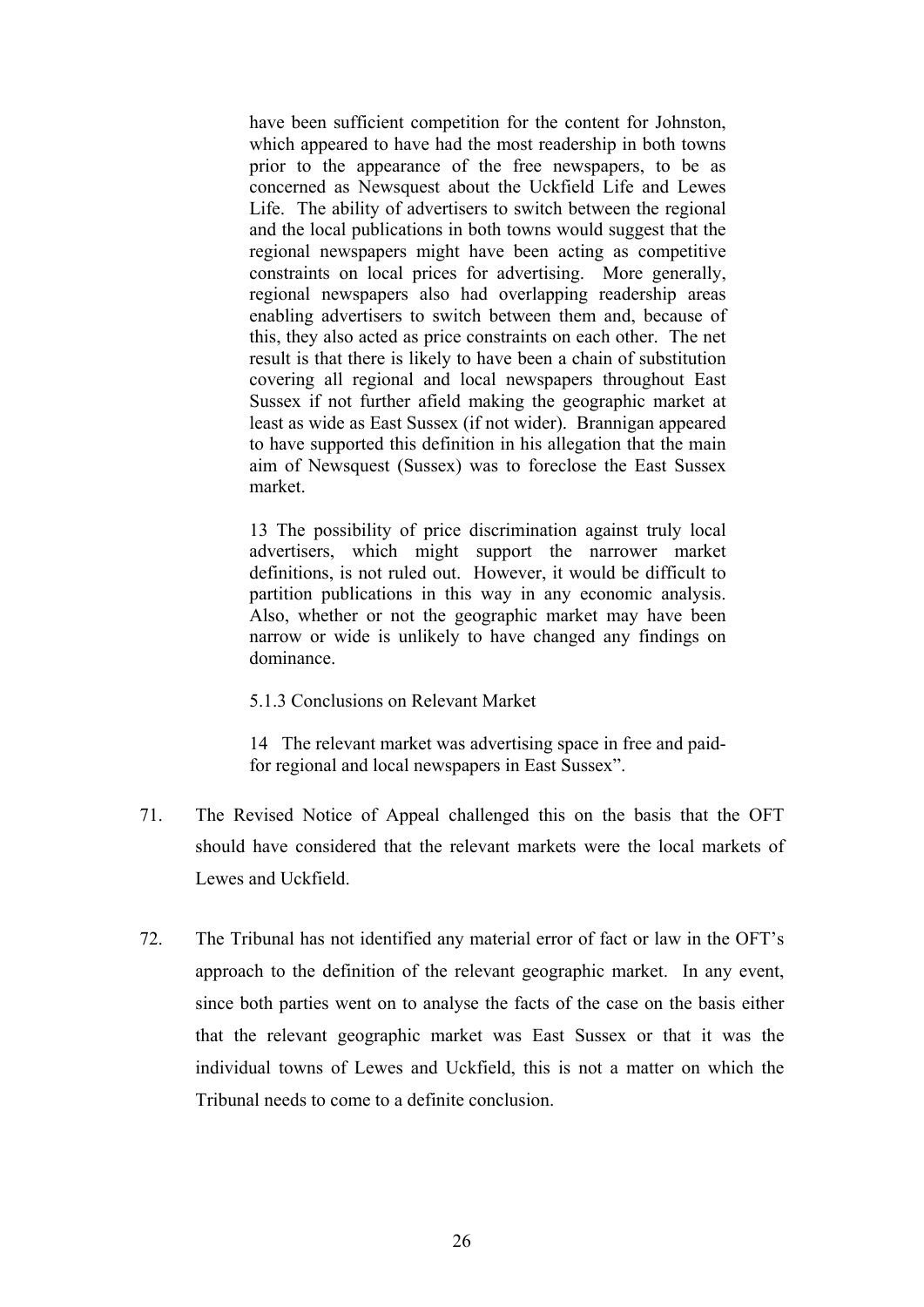have been sufficient competition for the content for Johnston, which appeared to have had the most readership in both towns prior to the appearance of the free newspapers, to be as concerned as Newsquest about the Uckfield Life and Lewes Life. The ability of advertisers to switch between the regional and the local publications in both towns would suggest that the regional newspapers might have been acting as competitive constraints on local prices for advertising. More generally, regional newspapers also had overlapping readership areas enabling advertisers to switch between them and, because of this, they also acted as price constraints on each other. The net result is that there is likely to have been a chain of substitution covering all regional and local newspapers throughout East Sussex if not further afield making the geographic market at least as wide as East Sussex (if not wider). Brannigan appeared to have supported this definition in his allegation that the main aim of Newsquest (Sussex) was to foreclose the East Sussex market.

13 The possibility of price discrimination against truly local advertisers, which might support the narrower market definitions, is not ruled out. However, it would be difficult to partition publications in this way in any economic analysis. Also, whether or not the geographic market may have been narrow or wide is unlikely to have changed any findings on dominance.

5.1.3 Conclusions on Relevant Market

14 The relevant market was advertising space in free and paidfor regional and local newspapers in East Sussex".

- 71. The Revised Notice of Appeal challenged this on the basis that the OFT should have considered that the relevant markets were the local markets of Lewes and Uckfield.
- 72. The Tribunal has not identified any material error of fact or law in the OFT's approach to the definition of the relevant geographic market. In any event, since both parties went on to analyse the facts of the case on the basis either that the relevant geographic market was East Sussex or that it was the individual towns of Lewes and Uckfield, this is not a matter on which the Tribunal needs to come to a definite conclusion.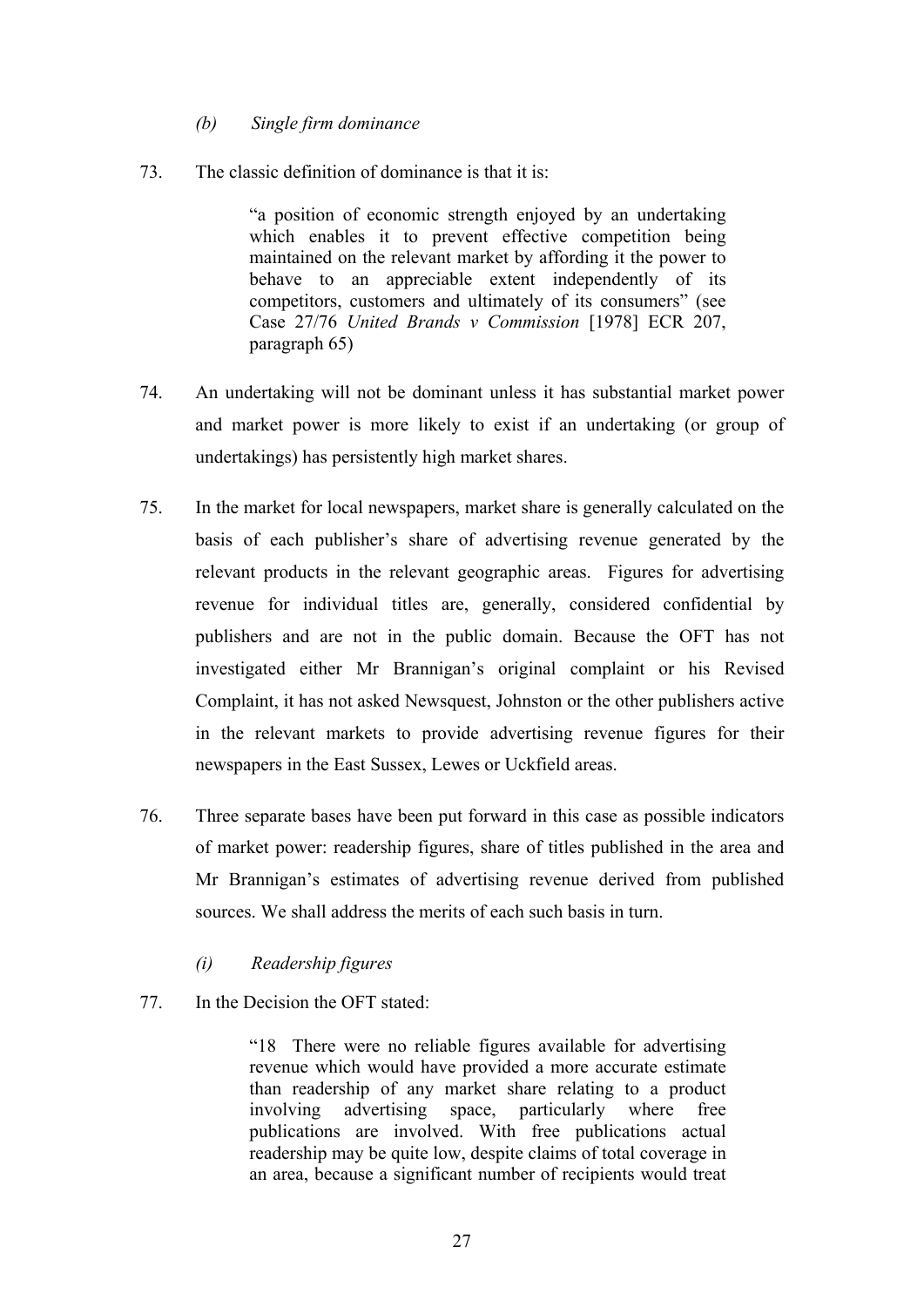## *(b) Single firm dominance*

73. The classic definition of dominance is that it is:

"a position of economic strength enjoyed by an undertaking which enables it to prevent effective competition being maintained on the relevant market by affording it the power to behave to an appreciable extent independently of its competitors, customers and ultimately of its consumers" (see Case 27/76 *United Brands v Commission* [1978] ECR 207, paragraph 65)

- 74. An undertaking will not be dominant unless it has substantial market power and market power is more likely to exist if an undertaking (or group of undertakings) has persistently high market shares.
- 75. In the market for local newspapers, market share is generally calculated on the basis of each publisher's share of advertising revenue generated by the relevant products in the relevant geographic areas. Figures for advertising revenue for individual titles are, generally, considered confidential by publishers and are not in the public domain. Because the OFT has not investigated either Mr Brannigan's original complaint or his Revised Complaint, it has not asked Newsquest, Johnston or the other publishers active in the relevant markets to provide advertising revenue figures for their newspapers in the East Sussex, Lewes or Uckfield areas.
- 76. Three separate bases have been put forward in this case as possible indicators of market power: readership figures, share of titles published in the area and Mr Brannigan's estimates of advertising revenue derived from published sources. We shall address the merits of each such basis in turn.
	- *(i) Readership figures*
- 77. In the Decision the OFT stated:

"18 There were no reliable figures available for advertising revenue which would have provided a more accurate estimate than readership of any market share relating to a product involving advertising space, particularly where free publications are involved. With free publications actual readership may be quite low, despite claims of total coverage in an area, because a significant number of recipients would treat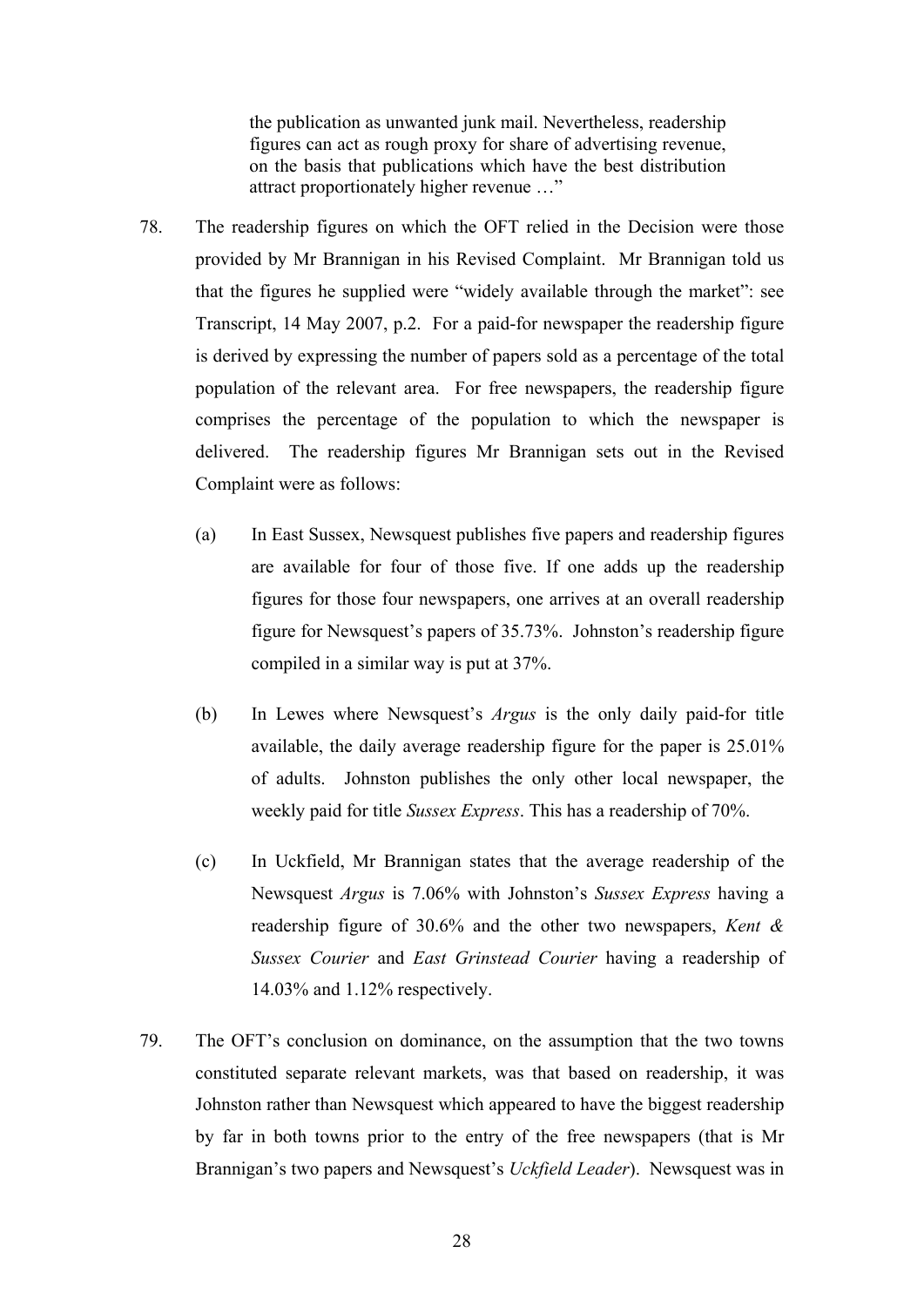the publication as unwanted junk mail. Nevertheless, readership figures can act as rough proxy for share of advertising revenue, on the basis that publications which have the best distribution attract proportionately higher revenue …"

- 78. The readership figures on which the OFT relied in the Decision were those provided by Mr Brannigan in his Revised Complaint. Mr Brannigan told us that the figures he supplied were "widely available through the market": see Transcript, 14 May 2007, p.2. For a paid-for newspaper the readership figure is derived by expressing the number of papers sold as a percentage of the total population of the relevant area. For free newspapers, the readership figure comprises the percentage of the population to which the newspaper is delivered. The readership figures Mr Brannigan sets out in the Revised Complaint were as follows:
	- (a) In East Sussex, Newsquest publishes five papers and readership figures are available for four of those five. If one adds up the readership figures for those four newspapers, one arrives at an overall readership figure for Newsquest's papers of 35.73%. Johnston's readership figure compiled in a similar way is put at 37%.
	- (b) In Lewes where Newsquest's *Argus* is the only daily paid-for title available, the daily average readership figure for the paper is 25.01% of adults. Johnston publishes the only other local newspaper, the weekly paid for title *Sussex Express*. This has a readership of 70%.
	- (c) In Uckfield, Mr Brannigan states that the average readership of the Newsquest *Argus* is 7.06% with Johnston's *Sussex Express* having a readership figure of 30.6% and the other two newspapers, *Kent & Sussex Courier* and *East Grinstead Courier* having a readership of 14.03% and 1.12% respectively.
- 79. The OFT's conclusion on dominance, on the assumption that the two towns constituted separate relevant markets, was that based on readership, it was Johnston rather than Newsquest which appeared to have the biggest readership by far in both towns prior to the entry of the free newspapers (that is Mr Brannigan's two papers and Newsquest's *Uckfield Leader*). Newsquest was in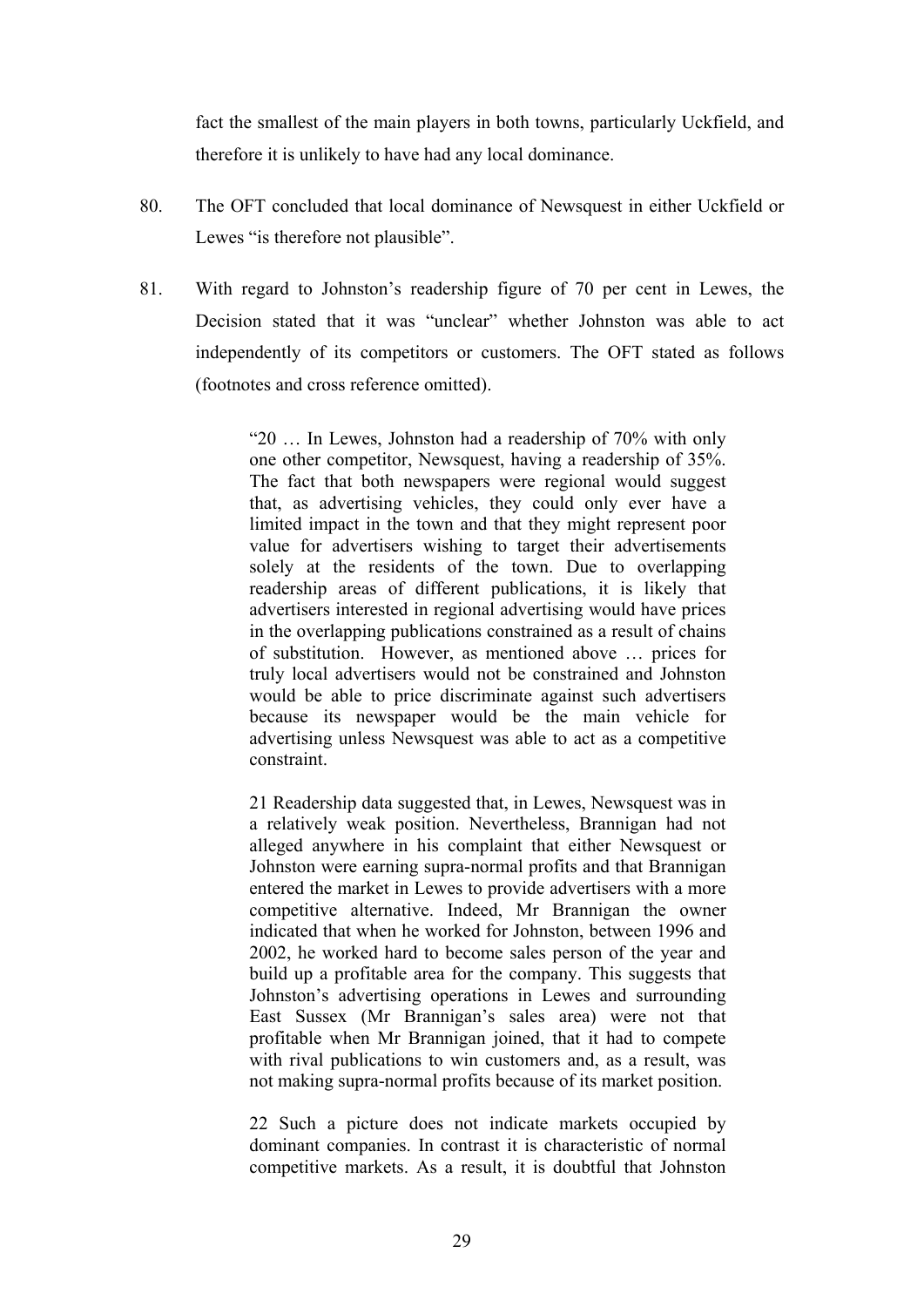fact the smallest of the main players in both towns, particularly Uckfield, and therefore it is unlikely to have had any local dominance.

- 80. The OFT concluded that local dominance of Newsquest in either Uckfield or Lewes "is therefore not plausible".
- 81. With regard to Johnston's readership figure of 70 per cent in Lewes, the Decision stated that it was "unclear" whether Johnston was able to act independently of its competitors or customers. The OFT stated as follows (footnotes and cross reference omitted).

"20 … In Lewes, Johnston had a readership of 70% with only one other competitor, Newsquest, having a readership of 35%. The fact that both newspapers were regional would suggest that, as advertising vehicles, they could only ever have a limited impact in the town and that they might represent poor value for advertisers wishing to target their advertisements solely at the residents of the town. Due to overlapping readership areas of different publications, it is likely that advertisers interested in regional advertising would have prices in the overlapping publications constrained as a result of chains of substitution. However, as mentioned above … prices for truly local advertisers would not be constrained and Johnston would be able to price discriminate against such advertisers because its newspaper would be the main vehicle for advertising unless Newsquest was able to act as a competitive constraint.

21 Readership data suggested that, in Lewes, Newsquest was in a relatively weak position. Nevertheless, Brannigan had not alleged anywhere in his complaint that either Newsquest or Johnston were earning supra-normal profits and that Brannigan entered the market in Lewes to provide advertisers with a more competitive alternative. Indeed, Mr Brannigan the owner indicated that when he worked for Johnston, between 1996 and 2002, he worked hard to become sales person of the year and build up a profitable area for the company. This suggests that Johnston's advertising operations in Lewes and surrounding East Sussex (Mr Brannigan's sales area) were not that profitable when Mr Brannigan joined, that it had to compete with rival publications to win customers and, as a result, was not making supra-normal profits because of its market position.

22 Such a picture does not indicate markets occupied by dominant companies. In contrast it is characteristic of normal competitive markets. As a result, it is doubtful that Johnston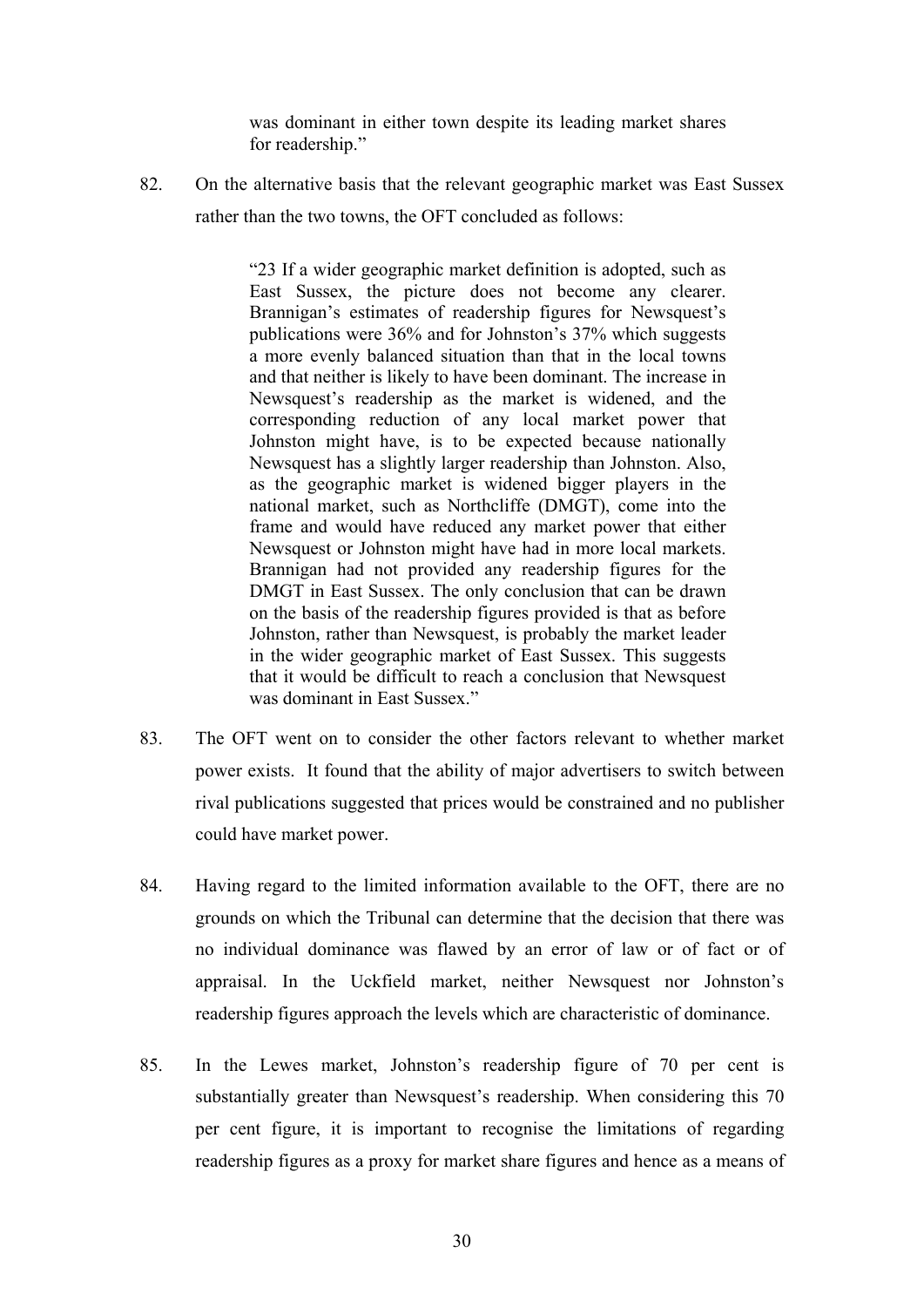was dominant in either town despite its leading market shares for readership."

82. On the alternative basis that the relevant geographic market was East Sussex rather than the two towns, the OFT concluded as follows:

> "23 If a wider geographic market definition is adopted, such as East Sussex, the picture does not become any clearer. Brannigan's estimates of readership figures for Newsquest's publications were 36% and for Johnston's 37% which suggests a more evenly balanced situation than that in the local towns and that neither is likely to have been dominant. The increase in Newsquest's readership as the market is widened, and the corresponding reduction of any local market power that Johnston might have, is to be expected because nationally Newsquest has a slightly larger readership than Johnston. Also, as the geographic market is widened bigger players in the national market, such as Northcliffe (DMGT), come into the frame and would have reduced any market power that either Newsquest or Johnston might have had in more local markets. Brannigan had not provided any readership figures for the DMGT in East Sussex. The only conclusion that can be drawn on the basis of the readership figures provided is that as before Johnston, rather than Newsquest, is probably the market leader in the wider geographic market of East Sussex. This suggests that it would be difficult to reach a conclusion that Newsquest was dominant in East Sussex."

- 83. The OFT went on to consider the other factors relevant to whether market power exists. It found that the ability of major advertisers to switch between rival publications suggested that prices would be constrained and no publisher could have market power.
- 84. Having regard to the limited information available to the OFT, there are no grounds on which the Tribunal can determine that the decision that there was no individual dominance was flawed by an error of law or of fact or of appraisal. In the Uckfield market, neither Newsquest nor Johnston's readership figures approach the levels which are characteristic of dominance.
- 85. In the Lewes market, Johnston's readership figure of 70 per cent is substantially greater than Newsquest's readership. When considering this 70 per cent figure, it is important to recognise the limitations of regarding readership figures as a proxy for market share figures and hence as a means of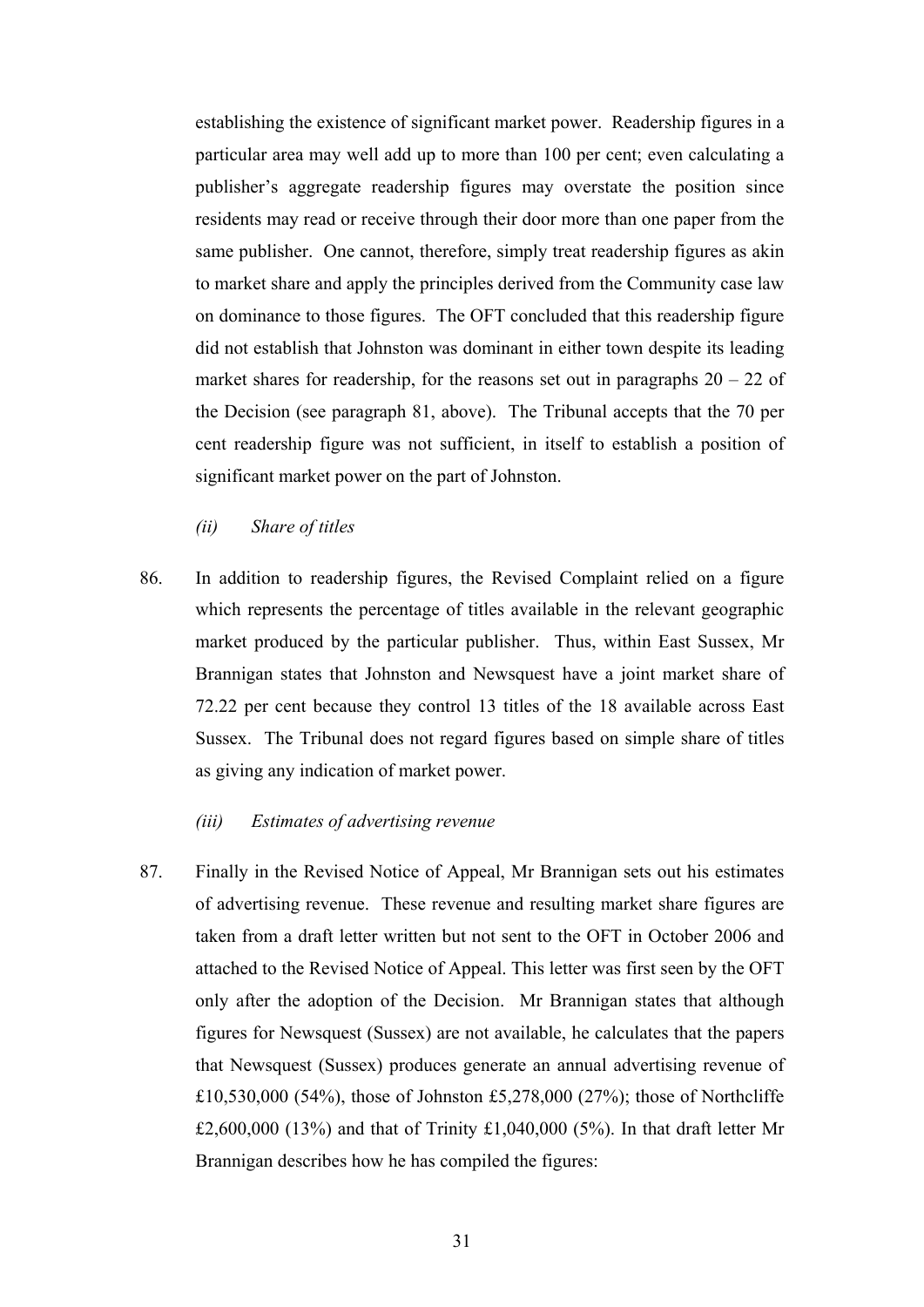establishing the existence of significant market power. Readership figures in a particular area may well add up to more than 100 per cent; even calculating a publisher's aggregate readership figures may overstate the position since residents may read or receive through their door more than one paper from the same publisher. One cannot, therefore, simply treat readership figures as akin to market share and apply the principles derived from the Community case law on dominance to those figures. The OFT concluded that this readership figure did not establish that Johnston was dominant in either town despite its leading market shares for readership, for the reasons set out in paragraphs  $20 - 22$  of the Decision (see paragraph 81, above). The Tribunal accepts that the 70 per cent readership figure was not sufficient, in itself to establish a position of significant market power on the part of Johnston.

*(ii) Share of titles* 

86. In addition to readership figures, the Revised Complaint relied on a figure which represents the percentage of titles available in the relevant geographic market produced by the particular publisher. Thus, within East Sussex, Mr Brannigan states that Johnston and Newsquest have a joint market share of 72.22 per cent because they control 13 titles of the 18 available across East Sussex. The Tribunal does not regard figures based on simple share of titles as giving any indication of market power.

#### *(iii) Estimates of advertising revenue*

87. Finally in the Revised Notice of Appeal, Mr Brannigan sets out his estimates of advertising revenue. These revenue and resulting market share figures are taken from a draft letter written but not sent to the OFT in October 2006 and attached to the Revised Notice of Appeal. This letter was first seen by the OFT only after the adoption of the Decision. Mr Brannigan states that although figures for Newsquest (Sussex) are not available, he calculates that the papers that Newsquest (Sussex) produces generate an annual advertising revenue of £10,530,000 (54%), those of Johnston £5,278,000 (27%); those of Northcliffe £2,600,000 (13%) and that of Trinity £1,040,000 (5%). In that draft letter Mr Brannigan describes how he has compiled the figures: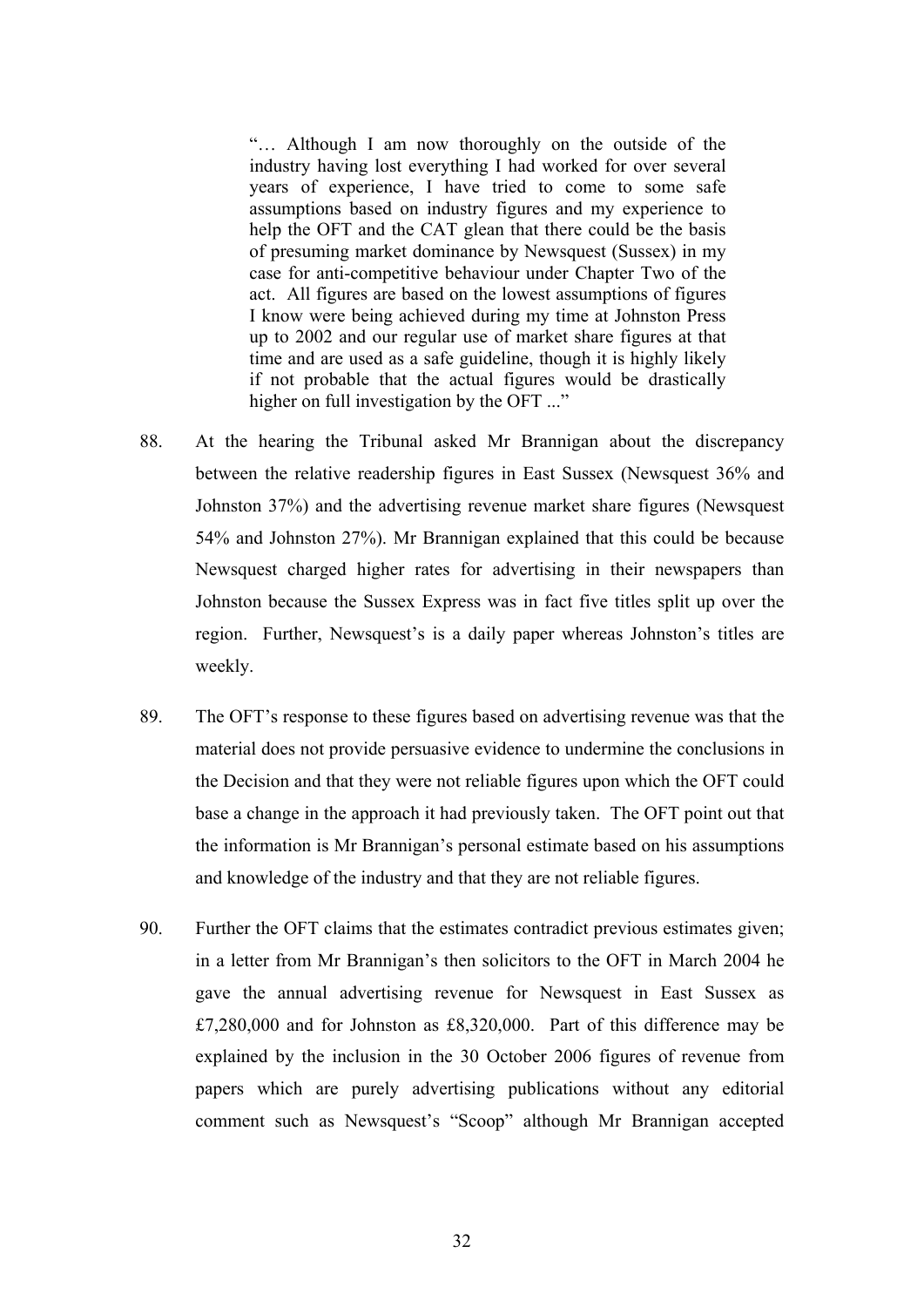"… Although I am now thoroughly on the outside of the industry having lost everything I had worked for over several years of experience, I have tried to come to some safe assumptions based on industry figures and my experience to help the OFT and the CAT glean that there could be the basis of presuming market dominance by Newsquest (Sussex) in my case for anti-competitive behaviour under Chapter Two of the act. All figures are based on the lowest assumptions of figures I know were being achieved during my time at Johnston Press up to 2002 and our regular use of market share figures at that time and are used as a safe guideline, though it is highly likely if not probable that the actual figures would be drastically higher on full investigation by the OFT ..."

- 88. At the hearing the Tribunal asked Mr Brannigan about the discrepancy between the relative readership figures in East Sussex (Newsquest 36% and Johnston 37%) and the advertising revenue market share figures (Newsquest 54% and Johnston 27%). Mr Brannigan explained that this could be because Newsquest charged higher rates for advertising in their newspapers than Johnston because the Sussex Express was in fact five titles split up over the region. Further, Newsquest's is a daily paper whereas Johnston's titles are weekly.
- 89. The OFT's response to these figures based on advertising revenue was that the material does not provide persuasive evidence to undermine the conclusions in the Decision and that they were not reliable figures upon which the OFT could base a change in the approach it had previously taken. The OFT point out that the information is Mr Brannigan's personal estimate based on his assumptions and knowledge of the industry and that they are not reliable figures.
- 90. Further the OFT claims that the estimates contradict previous estimates given; in a letter from Mr Brannigan's then solicitors to the OFT in March 2004 he gave the annual advertising revenue for Newsquest in East Sussex as £7,280,000 and for Johnston as £8,320,000. Part of this difference may be explained by the inclusion in the 30 October 2006 figures of revenue from papers which are purely advertising publications without any editorial comment such as Newsquest's "Scoop" although Mr Brannigan accepted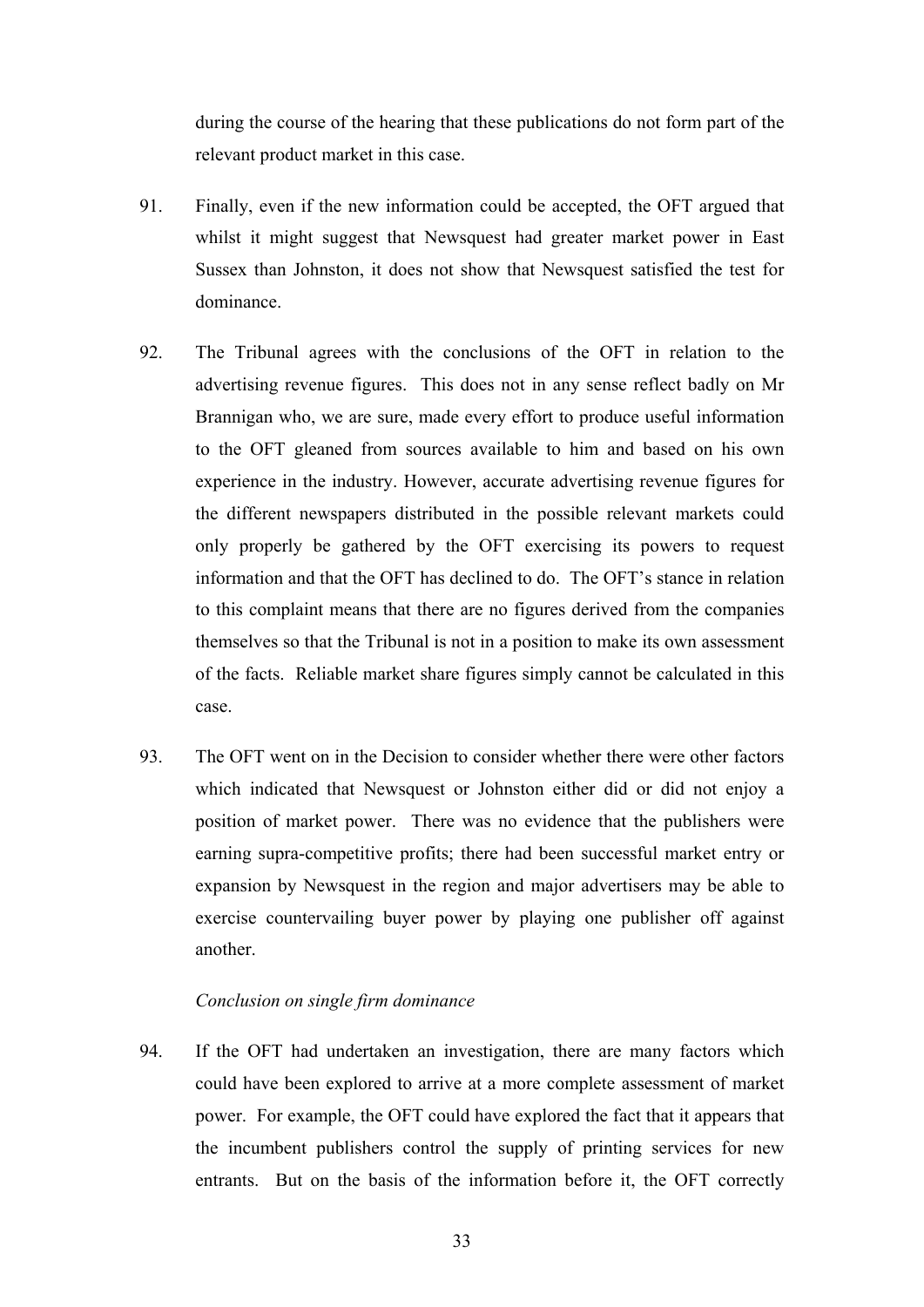during the course of the hearing that these publications do not form part of the relevant product market in this case.

- 91. Finally, even if the new information could be accepted, the OFT argued that whilst it might suggest that Newsquest had greater market power in East Sussex than Johnston, it does not show that Newsquest satisfied the test for dominance.
- 92. The Tribunal agrees with the conclusions of the OFT in relation to the advertising revenue figures. This does not in any sense reflect badly on Mr Brannigan who, we are sure, made every effort to produce useful information to the OFT gleaned from sources available to him and based on his own experience in the industry. However, accurate advertising revenue figures for the different newspapers distributed in the possible relevant markets could only properly be gathered by the OFT exercising its powers to request information and that the OFT has declined to do. The OFT's stance in relation to this complaint means that there are no figures derived from the companies themselves so that the Tribunal is not in a position to make its own assessment of the facts. Reliable market share figures simply cannot be calculated in this case.
- 93. The OFT went on in the Decision to consider whether there were other factors which indicated that Newsquest or Johnston either did or did not enjoy a position of market power. There was no evidence that the publishers were earning supra-competitive profits; there had been successful market entry or expansion by Newsquest in the region and major advertisers may be able to exercise countervailing buyer power by playing one publisher off against another.

### *Conclusion on single firm dominance*

94. If the OFT had undertaken an investigation, there are many factors which could have been explored to arrive at a more complete assessment of market power. For example, the OFT could have explored the fact that it appears that the incumbent publishers control the supply of printing services for new entrants. But on the basis of the information before it, the OFT correctly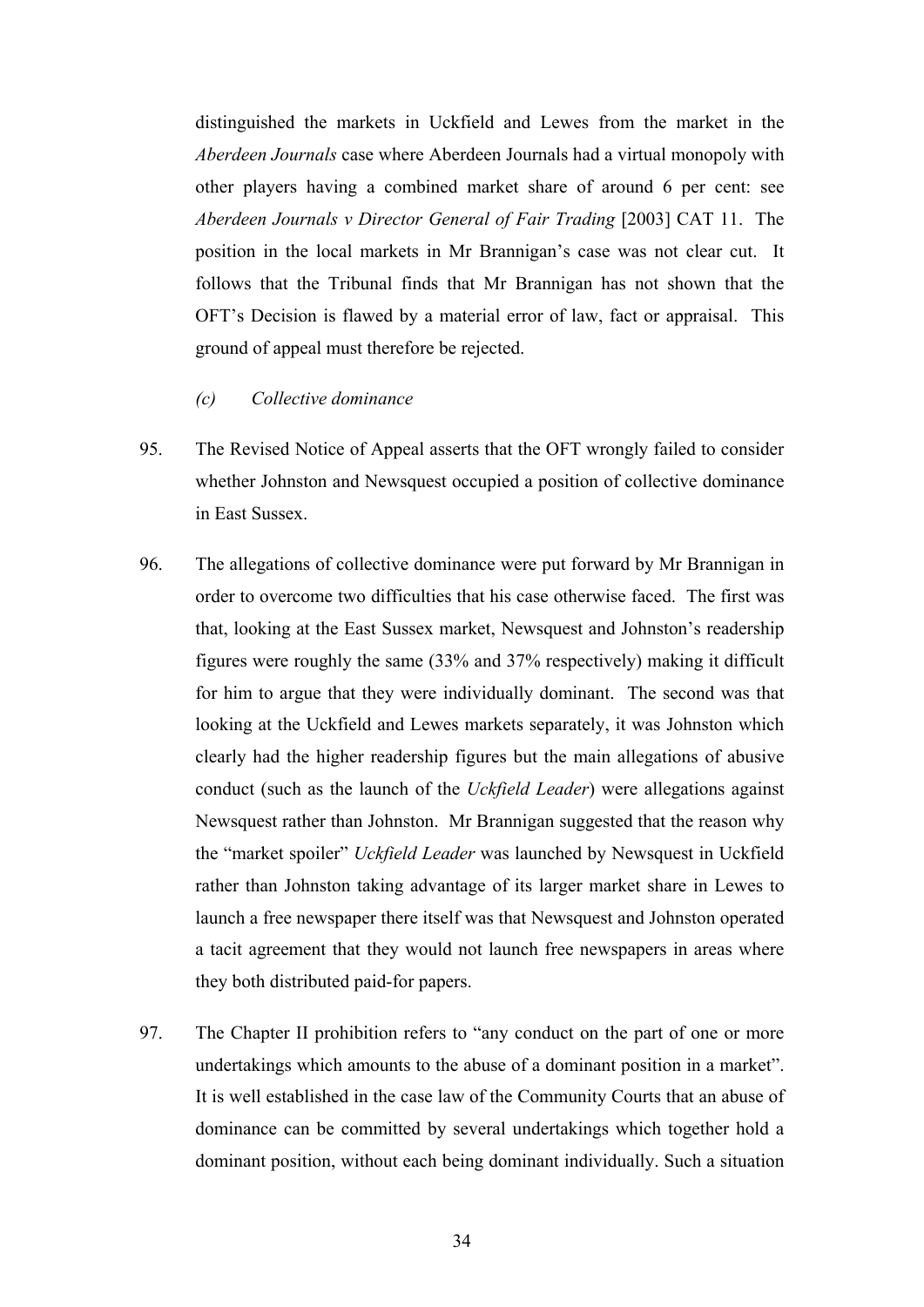distinguished the markets in Uckfield and Lewes from the market in the *Aberdeen Journals* case where Aberdeen Journals had a virtual monopoly with other players having a combined market share of around 6 per cent: see *Aberdeen Journals v Director General of Fair Trading* [2003] CAT 11. The position in the local markets in Mr Brannigan's case was not clear cut. It follows that the Tribunal finds that Mr Brannigan has not shown that the OFT's Decision is flawed by a material error of law, fact or appraisal. This ground of appeal must therefore be rejected.

### *(c) Collective dominance*

- 95. The Revised Notice of Appeal asserts that the OFT wrongly failed to consider whether Johnston and Newsquest occupied a position of collective dominance in East Sussex.
- 96. The allegations of collective dominance were put forward by Mr Brannigan in order to overcome two difficulties that his case otherwise faced. The first was that, looking at the East Sussex market, Newsquest and Johnston's readership figures were roughly the same (33% and 37% respectively) making it difficult for him to argue that they were individually dominant. The second was that looking at the Uckfield and Lewes markets separately, it was Johnston which clearly had the higher readership figures but the main allegations of abusive conduct (such as the launch of the *Uckfield Leader*) were allegations against Newsquest rather than Johnston. Mr Brannigan suggested that the reason why the "market spoiler" *Uckfield Leader* was launched by Newsquest in Uckfield rather than Johnston taking advantage of its larger market share in Lewes to launch a free newspaper there itself was that Newsquest and Johnston operated a tacit agreement that they would not launch free newspapers in areas where they both distributed paid-for papers.
- 97. The Chapter II prohibition refers to "any conduct on the part of one or more undertakings which amounts to the abuse of a dominant position in a market". It is well established in the case law of the Community Courts that an abuse of dominance can be committed by several undertakings which together hold a dominant position, without each being dominant individually. Such a situation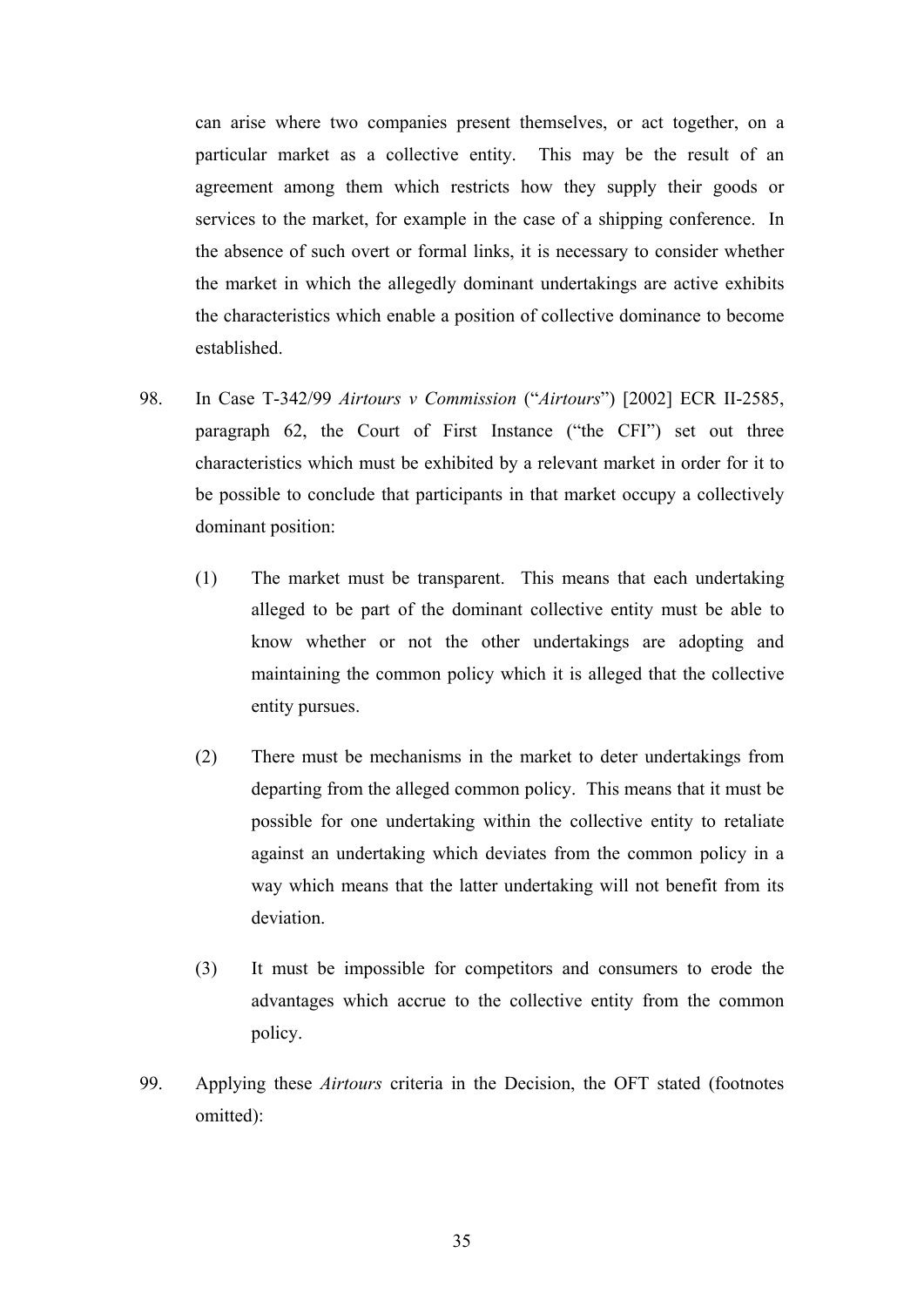can arise where two companies present themselves, or act together, on a particular market as a collective entity. This may be the result of an agreement among them which restricts how they supply their goods or services to the market, for example in the case of a shipping conference. In the absence of such overt or formal links, it is necessary to consider whether the market in which the allegedly dominant undertakings are active exhibits the characteristics which enable a position of collective dominance to become established.

- 98. In Case T-342/99 *Airtours v Commission* ("*Airtours*") [2002] ECR II-2585, paragraph 62, the Court of First Instance ("the CFI") set out three characteristics which must be exhibited by a relevant market in order for it to be possible to conclude that participants in that market occupy a collectively dominant position:
	- (1) The market must be transparent. This means that each undertaking alleged to be part of the dominant collective entity must be able to know whether or not the other undertakings are adopting and maintaining the common policy which it is alleged that the collective entity pursues.
	- (2) There must be mechanisms in the market to deter undertakings from departing from the alleged common policy. This means that it must be possible for one undertaking within the collective entity to retaliate against an undertaking which deviates from the common policy in a way which means that the latter undertaking will not benefit from its deviation.
	- (3) It must be impossible for competitors and consumers to erode the advantages which accrue to the collective entity from the common policy.
- 99. Applying these *Airtours* criteria in the Decision, the OFT stated (footnotes omitted):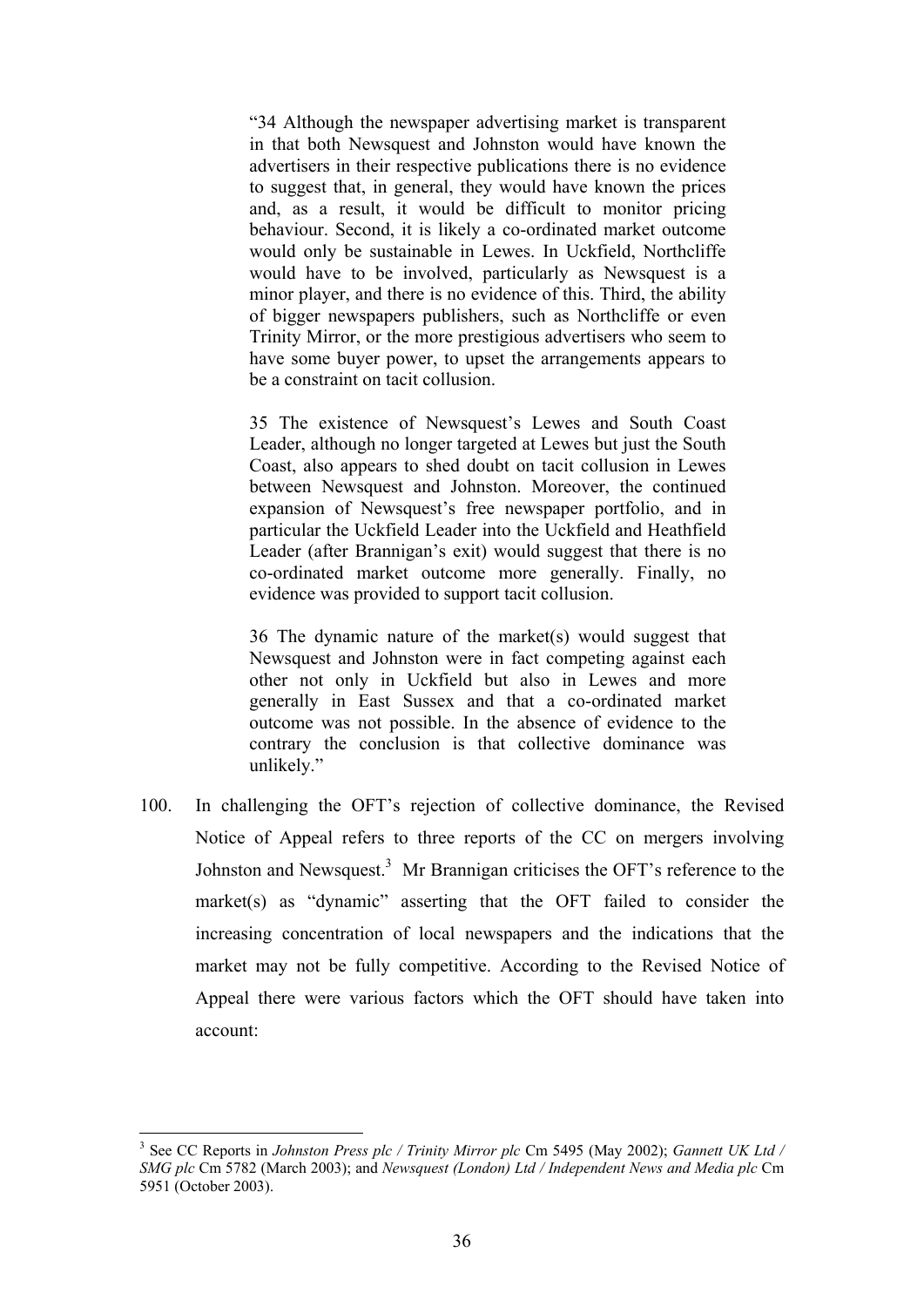"34 Although the newspaper advertising market is transparent in that both Newsquest and Johnston would have known the advertisers in their respective publications there is no evidence to suggest that, in general, they would have known the prices and, as a result, it would be difficult to monitor pricing behaviour. Second, it is likely a co-ordinated market outcome would only be sustainable in Lewes. In Uckfield, Northcliffe would have to be involved, particularly as Newsquest is a minor player, and there is no evidence of this. Third, the ability of bigger newspapers publishers, such as Northcliffe or even Trinity Mirror, or the more prestigious advertisers who seem to have some buyer power, to upset the arrangements appears to be a constraint on tacit collusion.

35 The existence of Newsquest's Lewes and South Coast Leader, although no longer targeted at Lewes but just the South Coast, also appears to shed doubt on tacit collusion in Lewes between Newsquest and Johnston. Moreover, the continued expansion of Newsquest's free newspaper portfolio, and in particular the Uckfield Leader into the Uckfield and Heathfield Leader (after Brannigan's exit) would suggest that there is no co-ordinated market outcome more generally. Finally, no evidence was provided to support tacit collusion.

36 The dynamic nature of the market(s) would suggest that Newsquest and Johnston were in fact competing against each other not only in Uckfield but also in Lewes and more generally in East Sussex and that a co-ordinated market outcome was not possible. In the absence of evidence to the contrary the conclusion is that collective dominance was unlikely."

100. In challenging the OFT's rejection of collective dominance, the Revised Notice of Appeal refers to three reports of the CC on mergers involving Johnston and Newsquest.<sup>3</sup> Mr Brannigan criticises the OFT's reference to the market(s) as "dynamic" asserting that the OFT failed to consider the increasing concentration of local newspapers and the indications that the market may not be fully competitive. According to the Revised Notice of Appeal there were various factors which the OFT should have taken into account:

1

<sup>3</sup> See CC Reports in *Johnston Press plc / Trinity Mirror plc* Cm 5495 (May 2002); *Gannett UK Ltd / SMG plc* Cm 5782 (March 2003); and *Newsquest (London) Ltd / Independent News and Media plc* Cm 5951 (October 2003).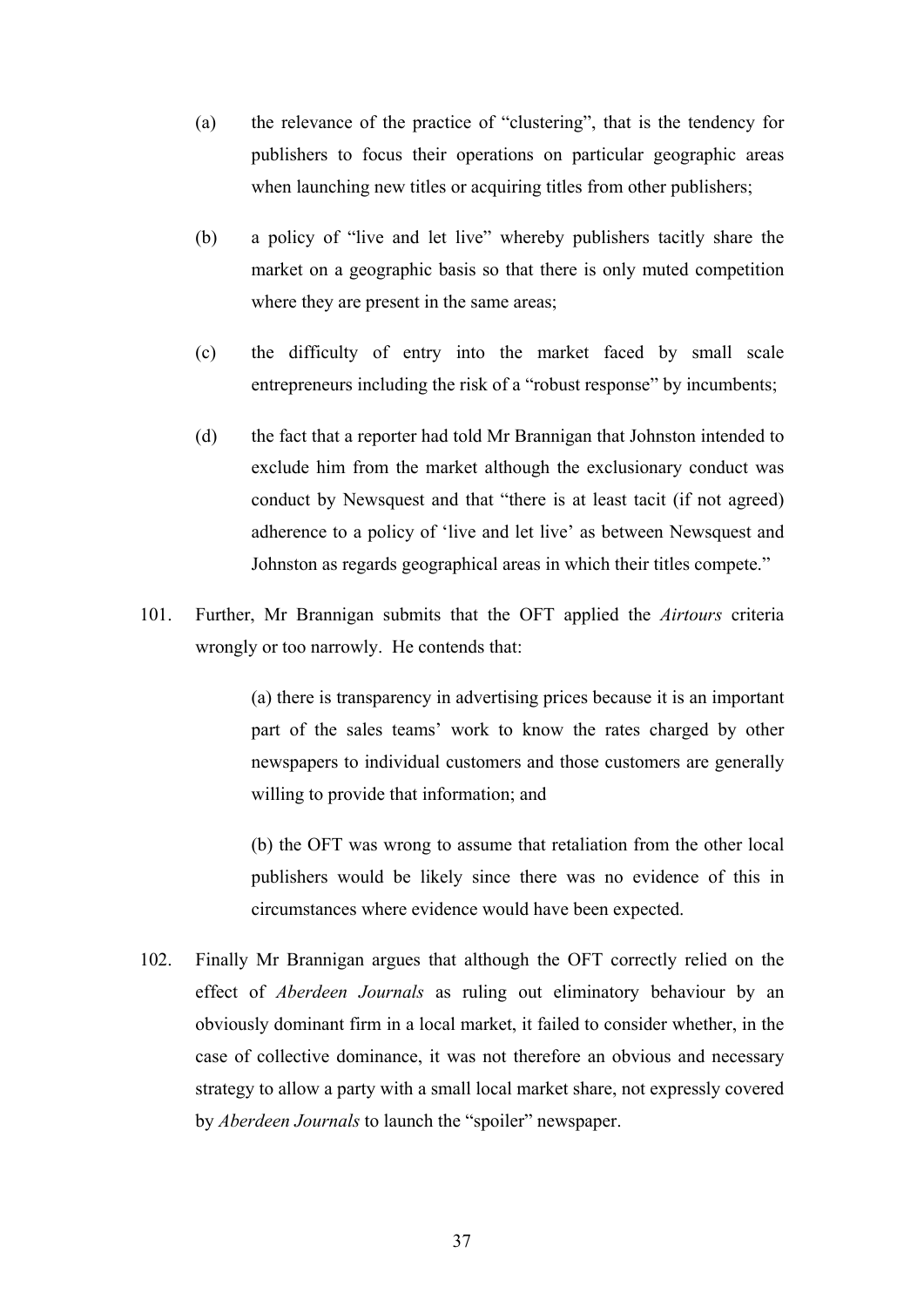- (a) the relevance of the practice of "clustering", that is the tendency for publishers to focus their operations on particular geographic areas when launching new titles or acquiring titles from other publishers;
- (b) a policy of "live and let live" whereby publishers tacitly share the market on a geographic basis so that there is only muted competition where they are present in the same areas;
- (c) the difficulty of entry into the market faced by small scale entrepreneurs including the risk of a "robust response" by incumbents;
- (d) the fact that a reporter had told Mr Brannigan that Johnston intended to exclude him from the market although the exclusionary conduct was conduct by Newsquest and that "there is at least tacit (if not agreed) adherence to a policy of 'live and let live' as between Newsquest and Johnston as regards geographical areas in which their titles compete."
- 101. Further, Mr Brannigan submits that the OFT applied the *Airtours* criteria wrongly or too narrowly. He contends that:

(a) there is transparency in advertising prices because it is an important part of the sales teams' work to know the rates charged by other newspapers to individual customers and those customers are generally willing to provide that information; and

(b) the OFT was wrong to assume that retaliation from the other local publishers would be likely since there was no evidence of this in circumstances where evidence would have been expected.

102. Finally Mr Brannigan argues that although the OFT correctly relied on the effect of *Aberdeen Journals* as ruling out eliminatory behaviour by an obviously dominant firm in a local market, it failed to consider whether, in the case of collective dominance, it was not therefore an obvious and necessary strategy to allow a party with a small local market share, not expressly covered by *Aberdeen Journals* to launch the "spoiler" newspaper.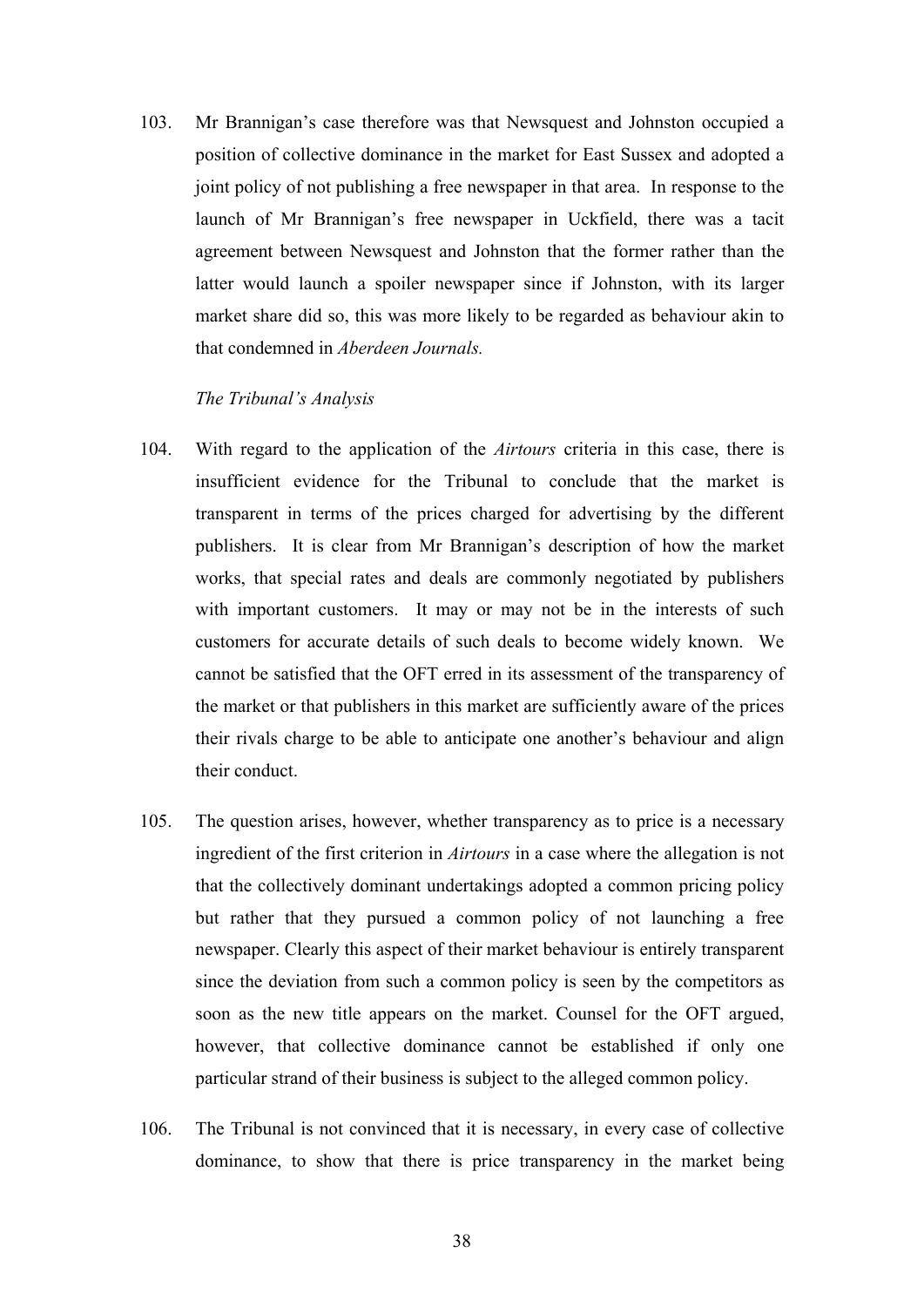103. Mr Brannigan's case therefore was that Newsquest and Johnston occupied a position of collective dominance in the market for East Sussex and adopted a joint policy of not publishing a free newspaper in that area. In response to the launch of Mr Brannigan's free newspaper in Uckfield, there was a tacit agreement between Newsquest and Johnston that the former rather than the latter would launch a spoiler newspaper since if Johnston, with its larger market share did so, this was more likely to be regarded as behaviour akin to that condemned in *Aberdeen Journals.*

### *The Tribunal's Analysis*

- 104. With regard to the application of the *Airtours* criteria in this case, there is insufficient evidence for the Tribunal to conclude that the market is transparent in terms of the prices charged for advertising by the different publishers. It is clear from Mr Brannigan's description of how the market works, that special rates and deals are commonly negotiated by publishers with important customers. It may or may not be in the interests of such customers for accurate details of such deals to become widely known. We cannot be satisfied that the OFT erred in its assessment of the transparency of the market or that publishers in this market are sufficiently aware of the prices their rivals charge to be able to anticipate one another's behaviour and align their conduct.
- 105. The question arises, however, whether transparency as to price is a necessary ingredient of the first criterion in *Airtours* in a case where the allegation is not that the collectively dominant undertakings adopted a common pricing policy but rather that they pursued a common policy of not launching a free newspaper. Clearly this aspect of their market behaviour is entirely transparent since the deviation from such a common policy is seen by the competitors as soon as the new title appears on the market. Counsel for the OFT argued, however, that collective dominance cannot be established if only one particular strand of their business is subject to the alleged common policy.
- 106. The Tribunal is not convinced that it is necessary, in every case of collective dominance, to show that there is price transparency in the market being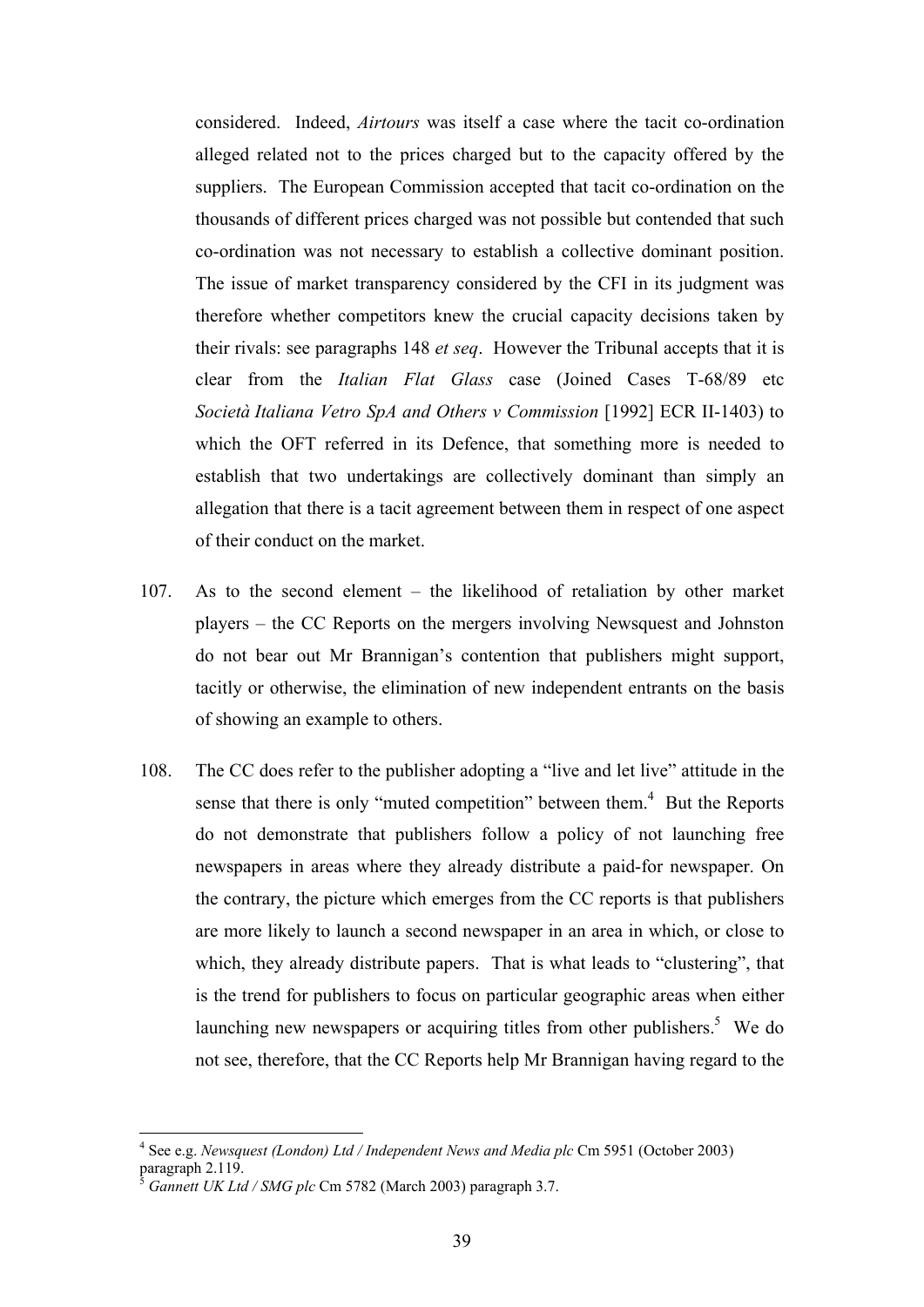considered. Indeed, *Airtours* was itself a case where the tacit co-ordination alleged related not to the prices charged but to the capacity offered by the suppliers. The European Commission accepted that tacit co-ordination on the thousands of different prices charged was not possible but contended that such co-ordination was not necessary to establish a collective dominant position. The issue of market transparency considered by the CFI in its judgment was therefore whether competitors knew the crucial capacity decisions taken by their rivals: see paragraphs 148 *et seq*. However the Tribunal accepts that it is clear from the *Italian Flat Glass* case (Joined Cases T-68/89 etc *Società Italiana Vetro SpA and Others v Commission* [1992] ECR II-1403) to which the OFT referred in its Defence, that something more is needed to establish that two undertakings are collectively dominant than simply an allegation that there is a tacit agreement between them in respect of one aspect of their conduct on the market.

- 107. As to the second element the likelihood of retaliation by other market players – the CC Reports on the mergers involving Newsquest and Johnston do not bear out Mr Brannigan's contention that publishers might support, tacitly or otherwise, the elimination of new independent entrants on the basis of showing an example to others.
- 108. The CC does refer to the publisher adopting a "live and let live" attitude in the sense that there is only "muted competition" between them.<sup>4</sup> But the Reports do not demonstrate that publishers follow a policy of not launching free newspapers in areas where they already distribute a paid-for newspaper. On the contrary, the picture which emerges from the CC reports is that publishers are more likely to launch a second newspaper in an area in which, or close to which, they already distribute papers. That is what leads to "clustering", that is the trend for publishers to focus on particular geographic areas when either launching new newspapers or acquiring titles from other publishers.<sup>5</sup> We do not see, therefore, that the CC Reports help Mr Brannigan having regard to the

1

<sup>4</sup> See e.g. *Newsquest (London) Ltd / Independent News and Media plc* Cm 5951 (October 2003) paragraph 2.119.

<sup>5</sup> *Gannett UK Ltd / SMG plc* Cm 5782 (March 2003) paragraph 3.7.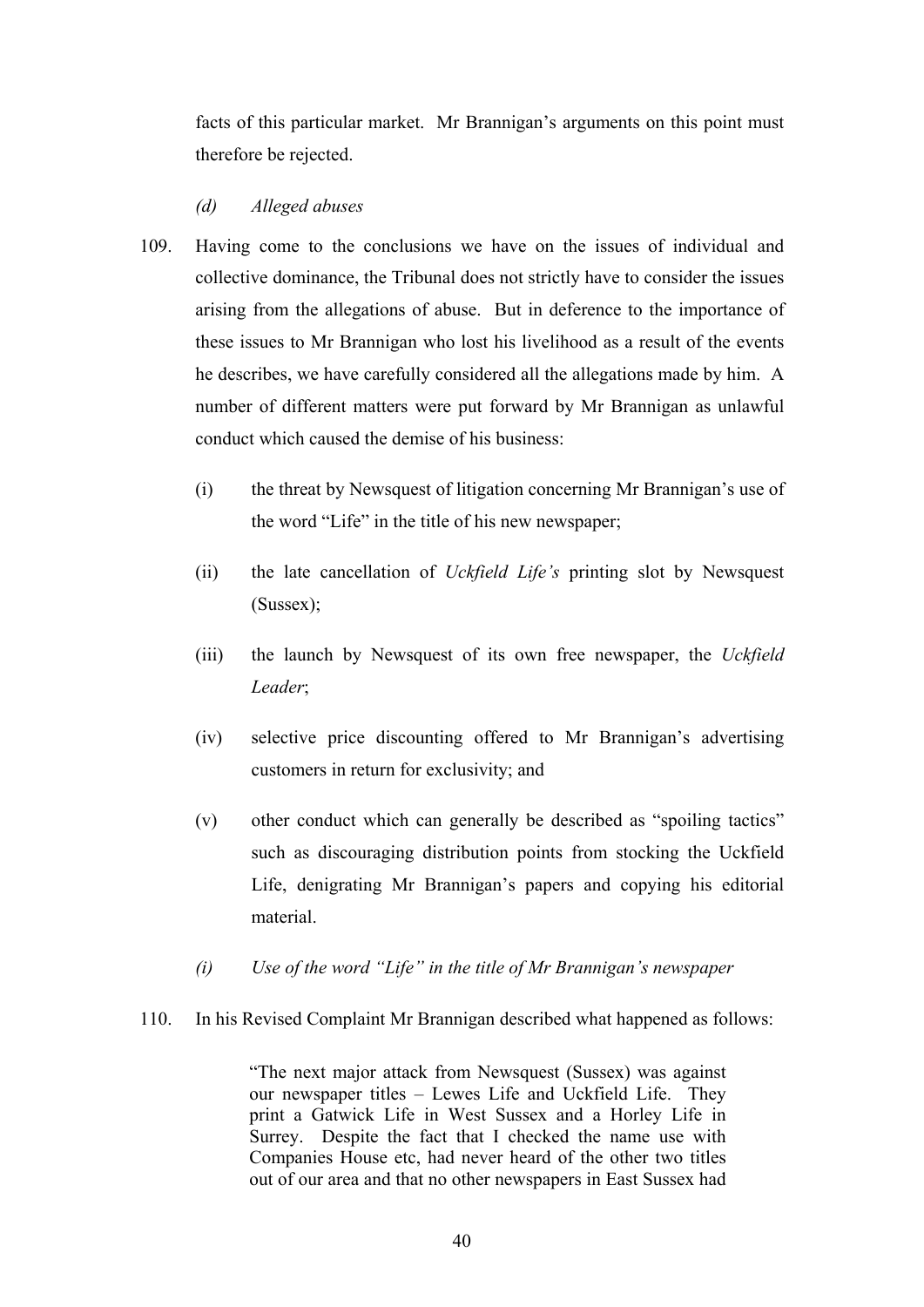facts of this particular market. Mr Brannigan's arguments on this point must therefore be rejected.

## *(d) Alleged abuses*

- 109. Having come to the conclusions we have on the issues of individual and collective dominance, the Tribunal does not strictly have to consider the issues arising from the allegations of abuse. But in deference to the importance of these issues to Mr Brannigan who lost his livelihood as a result of the events he describes, we have carefully considered all the allegations made by him. A number of different matters were put forward by Mr Brannigan as unlawful conduct which caused the demise of his business:
	- (i) the threat by Newsquest of litigation concerning Mr Brannigan's use of the word "Life" in the title of his new newspaper;
	- (ii) the late cancellation of *Uckfield Life's* printing slot by Newsquest (Sussex);
	- (iii) the launch by Newsquest of its own free newspaper, the *Uckfield Leader*;
	- (iv) selective price discounting offered to Mr Brannigan's advertising customers in return for exclusivity; and
	- (v) other conduct which can generally be described as "spoiling tactics" such as discouraging distribution points from stocking the Uckfield Life, denigrating Mr Brannigan's papers and copying his editorial material.
	- *(i) Use of the word "Life" in the title of Mr Brannigan's newspaper*
- 110. In his Revised Complaint Mr Brannigan described what happened as follows:

"The next major attack from Newsquest (Sussex) was against our newspaper titles – Lewes Life and Uckfield Life. They print a Gatwick Life in West Sussex and a Horley Life in Surrey. Despite the fact that I checked the name use with Companies House etc, had never heard of the other two titles out of our area and that no other newspapers in East Sussex had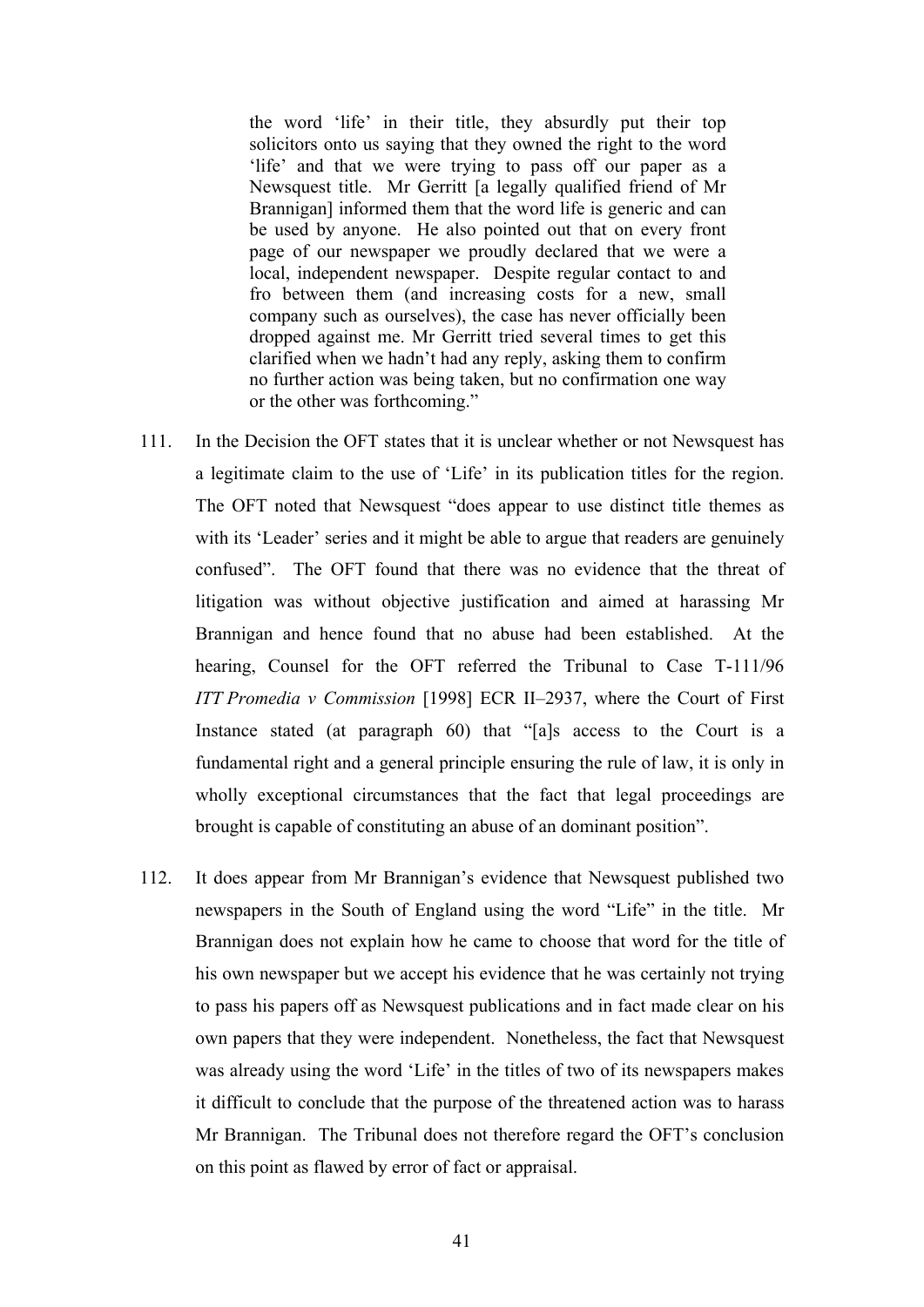the word 'life' in their title, they absurdly put their top solicitors onto us saying that they owned the right to the word 'life' and that we were trying to pass off our paper as a Newsquest title. Mr Gerritt [a legally qualified friend of Mr Brannigan] informed them that the word life is generic and can be used by anyone. He also pointed out that on every front page of our newspaper we proudly declared that we were a local, independent newspaper. Despite regular contact to and fro between them (and increasing costs for a new, small company such as ourselves), the case has never officially been dropped against me. Mr Gerritt tried several times to get this clarified when we hadn't had any reply, asking them to confirm no further action was being taken, but no confirmation one way or the other was forthcoming."

- 111. In the Decision the OFT states that it is unclear whether or not Newsquest has a legitimate claim to the use of 'Life' in its publication titles for the region. The OFT noted that Newsquest "does appear to use distinct title themes as with its 'Leader' series and it might be able to argue that readers are genuinely confused". The OFT found that there was no evidence that the threat of litigation was without objective justification and aimed at harassing Mr Brannigan and hence found that no abuse had been established. At the hearing, Counsel for the OFT referred the Tribunal to Case T-111/96 *ITT Promedia v Commission* [1998] ECR II–2937, where the Court of First Instance stated (at paragraph 60) that "[a]s access to the Court is a fundamental right and a general principle ensuring the rule of law, it is only in wholly exceptional circumstances that the fact that legal proceedings are brought is capable of constituting an abuse of an dominant position".
- 112. It does appear from Mr Brannigan's evidence that Newsquest published two newspapers in the South of England using the word "Life" in the title. Mr Brannigan does not explain how he came to choose that word for the title of his own newspaper but we accept his evidence that he was certainly not trying to pass his papers off as Newsquest publications and in fact made clear on his own papers that they were independent. Nonetheless, the fact that Newsquest was already using the word 'Life' in the titles of two of its newspapers makes it difficult to conclude that the purpose of the threatened action was to harass Mr Brannigan. The Tribunal does not therefore regard the OFT's conclusion on this point as flawed by error of fact or appraisal.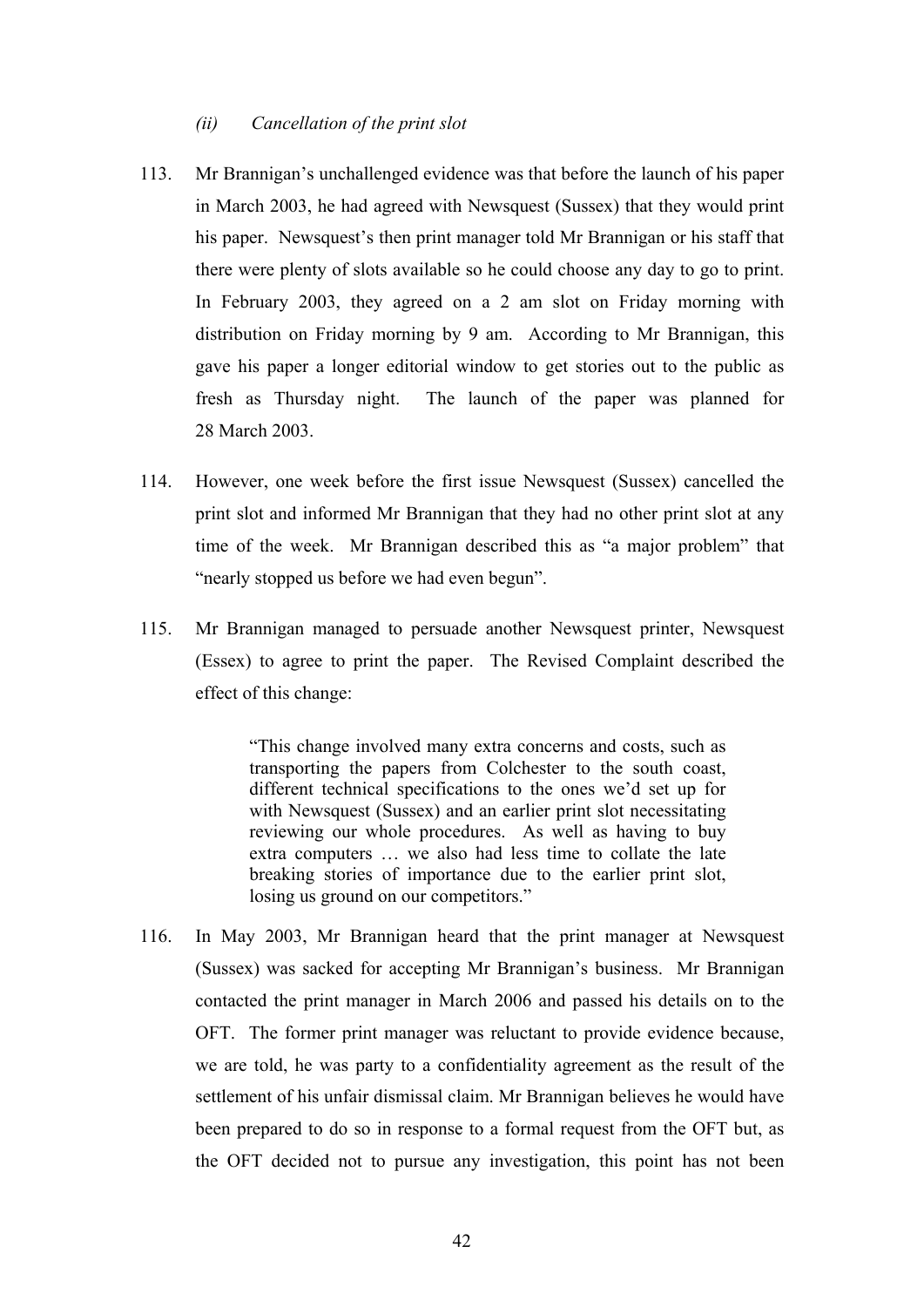#### *(ii) Cancellation of the print slot*

- 113. Mr Brannigan's unchallenged evidence was that before the launch of his paper in March 2003, he had agreed with Newsquest (Sussex) that they would print his paper. Newsquest's then print manager told Mr Brannigan or his staff that there were plenty of slots available so he could choose any day to go to print. In February 2003, they agreed on a 2 am slot on Friday morning with distribution on Friday morning by 9 am. According to Mr Brannigan, this gave his paper a longer editorial window to get stories out to the public as fresh as Thursday night. The launch of the paper was planned for 28 March 2003.
- 114. However, one week before the first issue Newsquest (Sussex) cancelled the print slot and informed Mr Brannigan that they had no other print slot at any time of the week. Mr Brannigan described this as "a major problem" that "nearly stopped us before we had even begun".
- 115. Mr Brannigan managed to persuade another Newsquest printer, Newsquest (Essex) to agree to print the paper. The Revised Complaint described the effect of this change:

"This change involved many extra concerns and costs, such as transporting the papers from Colchester to the south coast, different technical specifications to the ones we'd set up for with Newsquest (Sussex) and an earlier print slot necessitating reviewing our whole procedures. As well as having to buy extra computers … we also had less time to collate the late breaking stories of importance due to the earlier print slot, losing us ground on our competitors."

116. In May 2003, Mr Brannigan heard that the print manager at Newsquest (Sussex) was sacked for accepting Mr Brannigan's business. Mr Brannigan contacted the print manager in March 2006 and passed his details on to the OFT. The former print manager was reluctant to provide evidence because, we are told, he was party to a confidentiality agreement as the result of the settlement of his unfair dismissal claim. Mr Brannigan believes he would have been prepared to do so in response to a formal request from the OFT but, as the OFT decided not to pursue any investigation, this point has not been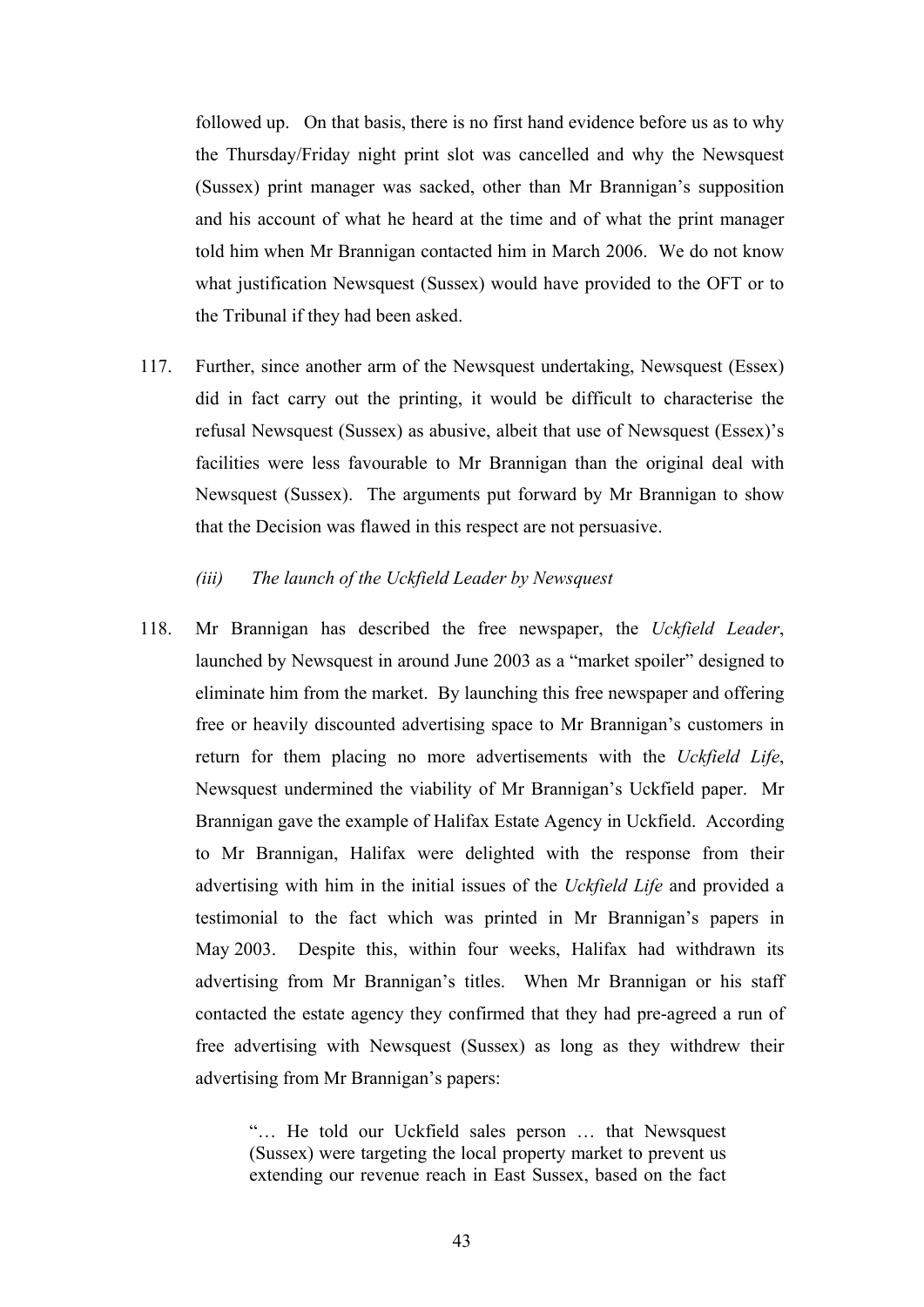followed up. On that basis, there is no first hand evidence before us as to why the Thursday/Friday night print slot was cancelled and why the Newsquest (Sussex) print manager was sacked, other than Mr Brannigan's supposition and his account of what he heard at the time and of what the print manager told him when Mr Brannigan contacted him in March 2006. We do not know what justification Newsquest (Sussex) would have provided to the OFT or to the Tribunal if they had been asked.

- 117. Further, since another arm of the Newsquest undertaking, Newsquest (Essex) did in fact carry out the printing, it would be difficult to characterise the refusal Newsquest (Sussex) as abusive, albeit that use of Newsquest (Essex)'s facilities were less favourable to Mr Brannigan than the original deal with Newsquest (Sussex). The arguments put forward by Mr Brannigan to show that the Decision was flawed in this respect are not persuasive.
	- *(iii) The launch of the Uckfield Leader by Newsquest*
- 118. Mr Brannigan has described the free newspaper, the *Uckfield Leader*, launched by Newsquest in around June 2003 as a "market spoiler" designed to eliminate him from the market. By launching this free newspaper and offering free or heavily discounted advertising space to Mr Brannigan's customers in return for them placing no more advertisements with the *Uckfield Life*, Newsquest undermined the viability of Mr Brannigan's Uckfield paper. Mr Brannigan gave the example of Halifax Estate Agency in Uckfield. According to Mr Brannigan, Halifax were delighted with the response from their advertising with him in the initial issues of the *Uckfield Life* and provided a testimonial to the fact which was printed in Mr Brannigan's papers in May 2003. Despite this, within four weeks, Halifax had withdrawn its advertising from Mr Brannigan's titles. When Mr Brannigan or his staff contacted the estate agency they confirmed that they had pre-agreed a run of free advertising with Newsquest (Sussex) as long as they withdrew their advertising from Mr Brannigan's papers:

"… He told our Uckfield sales person … that Newsquest (Sussex) were targeting the local property market to prevent us extending our revenue reach in East Sussex, based on the fact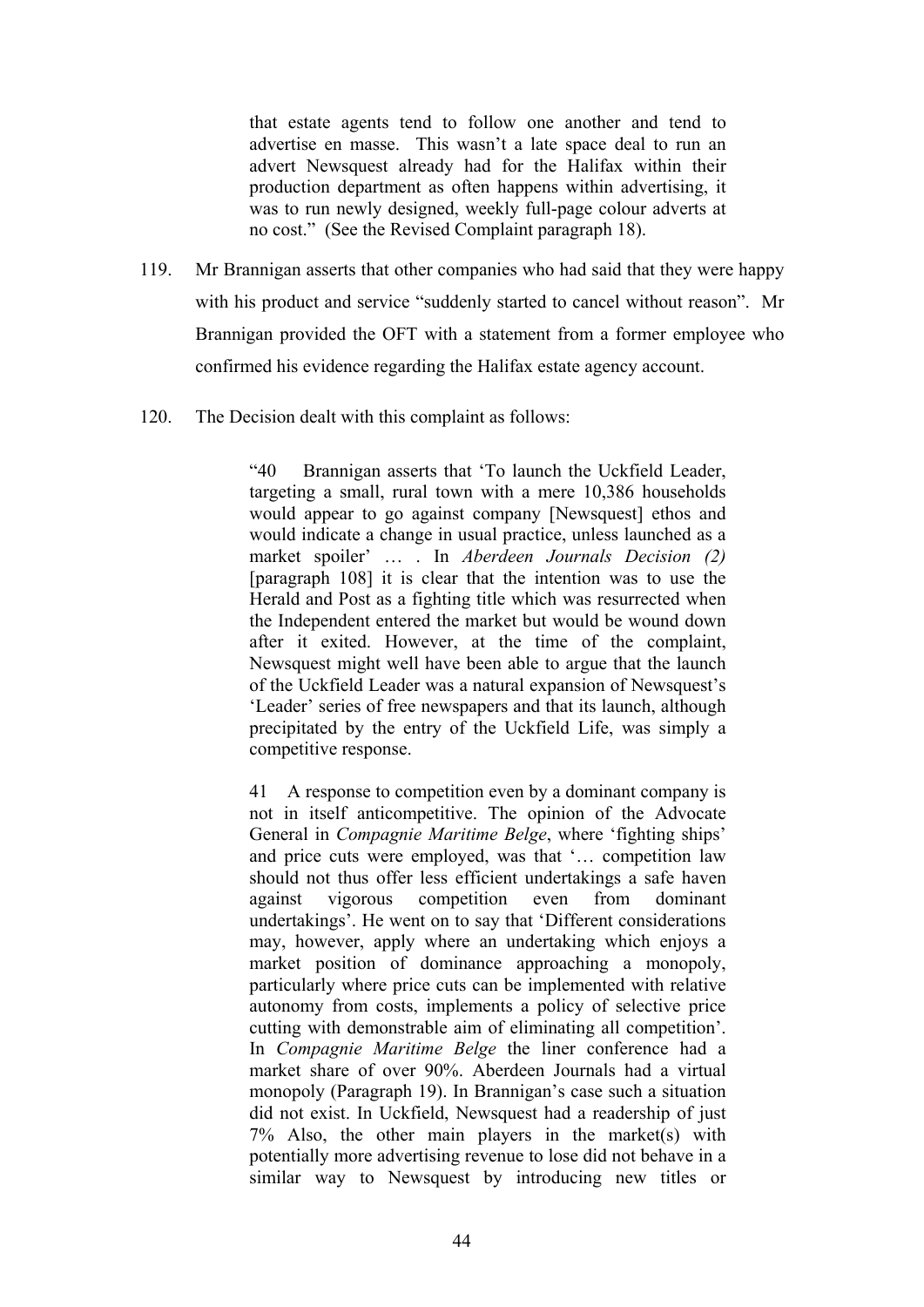that estate agents tend to follow one another and tend to advertise en masse. This wasn't a late space deal to run an advert Newsquest already had for the Halifax within their production department as often happens within advertising, it was to run newly designed, weekly full-page colour adverts at no cost." (See the Revised Complaint paragraph 18).

- 119. Mr Brannigan asserts that other companies who had said that they were happy with his product and service "suddenly started to cancel without reason". Mr Brannigan provided the OFT with a statement from a former employee who confirmed his evidence regarding the Halifax estate agency account.
- 120. The Decision dealt with this complaint as follows:

"40 Brannigan asserts that 'To launch the Uckfield Leader, targeting a small, rural town with a mere 10,386 households would appear to go against company [Newsquest] ethos and would indicate a change in usual practice, unless launched as a market spoiler' … . In *Aberdeen Journals Decision (2)*  [paragraph 108] it is clear that the intention was to use the Herald and Post as a fighting title which was resurrected when the Independent entered the market but would be wound down after it exited. However, at the time of the complaint, Newsquest might well have been able to argue that the launch of the Uckfield Leader was a natural expansion of Newsquest's 'Leader' series of free newspapers and that its launch, although precipitated by the entry of the Uckfield Life, was simply a competitive response.

41 A response to competition even by a dominant company is not in itself anticompetitive. The opinion of the Advocate General in *Compagnie Maritime Belge*, where 'fighting ships' and price cuts were employed, was that '… competition law should not thus offer less efficient undertakings a safe haven against vigorous competition even from dominant undertakings'. He went on to say that 'Different considerations may, however, apply where an undertaking which enjoys a market position of dominance approaching a monopoly, particularly where price cuts can be implemented with relative autonomy from costs, implements a policy of selective price cutting with demonstrable aim of eliminating all competition'. In *Compagnie Maritime Belge* the liner conference had a market share of over 90%. Aberdeen Journals had a virtual monopoly (Paragraph 19). In Brannigan's case such a situation did not exist. In Uckfield, Newsquest had a readership of just 7% Also, the other main players in the market(s) with potentially more advertising revenue to lose did not behave in a similar way to Newsquest by introducing new titles or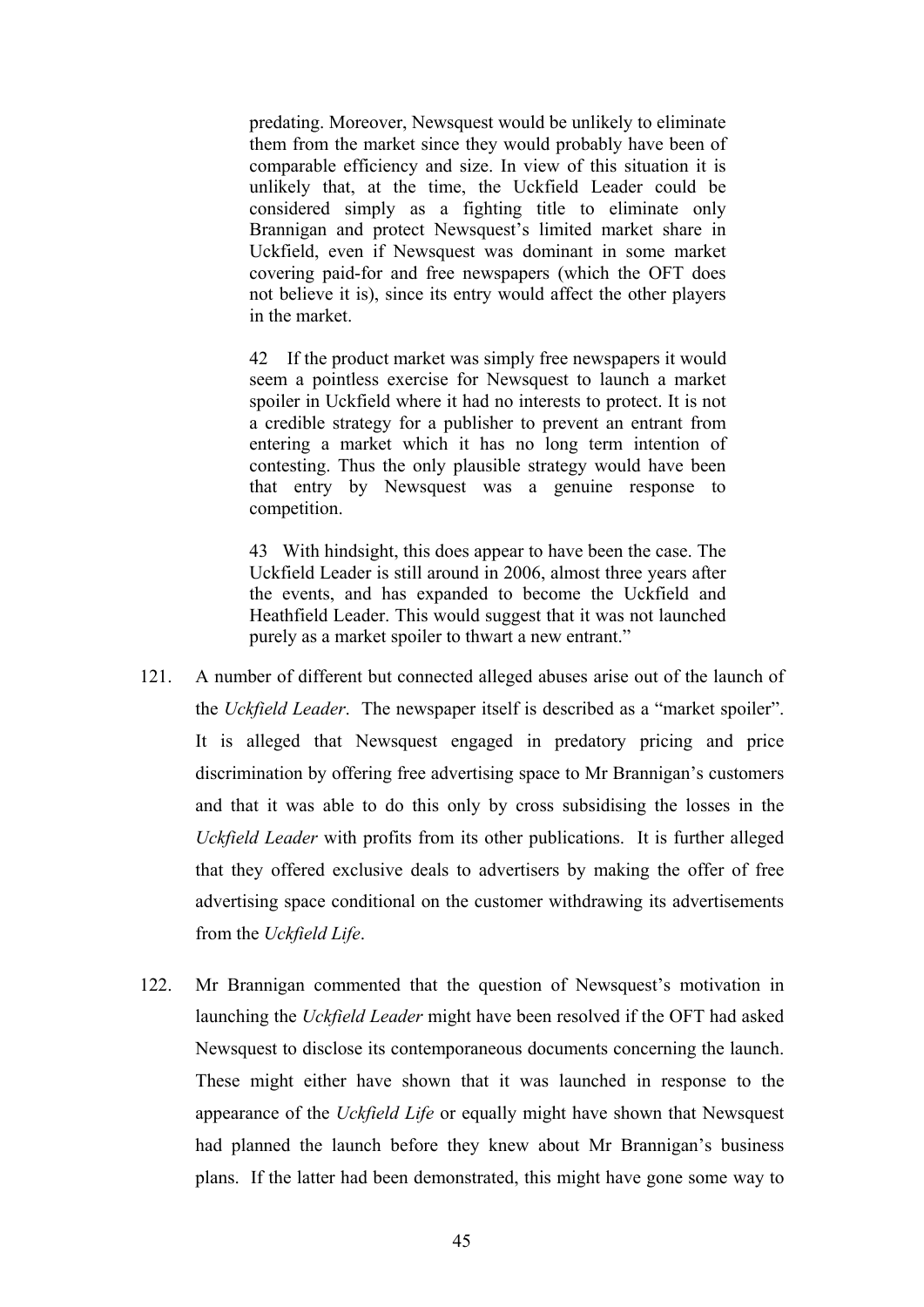predating. Moreover, Newsquest would be unlikely to eliminate them from the market since they would probably have been of comparable efficiency and size. In view of this situation it is unlikely that, at the time, the Uckfield Leader could be considered simply as a fighting title to eliminate only Brannigan and protect Newsquest's limited market share in Uckfield, even if Newsquest was dominant in some market covering paid-for and free newspapers (which the OFT does not believe it is), since its entry would affect the other players in the market.

42 If the product market was simply free newspapers it would seem a pointless exercise for Newsquest to launch a market spoiler in Uckfield where it had no interests to protect. It is not a credible strategy for a publisher to prevent an entrant from entering a market which it has no long term intention of contesting. Thus the only plausible strategy would have been that entry by Newsquest was a genuine response to competition.

43 With hindsight, this does appear to have been the case. The Uckfield Leader is still around in 2006, almost three years after the events, and has expanded to become the Uckfield and Heathfield Leader. This would suggest that it was not launched purely as a market spoiler to thwart a new entrant."

- 121. A number of different but connected alleged abuses arise out of the launch of the *Uckfield Leader*. The newspaper itself is described as a "market spoiler". It is alleged that Newsquest engaged in predatory pricing and price discrimination by offering free advertising space to Mr Brannigan's customers and that it was able to do this only by cross subsidising the losses in the *Uckfield Leader* with profits from its other publications. It is further alleged that they offered exclusive deals to advertisers by making the offer of free advertising space conditional on the customer withdrawing its advertisements from the *Uckfield Life*.
- 122. Mr Brannigan commented that the question of Newsquest's motivation in launching the *Uckfield Leader* might have been resolved if the OFT had asked Newsquest to disclose its contemporaneous documents concerning the launch. These might either have shown that it was launched in response to the appearance of the *Uckfield Life* or equally might have shown that Newsquest had planned the launch before they knew about Mr Brannigan's business plans. If the latter had been demonstrated, this might have gone some way to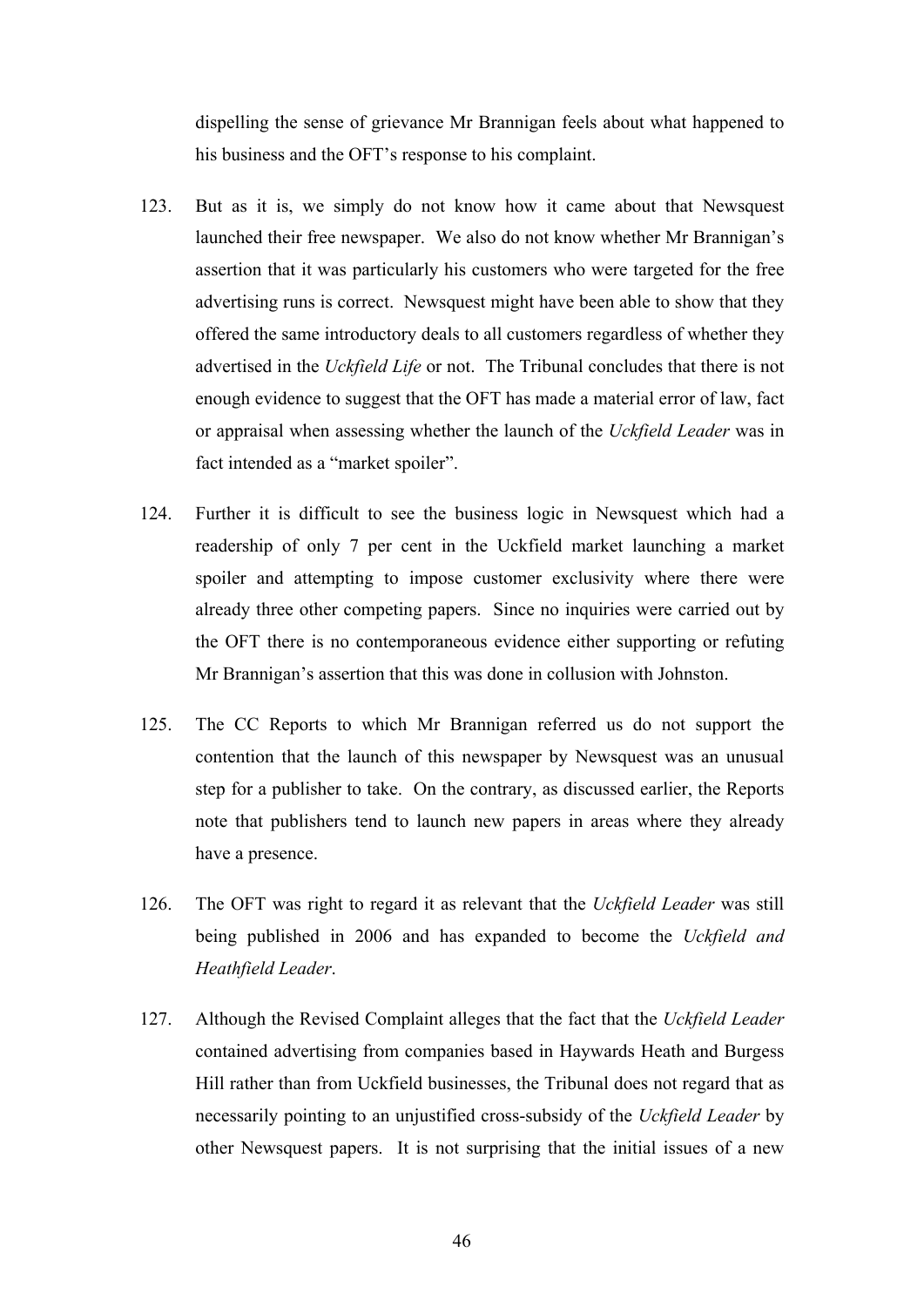dispelling the sense of grievance Mr Brannigan feels about what happened to his business and the OFT's response to his complaint.

- 123. But as it is, we simply do not know how it came about that Newsquest launched their free newspaper. We also do not know whether Mr Brannigan's assertion that it was particularly his customers who were targeted for the free advertising runs is correct. Newsquest might have been able to show that they offered the same introductory deals to all customers regardless of whether they advertised in the *Uckfield Life* or not. The Tribunal concludes that there is not enough evidence to suggest that the OFT has made a material error of law, fact or appraisal when assessing whether the launch of the *Uckfield Leader* was in fact intended as a "market spoiler".
- 124. Further it is difficult to see the business logic in Newsquest which had a readership of only 7 per cent in the Uckfield market launching a market spoiler and attempting to impose customer exclusivity where there were already three other competing papers. Since no inquiries were carried out by the OFT there is no contemporaneous evidence either supporting or refuting Mr Brannigan's assertion that this was done in collusion with Johnston.
- 125. The CC Reports to which Mr Brannigan referred us do not support the contention that the launch of this newspaper by Newsquest was an unusual step for a publisher to take. On the contrary, as discussed earlier, the Reports note that publishers tend to launch new papers in areas where they already have a presence.
- 126. The OFT was right to regard it as relevant that the *Uckfield Leader* was still being published in 2006 and has expanded to become the *Uckfield and Heathfield Leader*.
- 127. Although the Revised Complaint alleges that the fact that the *Uckfield Leader* contained advertising from companies based in Haywards Heath and Burgess Hill rather than from Uckfield businesses, the Tribunal does not regard that as necessarily pointing to an unjustified cross-subsidy of the *Uckfield Leader* by other Newsquest papers. It is not surprising that the initial issues of a new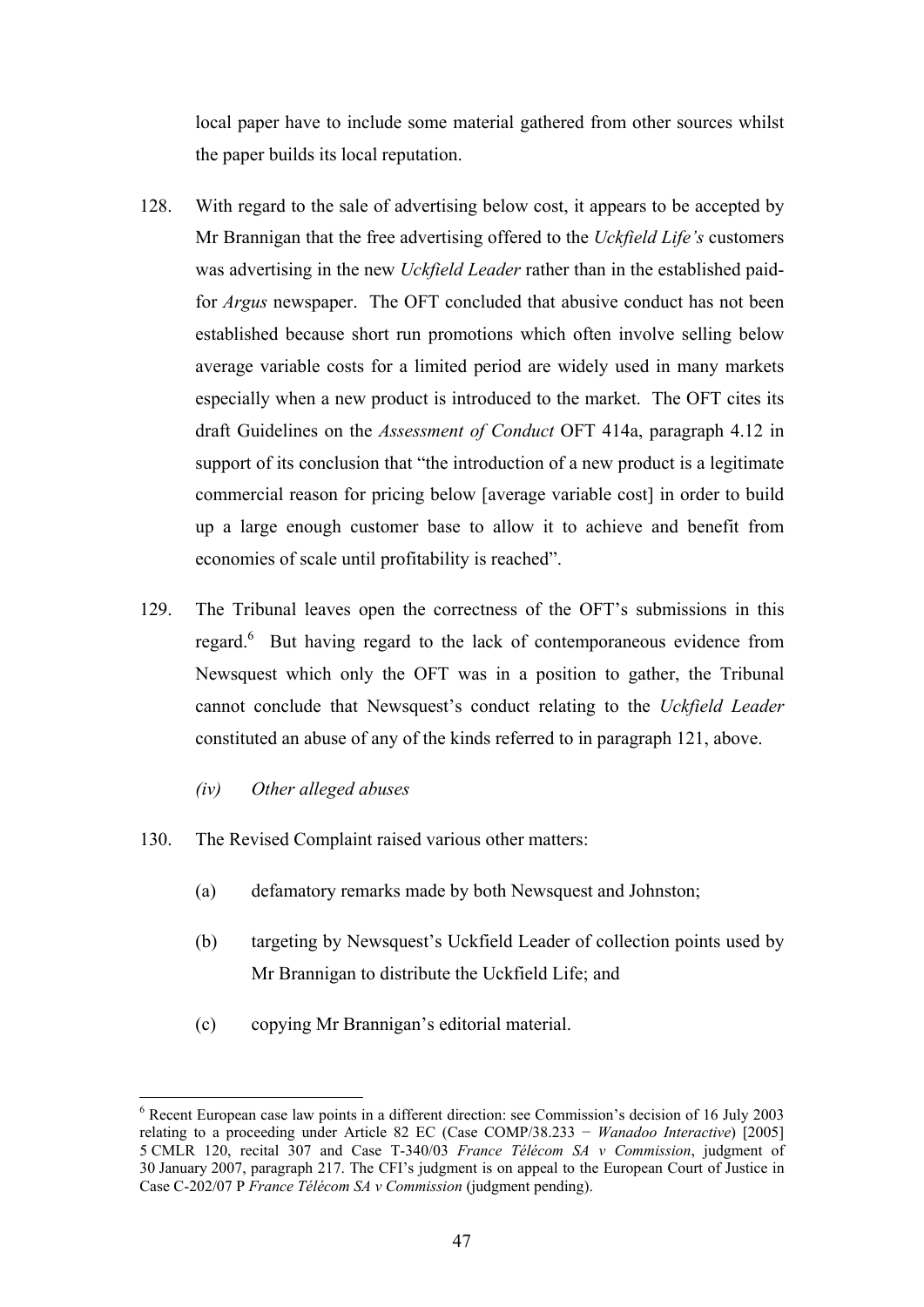local paper have to include some material gathered from other sources whilst the paper builds its local reputation.

- 128. With regard to the sale of advertising below cost, it appears to be accepted by Mr Brannigan that the free advertising offered to the *Uckfield Life's* customers was advertising in the new *Uckfield Leader* rather than in the established paidfor *Argus* newspaper. The OFT concluded that abusive conduct has not been established because short run promotions which often involve selling below average variable costs for a limited period are widely used in many markets especially when a new product is introduced to the market. The OFT cites its draft Guidelines on the *Assessment of Conduct* OFT 414a, paragraph 4.12 in support of its conclusion that "the introduction of a new product is a legitimate commercial reason for pricing below [average variable cost] in order to build up a large enough customer base to allow it to achieve and benefit from economies of scale until profitability is reached".
- 129. The Tribunal leaves open the correctness of the OFT's submissions in this regard.<sup>6</sup> But having regard to the lack of contemporaneous evidence from Newsquest which only the OFT was in a position to gather, the Tribunal cannot conclude that Newsquest's conduct relating to the *Uckfield Leader* constituted an abuse of any of the kinds referred to in paragraph 121, above.
	- *(iv) Other alleged abuses*

<u>.</u>

- 130. The Revised Complaint raised various other matters:
	- (a) defamatory remarks made by both Newsquest and Johnston;
	- (b) targeting by Newsquest's Uckfield Leader of collection points used by Mr Brannigan to distribute the Uckfield Life; and
	- (c) copying Mr Brannigan's editorial material.

<sup>&</sup>lt;sup>6</sup> Recent European case law points in a different direction: see Commission's decision of 16 July 2003 relating to a proceeding under Article 82 EC (Case COMP/38.233 − *Wanadoo Interactive*) [2005] 5 CMLR 120, recital 307 and Case T-340/03 *France Télécom SA v Commission*, judgment of 30 January 2007, paragraph 217. The CFI's judgment is on appeal to the European Court of Justice in Case C-202/07 P *France Télécom SA v Commission* (judgment pending).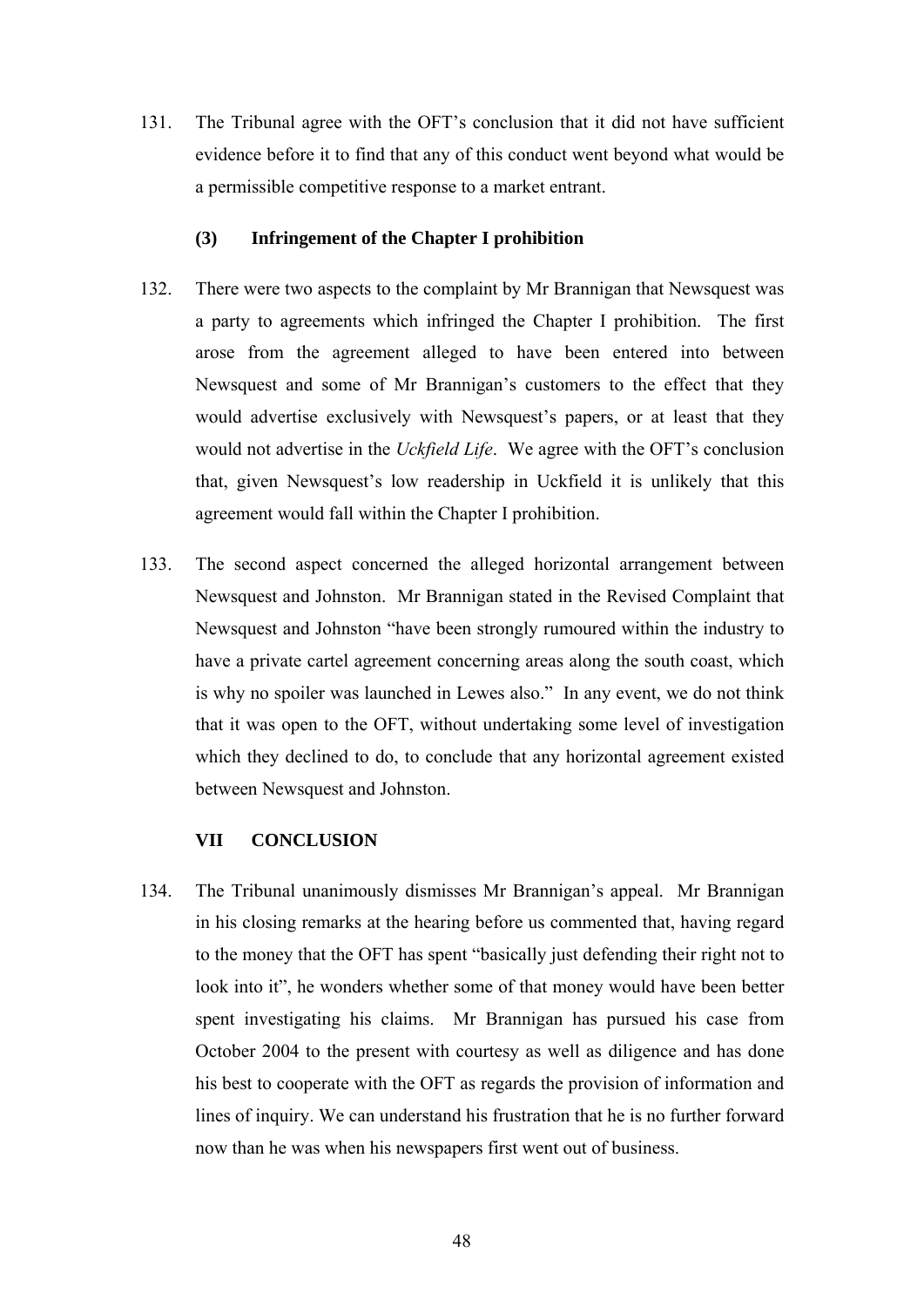131. The Tribunal agree with the OFT's conclusion that it did not have sufficient evidence before it to find that any of this conduct went beyond what would be a permissible competitive response to a market entrant.

### **(3) Infringement of the Chapter I prohibition**

- 132. There were two aspects to the complaint by Mr Brannigan that Newsquest was a party to agreements which infringed the Chapter I prohibition. The first arose from the agreement alleged to have been entered into between Newsquest and some of Mr Brannigan's customers to the effect that they would advertise exclusively with Newsquest's papers, or at least that they would not advertise in the *Uckfield Life*. We agree with the OFT's conclusion that, given Newsquest's low readership in Uckfield it is unlikely that this agreement would fall within the Chapter I prohibition.
- 133. The second aspect concerned the alleged horizontal arrangement between Newsquest and Johnston. Mr Brannigan stated in the Revised Complaint that Newsquest and Johnston "have been strongly rumoured within the industry to have a private cartel agreement concerning areas along the south coast, which is why no spoiler was launched in Lewes also." In any event, we do not think that it was open to the OFT, without undertaking some level of investigation which they declined to do, to conclude that any horizontal agreement existed between Newsquest and Johnston.

### **VII CONCLUSION**

134. The Tribunal unanimously dismisses Mr Brannigan's appeal. Mr Brannigan in his closing remarks at the hearing before us commented that, having regard to the money that the OFT has spent "basically just defending their right not to look into it", he wonders whether some of that money would have been better spent investigating his claims. Mr Brannigan has pursued his case from October 2004 to the present with courtesy as well as diligence and has done his best to cooperate with the OFT as regards the provision of information and lines of inquiry. We can understand his frustration that he is no further forward now than he was when his newspapers first went out of business.